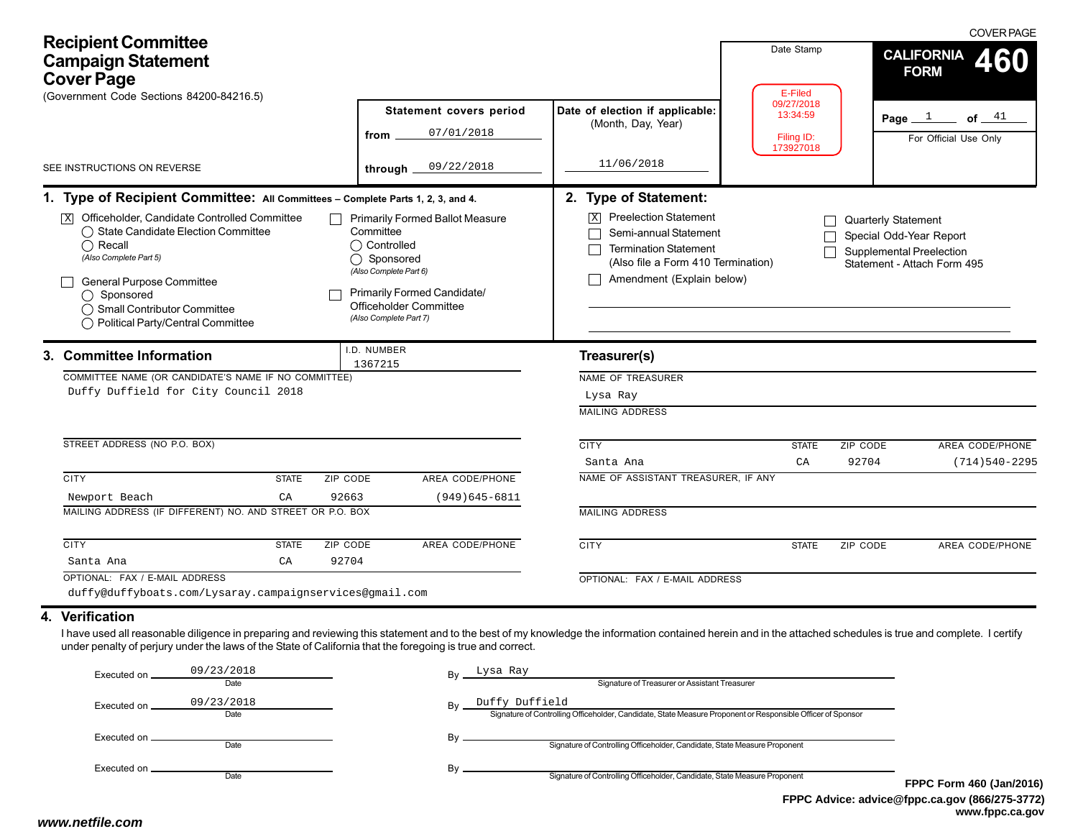| <b>Recipient Committee</b><br><b>Campaign Statement</b><br><b>Cover Page</b><br>(Government Code Sections 84200-84216.5)                                                                                                                                                                                                                                                                                                                                        |                                                                                                                                                                                                                           |                                                                                                                                                                                                                        | Date Stamp<br>E-Filed                             | <b>COVER PAGE</b><br><b>CALIFORNIA</b><br><b>FORM</b>                                                                   |
|-----------------------------------------------------------------------------------------------------------------------------------------------------------------------------------------------------------------------------------------------------------------------------------------------------------------------------------------------------------------------------------------------------------------------------------------------------------------|---------------------------------------------------------------------------------------------------------------------------------------------------------------------------------------------------------------------------|------------------------------------------------------------------------------------------------------------------------------------------------------------------------------------------------------------------------|---------------------------------------------------|-------------------------------------------------------------------------------------------------------------------------|
|                                                                                                                                                                                                                                                                                                                                                                                                                                                                 | Statement covers period<br>07/01/2018<br>from                                                                                                                                                                             | Date of election if applicable:<br>(Month, Day, Year)                                                                                                                                                                  | 09/27/2018<br>13:34:59<br>Filing ID:<br>173927018 | Page $1$ of $41$<br>For Official Use Only                                                                               |
| SEE INSTRUCTIONS ON REVERSE                                                                                                                                                                                                                                                                                                                                                                                                                                     | 09/22/2018<br>through $\overline{\phantom{a}}$                                                                                                                                                                            | 11/06/2018                                                                                                                                                                                                             |                                                   |                                                                                                                         |
| 1. Type of Recipient Committee: All Committees - Complete Parts 1, 2, 3, and 4.<br>Officeholder, Candidate Controlled Committee<br>$\overline{\mathbf{x}}$<br>◯ State Candidate Election Committee<br>$\bigcap$ Recall<br>(Also Complete Part 5)<br><b>General Purpose Committee</b><br>◯ Sponsored<br>◯ Small Contributor Committee<br>◯ Political Party/Central Committee<br>3. Committee Information<br>COMMITTEE NAME (OR CANDIDATE'S NAME IF NO COMMITTEE) | <b>Primarily Formed Ballot Measure</b><br>Committee<br>◯ Controlled<br>◯ Sponsored<br>(Also Complete Part 6)<br>Primarily Formed Candidate/<br>Officeholder Committee<br>(Also Complete Part 7)<br>I.D. NUMBER<br>1367215 | 2. Type of Statement:<br><b>Preelection Statement</b><br>Semi-annual Statement<br><b>Termination Statement</b><br>(Also file a Form 410 Termination)<br>Amendment (Explain below)<br>Treasurer(s)<br>NAME OF TREASURER |                                                   | <b>Quarterly Statement</b><br>Special Odd-Year Report<br><b>Supplemental Preelection</b><br>Statement - Attach Form 495 |
| Duffy Duffield for City Council 2018<br>STREET ADDRESS (NO P.O. BOX)                                                                                                                                                                                                                                                                                                                                                                                            |                                                                                                                                                                                                                           | Lysa Ray<br><b>MAILING ADDRESS</b><br><b>CITY</b><br>Santa Ana                                                                                                                                                         | <b>STATE</b><br>CA                                | ZIP CODE<br>AREA CODE/PHONE<br>92704<br>$(714)540 - 2295$                                                               |
| <b>CITY</b><br>ZIP CODE<br><b>STATE</b>                                                                                                                                                                                                                                                                                                                                                                                                                         | AREA CODE/PHONE                                                                                                                                                                                                           | NAME OF ASSISTANT TREASURER, IF ANY                                                                                                                                                                                    |                                                   |                                                                                                                         |
| 92663<br>Newport Beach<br>CA<br>MAILING ADDRESS (IF DIFFERENT) NO. AND STREET OR P.O. BOX                                                                                                                                                                                                                                                                                                                                                                       | $(949)645 - 6811$                                                                                                                                                                                                         | <b>MAILING ADDRESS</b>                                                                                                                                                                                                 |                                                   |                                                                                                                         |
| <b>CITY</b><br><b>STATE</b><br><b>ZIP CODE</b><br>92704<br>Santa Ana<br>CA                                                                                                                                                                                                                                                                                                                                                                                      | <b>AREA CODE/PHONE</b>                                                                                                                                                                                                    | <b>CITY</b>                                                                                                                                                                                                            | <b>STATE</b>                                      | AREA CODE/PHONE<br>ZIP CODE                                                                                             |
| OPTIONAL: FAX / E-MAIL ADDRESS<br>duffy@duffyboats.com/Lysaray.campaignservices@gmail.com<br>4. Verification<br>I have used all reasonable diligence in preparing and reviewing this statement and to the best of my knowledge the information contained herein and in the attached schedules is true and complete. I certify                                                                                                                                   |                                                                                                                                                                                                                           | OPTIONAL: FAX / E-MAIL ADDRESS                                                                                                                                                                                         |                                                   |                                                                                                                         |
| under penalty of perjury under the laws of the State of California that the foregoing is true and correct.<br>09/23/2018<br>Executed on __<br>Date<br>09/23/2018<br>Executed on ___<br>Date                                                                                                                                                                                                                                                                     | Lysa Ray<br>By Duffy Duffield                                                                                                                                                                                             | Signature of Treasurer or Assistant Treasurer<br>Signature of Controlling Officeholder, Candidate, State Measure Proponent or Responsible Officer of Sponsor                                                           |                                                   |                                                                                                                         |

Executed on Date

Executed on \_ Date By  $\overline{\phantom{0}}$  Signature of Controlling Officeholder, Candidate, State Measure Proponent

By  $\overline{\phantom{0}}$  Signature of Controlling Officeholder, Candidate, State Measure Proponent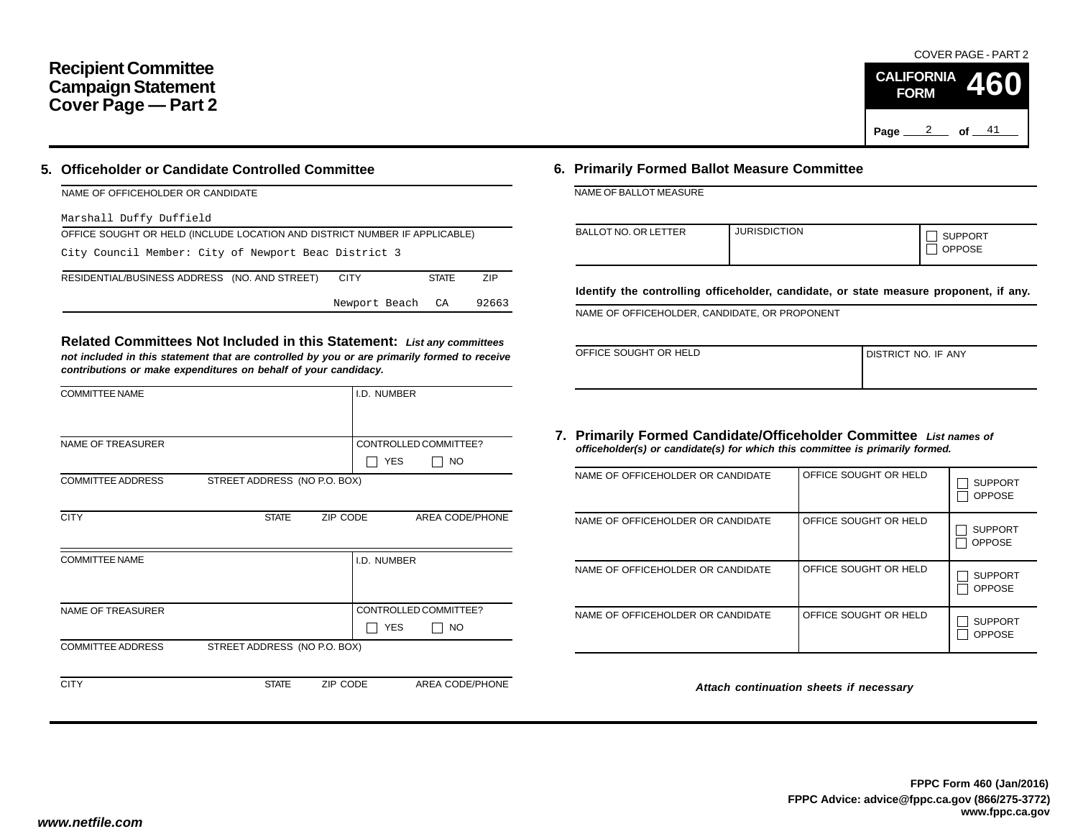# **Recipient Committee Campaign Statement Cover Page — Part 2**

## **5. Officeholder or Candidate Controlled Committee**

| NAME OF OFFICEHOLDER OR CANDIDATE                                          |              |       |  |  |  |  |  |  |  |
|----------------------------------------------------------------------------|--------------|-------|--|--|--|--|--|--|--|
| Marshall Duffy Duffield                                                    |              |       |  |  |  |  |  |  |  |
| OFFICE SOUGHT OR HELD (INCLUDE LOCATION AND DISTRICT NUMBER IF APPLICABLE) |              |       |  |  |  |  |  |  |  |
| City Council Member: City of Newport Beac District 3                       |              |       |  |  |  |  |  |  |  |
| RESIDENTIAL/BUSINESS ADDRESS (NO. AND STREET)<br><b>CITY</b>               | <b>STATE</b> | ZIP   |  |  |  |  |  |  |  |
| Newport Beach CA                                                           |              | 92663 |  |  |  |  |  |  |  |

**Related Committees Not Included in this Statement:** *List any committees not included in this statement that are controlled by you or are primarily formed to receive contributions or make expenditures on behalf of your candidacy.*

| <b>COMMITTEE NAME</b>    |                              |          | I.D. NUMBER |                       |
|--------------------------|------------------------------|----------|-------------|-----------------------|
|                          |                              |          |             |                       |
| <b>NAME OF TREASURER</b> |                              |          |             | CONTROLLED COMMITTEE? |
|                          |                              |          | <b>YES</b>  | <b>NO</b>             |
| <b>COMMITTEE ADDRESS</b> | STREET ADDRESS (NO P.O. BOX) |          |             |                       |
|                          |                              |          |             |                       |
| <b>CITY</b>              | <b>STATE</b>                 | ZIP CODE |             | AREA CODE/PHONE       |
|                          |                              |          |             |                       |
| <b>COMMITTEE NAME</b>    |                              |          | I.D. NUMBER |                       |
|                          |                              |          |             |                       |
|                          |                              |          |             |                       |
| <b>NAME OF TREASURER</b> |                              |          |             | CONTROLLED COMMITTEE? |
|                          |                              |          | <b>YES</b>  | NO.                   |
| <b>COMMITTEE ADDRESS</b> | STREET ADDRESS (NO P.O. BOX) |          |             |                       |
|                          |                              |          |             |                       |
| <b>CITY</b>              | <b>STATE</b>                 | ZIP CODE |             | AREA CODE/PHONE       |
|                          |                              |          |             |                       |

## **6. Primarily Formed Ballot Measure Committee**

NAME OF BALLOT MEASURE

| <b>BALLOT NO. OR LETTER</b> | <b>JURISDICTION</b> | <b>SUPPORT</b><br><b>OPPOSE</b> |
|-----------------------------|---------------------|---------------------------------|
|-----------------------------|---------------------|---------------------------------|

**Identify the controlling officeholder, candidate, or state measure proponent, if any.**

NAME OF OFFICEHOLDER, CANDIDATE, OR PROPONENT

| OFFICE SOUGHT OR HELD | I DISTRICT NO. IF ANY |
|-----------------------|-----------------------|
|                       |                       |

## **7. Primarily Formed Candidate/Officeholder Committee** *List names of officeholder(s) or candidate(s) for which this committee is primarily formed.*

| NAME OF OFFICEHOLDER OR CANDIDATE | OFFICE SOUGHT OR HELD | <b>SUPPORT</b><br><b>OPPOSE</b> |
|-----------------------------------|-----------------------|---------------------------------|
| NAME OF OFFICEHOLDER OR CANDIDATE | OFFICE SOUGHT OR HELD | <b>SUPPORT</b><br><b>OPPOSE</b> |
| NAME OF OFFICEHOLDER OR CANDIDATE | OFFICE SOUGHT OR HELD | <b>SUPPORT</b><br><b>OPPOSE</b> |
| NAME OF OFFICEHOLDER OR CANDIDATE | OFFICE SOUGHT OR HELD | <b>SUPPORT</b><br><b>OPPOSE</b> |

*Attach continuation sheets if necessary*

COVER PAGE - PART 2

**460**

Page <u>2</u> of  $41$ 

**CALIFORNIA FORM**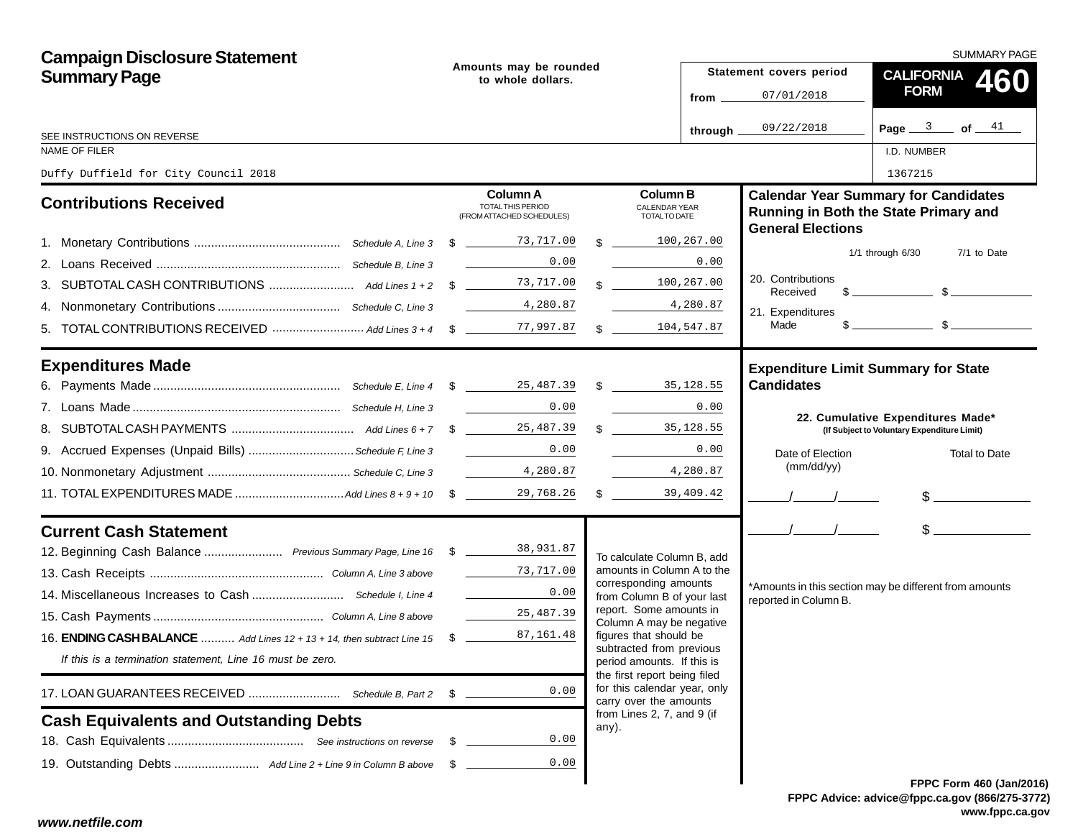| <b>Campaign Disclosure Statement</b>                                            |  |                                                                          |  |                                                            |                                  | SUMMARY PAGE                               |                                                                                                                                                                                                                                                                                                                     |  |  |  |
|---------------------------------------------------------------------------------|--|--------------------------------------------------------------------------|--|------------------------------------------------------------|----------------------------------|--------------------------------------------|---------------------------------------------------------------------------------------------------------------------------------------------------------------------------------------------------------------------------------------------------------------------------------------------------------------------|--|--|--|
| <b>Summary Page</b>                                                             |  | Amounts may be rounded<br>to whole dollars.                              |  |                                                            |                                  | Statement covers period                    | <b>CALIFORNIA</b><br>460                                                                                                                                                                                                                                                                                            |  |  |  |
|                                                                                 |  |                                                                          |  |                                                            | from $\overline{\phantom{0}}$    | 07/01/2018                                 | <b>FORM</b>                                                                                                                                                                                                                                                                                                         |  |  |  |
| SEE INSTRUCTIONS ON REVERSE                                                     |  |                                                                          |  |                                                            | through $\overline{\phantom{a}}$ | 09/22/2018                                 | Page $3$ of $41$                                                                                                                                                                                                                                                                                                    |  |  |  |
| NAME OF FILER                                                                   |  |                                                                          |  |                                                            |                                  |                                            | I.D. NUMBER                                                                                                                                                                                                                                                                                                         |  |  |  |
| Duffy Duffield for City Council 2018                                            |  |                                                                          |  |                                                            |                                  |                                            | 1367215                                                                                                                                                                                                                                                                                                             |  |  |  |
| <b>Contributions Received</b>                                                   |  | <b>Column A</b><br><b>TOTAL THIS PERIOD</b><br>(FROM ATTACHED SCHEDULES) |  | <b>Column B</b><br>CALENDAR YEAR<br>TOTAL TO DATE          |                                  | <b>General Elections</b>                   | <b>Calendar Year Summary for Candidates</b><br>Running in Both the State Primary and                                                                                                                                                                                                                                |  |  |  |
|                                                                                 |  |                                                                          |  | $\mathcal{R}$                                              | 100,267.00                       |                                            |                                                                                                                                                                                                                                                                                                                     |  |  |  |
|                                                                                 |  | 0.00                                                                     |  |                                                            | 0.00                             |                                            | $1/1$ through $6/30$<br>7/1 to Date                                                                                                                                                                                                                                                                                 |  |  |  |
|                                                                                 |  |                                                                          |  | $\mathbf{\$}$                                              | 100,267.00                       | 20. Contributions<br>Received              | $\frac{1}{2}$ $\frac{1}{2}$ $\frac{1}{2}$ $\frac{1}{2}$ $\frac{1}{2}$ $\frac{1}{2}$ $\frac{1}{2}$ $\frac{1}{2}$ $\frac{1}{2}$ $\frac{1}{2}$ $\frac{1}{2}$ $\frac{1}{2}$ $\frac{1}{2}$ $\frac{1}{2}$ $\frac{1}{2}$ $\frac{1}{2}$ $\frac{1}{2}$ $\frac{1}{2}$ $\frac{1}{2}$ $\frac{1}{2}$ $\frac{1}{2}$ $\frac{1}{2}$ |  |  |  |
|                                                                                 |  |                                                                          |  |                                                            | 4,280.87                         | 21. Expenditures                           |                                                                                                                                                                                                                                                                                                                     |  |  |  |
|                                                                                 |  |                                                                          |  | \$ 104, 547.87                                             |                                  | Made                                       | $\frac{1}{2}$ $\frac{1}{2}$ $\frac{1}{2}$ $\frac{1}{2}$ $\frac{1}{2}$ $\frac{1}{2}$ $\frac{1}{2}$ $\frac{1}{2}$ $\frac{1}{2}$ $\frac{1}{2}$ $\frac{1}{2}$ $\frac{1}{2}$ $\frac{1}{2}$ $\frac{1}{2}$ $\frac{1}{2}$ $\frac{1}{2}$ $\frac{1}{2}$ $\frac{1}{2}$ $\frac{1}{2}$ $\frac{1}{2}$ $\frac{1}{2}$ $\frac{1}{2}$ |  |  |  |
| <b>Expenditures Made</b>                                                        |  |                                                                          |  |                                                            |                                  | <b>Expenditure Limit Summary for State</b> |                                                                                                                                                                                                                                                                                                                     |  |  |  |
|                                                                                 |  |                                                                          |  |                                                            |                                  | <b>Candidates</b>                          |                                                                                                                                                                                                                                                                                                                     |  |  |  |
|                                                                                 |  | 0.00                                                                     |  |                                                            | 0.00                             |                                            | 22. Cumulative Expenditures Made*                                                                                                                                                                                                                                                                                   |  |  |  |
|                                                                                 |  |                                                                          |  | $\mathbb{S}$                                               | 35, 128.55                       |                                            | (If Subject to Voluntary Expenditure Limit)                                                                                                                                                                                                                                                                         |  |  |  |
| 9. Accrued Expenses (Unpaid Bills) Schedule F, Line 3                           |  | 0.00                                                                     |  |                                                            | 0.00                             | Date of Election                           | Total to Date                                                                                                                                                                                                                                                                                                       |  |  |  |
|                                                                                 |  |                                                                          |  |                                                            | 4,280.87                         | (mm/dd/yy)                                 |                                                                                                                                                                                                                                                                                                                     |  |  |  |
|                                                                                 |  |                                                                          |  |                                                            |                                  |                                            | $\frac{1}{2}$                                                                                                                                                                                                                                                                                                       |  |  |  |
| <b>Current Cash Statement</b>                                                   |  |                                                                          |  |                                                            |                                  | $\frac{1}{2}$                              | $\frac{1}{2}$                                                                                                                                                                                                                                                                                                       |  |  |  |
| 12. Beginning Cash Balance  Previous Summary Page, Line 16 \$ 18.931.87         |  |                                                                          |  | To calculate Column B, add                                 |                                  |                                            |                                                                                                                                                                                                                                                                                                                     |  |  |  |
|                                                                                 |  | 73,717.00                                                                |  | amounts in Column A to the<br>corresponding amounts        |                                  |                                            |                                                                                                                                                                                                                                                                                                                     |  |  |  |
|                                                                                 |  | $\mathcal{L}^{\text{max}}$ , where $\mathcal{L}^{\text{max}}$<br>0.00    |  | from Column B of your last                                 |                                  | reported in Column B.                      | *Amounts in this section may be different from amounts                                                                                                                                                                                                                                                              |  |  |  |
|                                                                                 |  | 25,487.39                                                                |  | report. Some amounts in<br>Column A may be negative        |                                  |                                            |                                                                                                                                                                                                                                                                                                                     |  |  |  |
| 16. <b>ENDING CASH BALANCE</b> Add Lines 12 + 13 + 14, then subtract Line 15 \$ |  | 87,161.48                                                                |  | figures that should be<br>subtracted from previous         |                                  |                                            |                                                                                                                                                                                                                                                                                                                     |  |  |  |
| If this is a termination statement, Line 16 must be zero.                       |  |                                                                          |  | period amounts. If this is<br>the first report being filed |                                  |                                            |                                                                                                                                                                                                                                                                                                                     |  |  |  |
|                                                                                 |  | 0.00                                                                     |  | for this calendar year, only<br>carry over the amounts     |                                  |                                            |                                                                                                                                                                                                                                                                                                                     |  |  |  |
| <b>Cash Equivalents and Outstanding Debts</b>                                   |  |                                                                          |  | from Lines 2, 7, and 9 (if<br>any).                        |                                  |                                            |                                                                                                                                                                                                                                                                                                                     |  |  |  |
|                                                                                 |  | 0.00                                                                     |  |                                                            |                                  |                                            |                                                                                                                                                                                                                                                                                                                     |  |  |  |
|                                                                                 |  | 0.00                                                                     |  |                                                            |                                  |                                            |                                                                                                                                                                                                                                                                                                                     |  |  |  |
|                                                                                 |  |                                                                          |  |                                                            |                                  |                                            | FPPC Form 460 (Jan/201                                                                                                                                                                                                                                                                                              |  |  |  |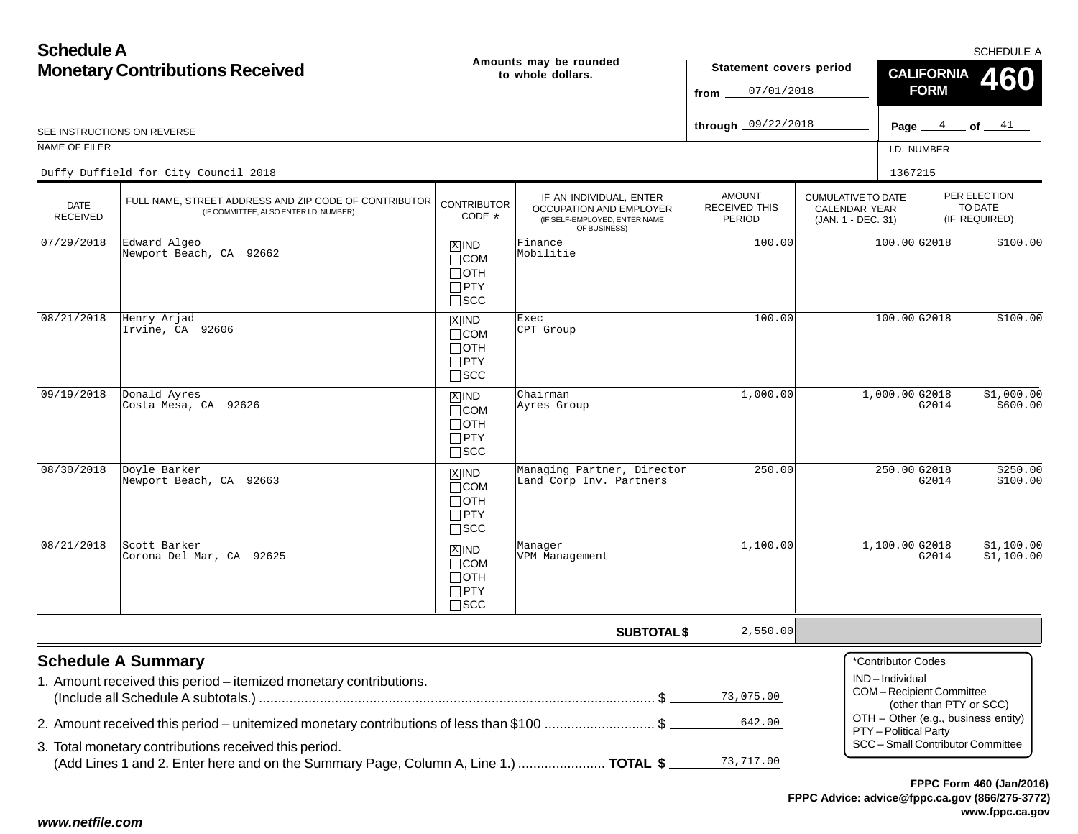| <b>Schedule A</b>                                           |                                                                                                                                                                                                                                           |                                                                    |                                                                                                     |                                          |                                                                  |                                                                                                   |                         |                                          | SCHEDULE A               |
|-------------------------------------------------------------|-------------------------------------------------------------------------------------------------------------------------------------------------------------------------------------------------------------------------------------------|--------------------------------------------------------------------|-----------------------------------------------------------------------------------------------------|------------------------------------------|------------------------------------------------------------------|---------------------------------------------------------------------------------------------------|-------------------------|------------------------------------------|--------------------------|
| <b>Monetary Contributions Received</b><br>to whole dollars. |                                                                                                                                                                                                                                           | Amounts may be rounded                                             | Statement covers period<br>07/01/2018<br>from                                                       |                                          | <b>CALIFORNIA</b><br><b>FORM</b>                                 | <b>460</b>                                                                                        |                         |                                          |                          |
|                                                             | SEE INSTRUCTIONS ON REVERSE                                                                                                                                                                                                               |                                                                    |                                                                                                     | through 09/22/2018                       |                                                                  |                                                                                                   |                         |                                          | Page $4$ of $41$         |
| NAME OF FILER                                               |                                                                                                                                                                                                                                           |                                                                    |                                                                                                     |                                          |                                                                  |                                                                                                   | I.D. NUMBER             |                                          |                          |
|                                                             | Duffy Duffield for City Council 2018                                                                                                                                                                                                      |                                                                    |                                                                                                     |                                          |                                                                  | 1367215                                                                                           |                         |                                          |                          |
| <b>DATE</b><br><b>RECEIVED</b>                              | FULL NAME, STREET ADDRESS AND ZIP CODE OF CONTRIBUTOR<br>(IF COMMITTEE, ALSO ENTER I.D. NUMBER)                                                                                                                                           | <b>CONTRIBUTOR</b><br>CODE *                                       | IF AN INDIVIDUAL, ENTER<br>OCCUPATION AND EMPLOYER<br>(IF SELF-EMPLOYED, ENTER NAME<br>OF BUSINESS) | <b>AMOUNT</b><br>RECEIVED THIS<br>PERIOD | <b>CUMULATIVE TO DATE</b><br>CALENDAR YEAR<br>(JAN. 1 - DEC. 31) |                                                                                                   |                         | PER ELECTION<br>TO DATE<br>(IF REQUIRED) |                          |
| 07/29/2018                                                  | Edward Algeo<br>Newport Beach, CA 92662                                                                                                                                                                                                   | $X$ IND<br>$\Box$ COM<br>$\Box$ OTH<br>$\Box$ PTY<br>$\square$ SCC | Finance<br>Mobilitie                                                                                | 100.00                                   |                                                                  | $100.00$ G2018                                                                                    |                         |                                          | \$100.00                 |
| 08/21/2018                                                  | Henry Arjad<br>Irvine, CA 92606                                                                                                                                                                                                           | $X$ IND<br>$\Box$ COM<br>$\Box$ OTH<br>$\Box$ PTY<br>$\square$ SCC | Exec<br>CPT Group                                                                                   | 100.00                                   |                                                                  | $100.00$ G2018                                                                                    |                         |                                          | \$100.00                 |
| 09/19/2018                                                  | Donald Ayres<br>Costa Mesa, CA 92626                                                                                                                                                                                                      | $X$ IND<br>$\Box$ COM<br>$\Box$ OTH<br>$\Box$ PTY<br>$\square$ SCC | Chairman<br>Ayres Group                                                                             | 1,000.00                                 |                                                                  | $1,000.00$ 32018                                                                                  | G2014                   |                                          | \$1,000.00<br>\$600.00   |
| 08/30/2018                                                  | Doyle Barker<br>Newport Beach, CA 92663                                                                                                                                                                                                   | $X$ IND<br>$\Box$ COM<br>$\Box$ OTH<br>$\Box$ PTY<br>$\Box$ scc    | Managing Partner, Director<br>Land Corp Inv. Partners                                               | 250.00                                   |                                                                  | 250.00 G2018                                                                                      | G2014                   |                                          | \$250.00<br>\$100.00     |
| 08/21/2018                                                  | Scott Barker<br>Corona Del Mar, CA 92625                                                                                                                                                                                                  | $X$ IND<br>$\Box$ COM<br>$\Box$ OTH<br>$\Box$ PTY<br>$\square$ SCC | Manager<br>VPM Management                                                                           | 1,100.00                                 |                                                                  | $1,100.00$ G2018                                                                                  | G2014                   |                                          | \$1,100.00<br>\$1,100.00 |
|                                                             |                                                                                                                                                                                                                                           |                                                                    | <b>SUBTOTAL \$</b>                                                                                  | 2,550.00                                 |                                                                  |                                                                                                   |                         |                                          |                          |
|                                                             | <b>Schedule A Summary</b><br>1. Amount received this period - itemized monetary contributions.                                                                                                                                            |                                                                    |                                                                                                     | 73,075.00                                |                                                                  | *Contributor Codes<br>IND-Individual<br><b>COM-Recipient Committee</b>                            | (other than PTY or SCC) |                                          |                          |
|                                                             | 2. Amount received this period – unitemized monetary contributions of less than \$100 \$<br>3. Total monetary contributions received this period.<br>(Add Lines 1 and 2. Enter here and on the Summary Page, Column A, Line 1.)  TOTAL \$ |                                                                    |                                                                                                     | 642.00<br>73,717.00                      |                                                                  | OTH - Other (e.g., business entity)<br>PTY - Political Party<br>SCC - Small Contributor Committee |                         |                                          |                          |

## *www.netfile.com*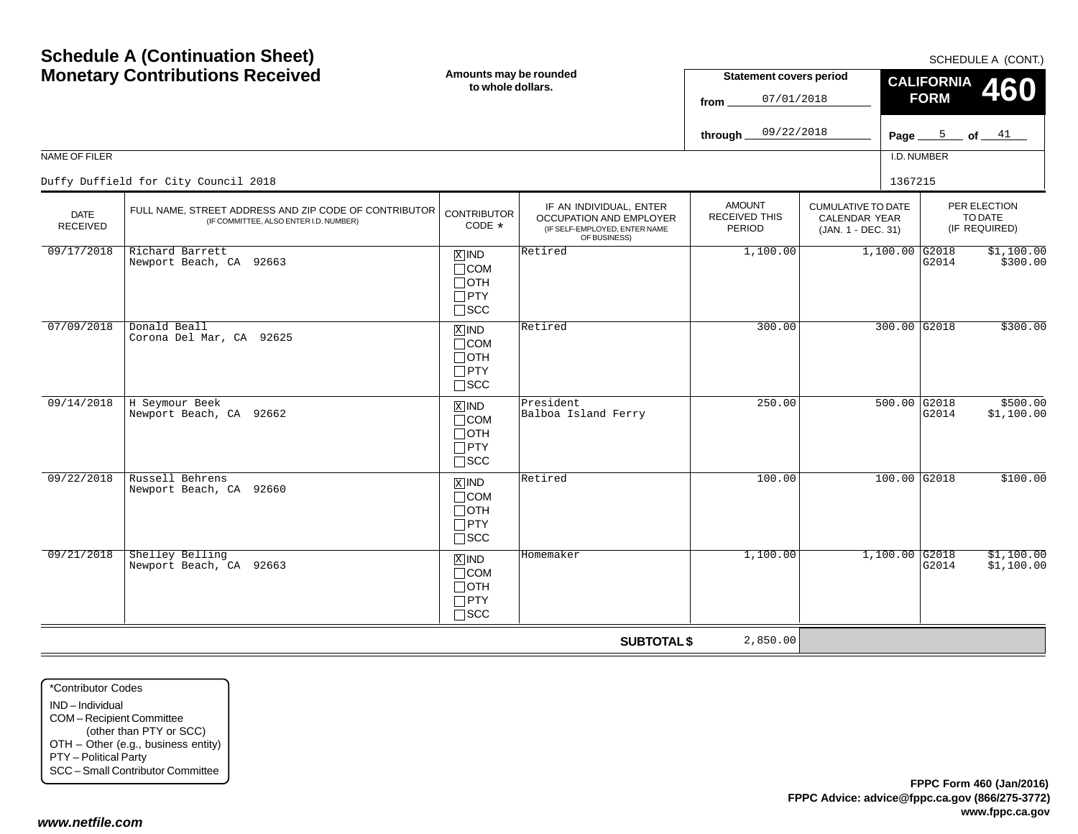| <b>Monetary Contributions Received</b> |                                                                                                 | Amounts may be rounded<br>to whole dollars.                                   |                                                                                                     | <b>Statement covers period</b><br>07/01/2018<br>from |                                                                         | <b>CALIFORNIA</b><br>460<br><b>FORM</b> |                                          |  |
|----------------------------------------|-------------------------------------------------------------------------------------------------|-------------------------------------------------------------------------------|-----------------------------------------------------------------------------------------------------|------------------------------------------------------|-------------------------------------------------------------------------|-----------------------------------------|------------------------------------------|--|
|                                        |                                                                                                 |                                                                               |                                                                                                     | 09/22/2018<br>through_                               |                                                                         |                                         | Page $5$ of $41$                         |  |
| NAME OF FILER                          |                                                                                                 |                                                                               |                                                                                                     |                                                      |                                                                         | I.D. NUMBER                             |                                          |  |
|                                        | Duffy Duffield for City Council 2018                                                            |                                                                               |                                                                                                     |                                                      |                                                                         | 1367215                                 |                                          |  |
| <b>DATE</b><br><b>RECEIVED</b>         | FULL NAME, STREET ADDRESS AND ZIP CODE OF CONTRIBUTOR<br>(IF COMMITTEE, ALSO ENTER I.D. NUMBER) | <b>CONTRIBUTOR</b><br>CODE *                                                  | IF AN INDIVIDUAL, ENTER<br>OCCUPATION AND EMPLOYER<br>(IF SELF-EMPLOYED, ENTER NAME<br>OF BUSINESS) | <b>AMOUNT</b><br>RECEIVED THIS<br>PERIOD             | <b>CUMULATIVE TO DATE</b><br><b>CALENDAR YEAR</b><br>(JAN. 1 - DEC. 31) |                                         | PER ELECTION<br>TO DATE<br>(IF REQUIRED) |  |
| 09/17/2018                             | Richard Barrett<br>Newport Beach, CA 92663                                                      | $X$ IND<br>$\Box$ COM<br>$\Box$ OTH<br>$\square$ PTY<br>$\sqcap$ scc          | Retired                                                                                             | 1,100.00                                             |                                                                         | $1,100.00$ G2018<br>G2014               | \$1,100.00<br>\$300.00                   |  |
| 07/09/2018                             | Donald Beall<br>Corona Del Mar, CA 92625                                                        | $\overline{X}$ IND<br>$\Box$ COM<br>$\Box$ oth<br>$\Box$ PTY<br>$\square$ SCC | Retired                                                                                             | 300.00                                               |                                                                         | 300.00 G2018                            | \$300.00                                 |  |
| 09/14/2018                             | H Seymour Beek<br>Newport Beach, CA 92662                                                       | $X$ IND<br>$\sqcap$ COM<br>$\Box$ OTH<br>$\Box$ PTY<br>$\sqcap$ SCC           | President<br>Balboa Island Ferry                                                                    | 250.00                                               |                                                                         | 500.00 G2018<br>G2014                   | \$500.00<br>\$1,100.00                   |  |
| 09/22/2018                             | Russell Behrens<br>Newport Beach, CA 92660                                                      | $X$ IND<br>$\Box$ COM<br>$\Box$ oth<br>$\Box$ PTY<br>$\Box$ scc               | Retired                                                                                             | 100.00                                               |                                                                         | $100.00$ G2018                          | \$100.00                                 |  |
| 09/21/2018                             | Shelley Belling<br>Newport Beach, CA 92663                                                      | $X$ IND<br>$\Box$ COM<br>$\Box$ OTH<br>$\Box$ PTY<br>$\Box$ scc               | Homemaker                                                                                           | 1,100.00                                             |                                                                         | $1,100.00$ G2018<br>G2014               | \$1,100.00<br>\$1,100.00                 |  |
|                                        |                                                                                                 |                                                                               | <b>SUBTOTAL \$</b>                                                                                  | 2,850.00                                             |                                                                         |                                         |                                          |  |

\*Contributor CodesIND – Individual COM – Recipient Committee (other than PTY or SCC) OTH – Other (e.g., business entity) PTY – Political Party SCC – Small Contributor Committee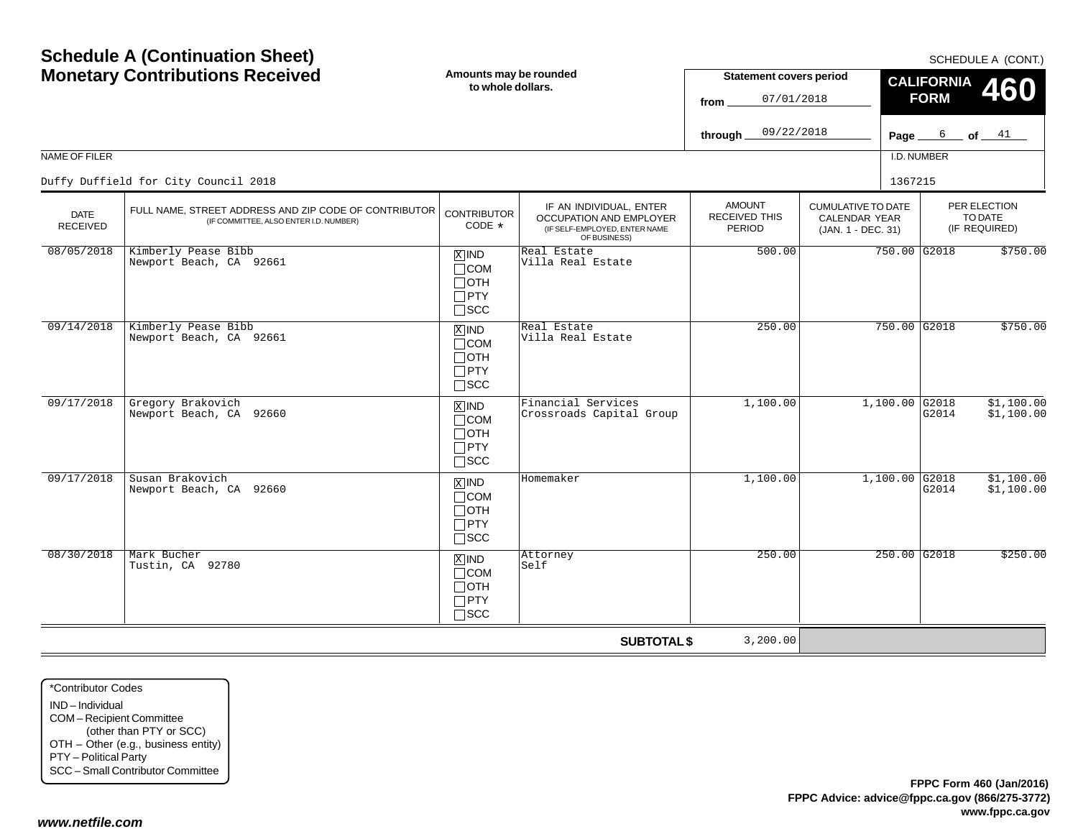| <b>Monetary Contributions Received</b> |                                                                                                 |                                                                               | Amounts may be rounded<br>to whole dollars.                                                         |                                                 | <b>Statement covers period</b><br>07/01/2018                     | <b>CALIFORNIA</b><br>460<br><b>FORM</b> |                                          |  |
|----------------------------------------|-------------------------------------------------------------------------------------------------|-------------------------------------------------------------------------------|-----------------------------------------------------------------------------------------------------|-------------------------------------------------|------------------------------------------------------------------|-----------------------------------------|------------------------------------------|--|
|                                        |                                                                                                 |                                                                               |                                                                                                     | 09/22/2018<br>through.                          |                                                                  |                                         | Page $6$ of $41$                         |  |
| NAME OF FILER                          |                                                                                                 |                                                                               |                                                                                                     |                                                 |                                                                  | I.D. NUMBER                             |                                          |  |
|                                        | Duffy Duffield for City Council 2018                                                            |                                                                               |                                                                                                     |                                                 |                                                                  | 1367215                                 |                                          |  |
| <b>DATE</b><br><b>RECEIVED</b>         | FULL NAME, STREET ADDRESS AND ZIP CODE OF CONTRIBUTOR<br>(IF COMMITTEE, ALSO ENTER I.D. NUMBER) | <b>CONTRIBUTOR</b><br>CODE *                                                  | IF AN INDIVIDUAL, ENTER<br>OCCUPATION AND EMPLOYER<br>(IF SELF-EMPLOYED, ENTER NAME<br>OF BUSINESS) | <b>AMOUNT</b><br><b>RECEIVED THIS</b><br>PERIOD | <b>CUMULATIVE TO DATE</b><br>CALENDAR YEAR<br>(JAN. 1 - DEC. 31) |                                         | PER ELECTION<br>TO DATE<br>(IF REQUIRED) |  |
| 08/05/2018                             | Kimberly Pease Bibb<br>Newport Beach, CA 92661                                                  | $X$ IND<br>$\Box$ COM<br>$\Box$ OTH<br>$\Box$ PTY<br>$\Box$ scc               | Real Estate<br>Villa Real Estate                                                                    | 500.00                                          |                                                                  | 750.00 G2018                            | \$750.00                                 |  |
| 09/14/2018                             | Kimberly Pease Bibb<br>Newport Beach, CA 92661                                                  | $\overline{X}$ IND<br>$\Box$ COM<br>$\Box$ OTH<br>$\Box$ PTY<br>$\square$ scc | Real Estate<br>Villa Real Estate                                                                    | 250.00                                          |                                                                  | 750.00 G2018                            | \$750.00                                 |  |
| 09/17/2018                             | Gregory Brakovich<br>Newport Beach, CA 92660                                                    | $X$ IND<br>$\Box$ COM<br>$\Box$ OTH<br>$\Box$ PTY<br>$\square$ SCC            | Financial Services<br>Crossroads Capital Group                                                      | 1,100.00                                        |                                                                  | $1,100.00$ G2018<br>G2014               | \$1,100.00<br>\$1,100.00                 |  |
| 09/17/2018                             | Susan Brakovich<br>Newport Beach, CA 92660                                                      | $\overline{X}$ IND<br>$\Box$ COM<br>$\Box$ OTH<br>$\Box$ PTY<br>$\square$ SCC | Homemaker                                                                                           | 1,100.00                                        |                                                                  | $1,100.00$ G2018<br>G2014               | \$1,100.00<br>\$1,100.00                 |  |
| 08/30/2018                             | Mark Bucher<br>Tustin, CA 92780                                                                 | $X$ IND<br>$\Box$ COM<br>$\Box$ OTH<br>$\Box$ PTY<br>$\Box$ scc               | Attorney<br>Self                                                                                    | 250.00                                          |                                                                  | $250.00$ G2018                          | \$250.00                                 |  |
|                                        |                                                                                                 |                                                                               | <b>SUBTOTAL \$</b>                                                                                  | 3,200.00                                        |                                                                  |                                         |                                          |  |

\*Contributor CodesIND – Individual COM – Recipient Committee (other than PTY or SCC) OTH – Other (e.g., business entity) PTY – Political Party SCC – Small Contributor Committee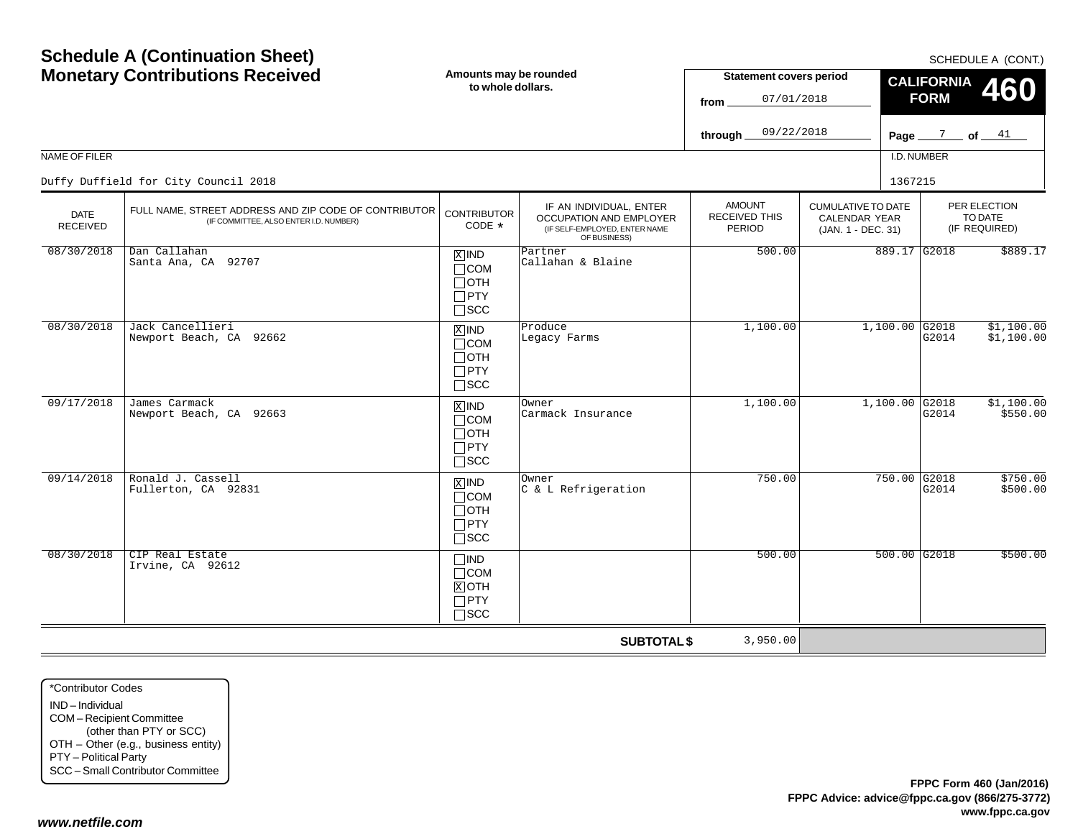| <b>Monetary Contributions Received</b> |                                                                                                 |                                                                                   | Amounts may be rounded<br>to whole dollars.                                                         |                                                 | <b>Statement covers period</b><br>07/01/2018                            | <b>CALIFORNIA</b><br>460<br><b>FORM</b> |                                          |  |
|----------------------------------------|-------------------------------------------------------------------------------------------------|-----------------------------------------------------------------------------------|-----------------------------------------------------------------------------------------------------|-------------------------------------------------|-------------------------------------------------------------------------|-----------------------------------------|------------------------------------------|--|
|                                        |                                                                                                 |                                                                                   |                                                                                                     | 09/22/2018<br>through                           |                                                                         | Page $\frac{7}{2}$ of $\frac{41}{2}$    |                                          |  |
| NAME OF FILER                          |                                                                                                 |                                                                                   |                                                                                                     |                                                 |                                                                         | I.D. NUMBER                             |                                          |  |
|                                        | Duffy Duffield for City Council 2018                                                            |                                                                                   |                                                                                                     |                                                 |                                                                         | 1367215                                 |                                          |  |
| <b>DATE</b><br><b>RECEIVED</b>         | FULL NAME, STREET ADDRESS AND ZIP CODE OF CONTRIBUTOR<br>(IF COMMITTEE, ALSO ENTER I.D. NUMBER) | <b>CONTRIBUTOR</b><br>CODE $*$                                                    | IF AN INDIVIDUAL, ENTER<br>OCCUPATION AND EMPLOYER<br>(IF SELF-EMPLOYED, ENTER NAME<br>OF BUSINESS) | <b>AMOUNT</b><br><b>RECEIVED THIS</b><br>PERIOD | <b>CUMULATIVE TO DATE</b><br><b>CALENDAR YEAR</b><br>(JAN. 1 - DEC. 31) |                                         | PER ELECTION<br>TO DATE<br>(IF REQUIRED) |  |
| 08/30/2018                             | Dan Callahan<br>Santa Ana, CA 92707                                                             | $X$ IND<br>$\Box$ COM<br>$\Box$ OTH<br>$\Box$ PTY<br>$\square$ SCC                | Partner<br>Callahan & Blaine                                                                        | 500.00                                          |                                                                         | 889.17 G2018                            | \$889.17                                 |  |
| 08/30/2018                             | Jack Cancellieri<br>Newport Beach, CA 92662                                                     | $X$ IND<br>$\Box$ COM<br>$\Box$ OTH<br>$\Box$ PTY<br>$\square$ SCC                | Produce<br>Legacy Farms                                                                             | 1,100.00                                        |                                                                         | 1,100.00 G2018<br>G2014                 | \$1,100.00<br>\$1,100.00                 |  |
| 09/17/2018                             | James Carmack<br>Newport Beach, CA 92663                                                        | $X$ IND<br>$\Box$ COM<br>$\Box$ OTH<br>$\Box$ PTY<br>$\square$ SCC                | Owner<br>Carmack Insurance                                                                          | 1,100.00                                        |                                                                         | $1,100.00$ G2018<br>G2014               | \$1,100.00<br>\$550.00                   |  |
| 09/14/2018                             | Ronald J. Cassell<br>Fullerton, CA 92831                                                        | $\boxed{\text{X}}$ IND<br>$\Box$ COM<br>$\Box$ OTH<br>$\Box$ PTY<br>$\square$ SCC | Owner<br>C & L Refrigeration                                                                        | 750.00                                          |                                                                         | 750.00 G2018<br>G2014                   | \$750.00<br>\$500.00                     |  |
| 08/30/2018                             | CIP Real Estate<br>Irvine, CA 92612                                                             | $\Box$ IND<br>$\Box$ COM<br>$X$ OTH<br>$\Box$ PTY<br>$\Box$ SCC                   |                                                                                                     | 500.00                                          |                                                                         | $500.00$ G2018                          | \$500.00                                 |  |
|                                        |                                                                                                 |                                                                                   | <b>SUBTOTAL \$</b>                                                                                  | 3,950.00                                        |                                                                         |                                         |                                          |  |

\*Contributor CodesIND – Individual COM – Recipient Committee (other than PTY or SCC) OTH – Other (e.g., business entity) PTY – Political Party SCC – Small Contributor Committee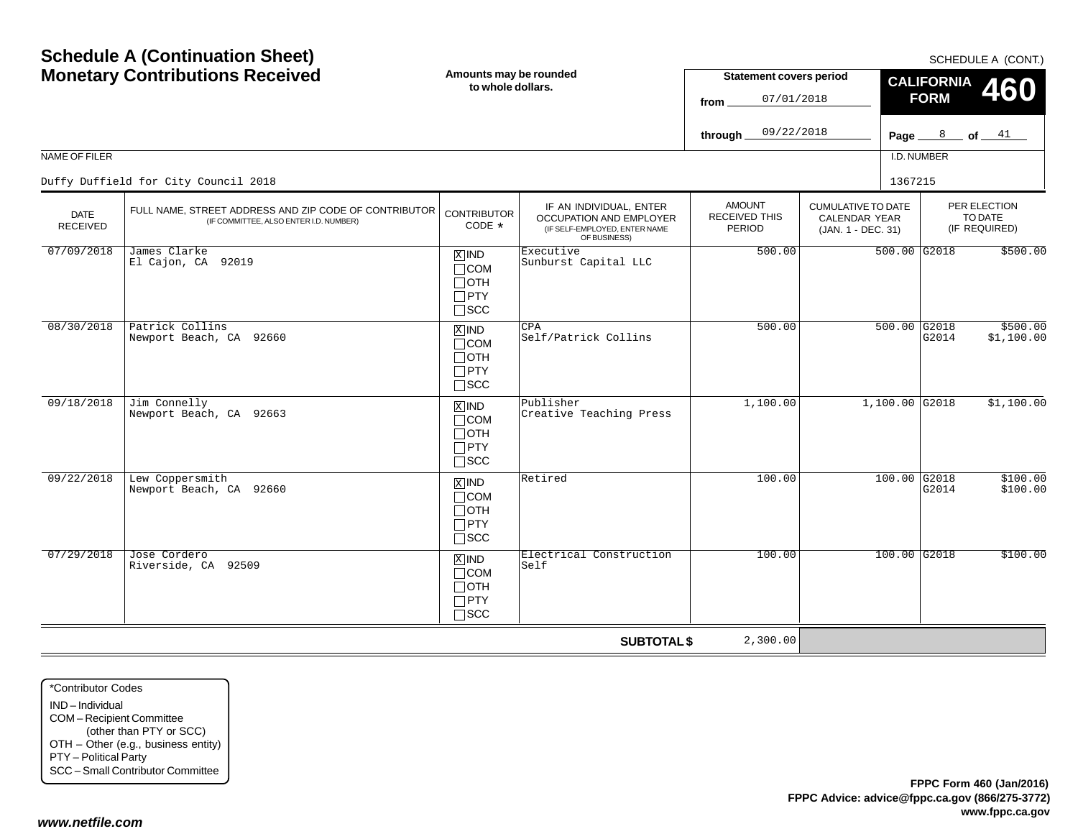| <b>Monetary Contributions Received</b> |                                                                                                 |                                                                               | Amounts may be rounded<br>to whole dollars.                                                         |                                                 | <b>Statement covers period</b><br>07/01/2018                     | <b>CALIFORNIA</b><br>460<br><b>FORM</b> |                                          |  |
|----------------------------------------|-------------------------------------------------------------------------------------------------|-------------------------------------------------------------------------------|-----------------------------------------------------------------------------------------------------|-------------------------------------------------|------------------------------------------------------------------|-----------------------------------------|------------------------------------------|--|
|                                        |                                                                                                 |                                                                               |                                                                                                     | 09/22/2018<br>through.                          |                                                                  | Page $8$ of $41$                        |                                          |  |
| NAME OF FILER                          |                                                                                                 |                                                                               |                                                                                                     |                                                 |                                                                  | I.D. NUMBER                             |                                          |  |
|                                        | Duffy Duffield for City Council 2018                                                            |                                                                               |                                                                                                     |                                                 |                                                                  | 1367215                                 |                                          |  |
| <b>DATE</b><br><b>RECEIVED</b>         | FULL NAME, STREET ADDRESS AND ZIP CODE OF CONTRIBUTOR<br>(IF COMMITTEE, ALSO ENTER I.D. NUMBER) | <b>CONTRIBUTOR</b><br>CODE *                                                  | IF AN INDIVIDUAL, ENTER<br>OCCUPATION AND EMPLOYER<br>(IF SELF-EMPLOYED, ENTER NAME<br>OF BUSINESS) | <b>AMOUNT</b><br><b>RECEIVED THIS</b><br>PERIOD | <b>CUMULATIVE TO DATE</b><br>CALENDAR YEAR<br>(JAN. 1 - DEC. 31) |                                         | PER ELECTION<br>TO DATE<br>(IF REQUIRED) |  |
| 07/09/2018                             | James Clarke<br>El Cajon, CA 92019                                                              | $X$ IND<br>$\Box$ COM<br>∏ОТН<br>$\Box$ PTY<br>$\Box$ scc                     | Executive<br>Sunburst Capital LLC                                                                   | 500.00                                          |                                                                  | 500.00 G2018                            | \$500.00                                 |  |
| 08/30/2018                             | Patrick Collins<br>Newport Beach, CA 92660                                                      | $\overline{X}$ IND<br>$\Box$ COM<br>$\Box$ OTH<br>$\Box$ PTY<br>$\square$ scc | CPA<br>Self/Patrick Collins                                                                         | 500.00                                          |                                                                  | $500.00$ G2018<br>G2014                 | \$500.00<br>\$1,100.00                   |  |
| 09/18/2018                             | Jim Connelly<br>Newport Beach, CA 92663                                                         | $X$ IND<br>$\Box$ COM<br>$\Box$ OTH<br>$\Box$ PTY<br>$\square$ SCC            | Publisher<br>Creative Teaching Press                                                                | 1,100.00                                        |                                                                  | $1,100.00$ G2018                        | \$1,100.00                               |  |
| 09/22/2018                             | Lew Coppersmith<br>Newport Beach, CA 92660                                                      | $\overline{X}$ IND<br>$\Box$ COM<br>$\Box$ OTH<br>$\Box$ PTY<br>$\square$ SCC | Retired                                                                                             | 100.00                                          |                                                                  | $100.00$ G2018<br>G2014                 | \$100.00<br>\$100.00                     |  |
| 07/29/2018                             | Jose Cordero<br>Riverside, CA 92509                                                             | $X$ IND<br>$\Box$ COM<br>$\Box$ OTH<br>$\Box$ PTY<br>$\square$ SCC            | Electrical Construction<br>Self                                                                     | 100.00                                          |                                                                  | 100.00 G2018                            | \$100.00                                 |  |
|                                        |                                                                                                 |                                                                               | <b>SUBTOTAL \$</b>                                                                                  | 2,300.00                                        |                                                                  |                                         |                                          |  |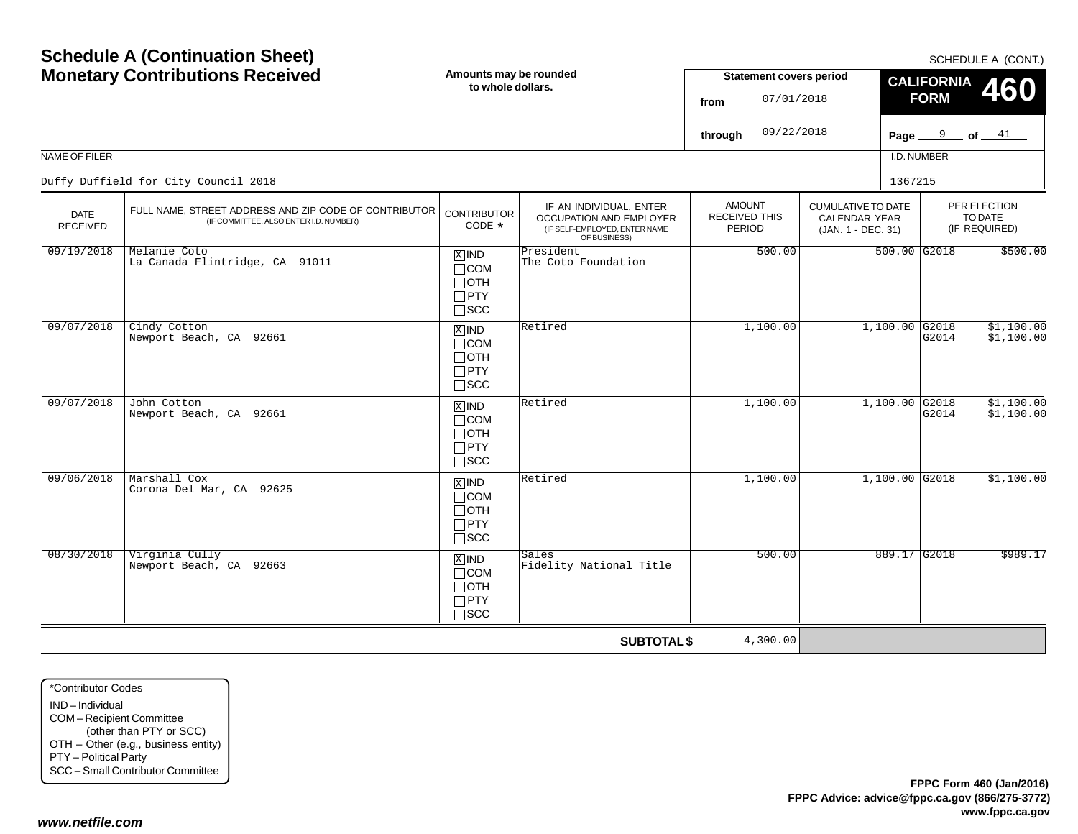|                         | <b>Monetary Contributions Received</b>                                                          | Amounts may be rounded<br>to whole dollars.                                       |                                                                                                     | <b>Statement covers period</b><br>07/01/2018<br>from |                                                                         | CALIFORNIA 460<br><b>FORM</b> |                                          |  |
|-------------------------|-------------------------------------------------------------------------------------------------|-----------------------------------------------------------------------------------|-----------------------------------------------------------------------------------------------------|------------------------------------------------------|-------------------------------------------------------------------------|-------------------------------|------------------------------------------|--|
|                         |                                                                                                 |                                                                                   |                                                                                                     | 09/22/2018<br>through $\_$                           |                                                                         | Page $9$ of $41$              |                                          |  |
| NAME OF FILER           |                                                                                                 |                                                                                   |                                                                                                     |                                                      |                                                                         | I.D. NUMBER                   |                                          |  |
|                         | Duffy Duffield for City Council 2018                                                            |                                                                                   |                                                                                                     |                                                      |                                                                         | 1367215                       |                                          |  |
| <b>DATE</b><br>RECEIVED | FULL NAME, STREET ADDRESS AND ZIP CODE OF CONTRIBUTOR<br>(IF COMMITTEE, ALSO ENTER I.D. NUMBER) | <b>CONTRIBUTOR</b><br>CODE *                                                      | IF AN INDIVIDUAL, ENTER<br>OCCUPATION AND EMPLOYER<br>(IF SELF-EMPLOYED, ENTER NAME<br>OF BUSINESS) | <b>AMOUNT</b><br><b>RECEIVED THIS</b><br>PERIOD      | <b>CUMULATIVE TO DATE</b><br><b>CALENDAR YEAR</b><br>(JAN. 1 - DEC. 31) |                               | PER ELECTION<br>TO DATE<br>(IF REQUIRED) |  |
| 09/19/2018              | Melanie Coto<br>La Canada Flintridge, CA 91011                                                  | $X$ IND<br>$\Box$ COM<br>$\Box$ OTH<br>$\Box$ PTY<br>$\Box$ scc                   | President<br>The Coto Foundation                                                                    | 500.00                                               |                                                                         | $500.00$ G2018                | \$500.00                                 |  |
| 09/07/2018              | Cindy Cotton<br>Newport Beach, CA 92661                                                         | $X$ IND<br>$\Box$ COM<br>$\Box$ OTH<br>$\Box$ PTY<br>$\square$ scc                | Retired                                                                                             | 1,100.00                                             |                                                                         | $1,100.00$ G2018<br>G2014     | \$1,100.00<br>\$1,100.00                 |  |
| 09/07/2018              | John Cotton<br>Newport Beach, CA 92661                                                          | $X$ IND<br>$\Box$ COM<br>$\Box$ OTH<br>$\Box$ PTY<br>$\square$ SCC                | Retired                                                                                             | 1,100.00                                             |                                                                         | $1,100.00$ G2018<br>G2014     | \$1,100.00<br>\$1,100.00                 |  |
| 09/06/2018              | Marshall Cox<br>Corona Del Mar, CA 92625                                                        | $\boxed{\text{X}}$ IND<br>$\Box$ COM<br>$\Box$ OTH<br>$\Box$ PTY<br>$\square$ SCC | Retired                                                                                             | 1,100.00                                             |                                                                         | $1,100.00$ G2018              | \$1,100.00                               |  |
| 08/30/2018              | Virginia Cully<br>Newport Beach, CA 92663                                                       | $X$ IND<br>$\Box$ COM<br>$\Box$ OTH<br>$\Box$ PTY<br>$\Box$ scc                   | Sales<br>Fidelity National Title                                                                    | 500.00                                               |                                                                         | 889.17 G2018                  | \$989.17                                 |  |
|                         |                                                                                                 |                                                                                   | <b>SUBTOTAL \$</b>                                                                                  | 4,300.00                                             |                                                                         |                               |                                          |  |

\*Contributor CodesIND – Individual COM – Recipient Committee (other than PTY or SCC) OTH – Other (e.g., business entity) PTY – Political Party SCC – Small Contributor Committee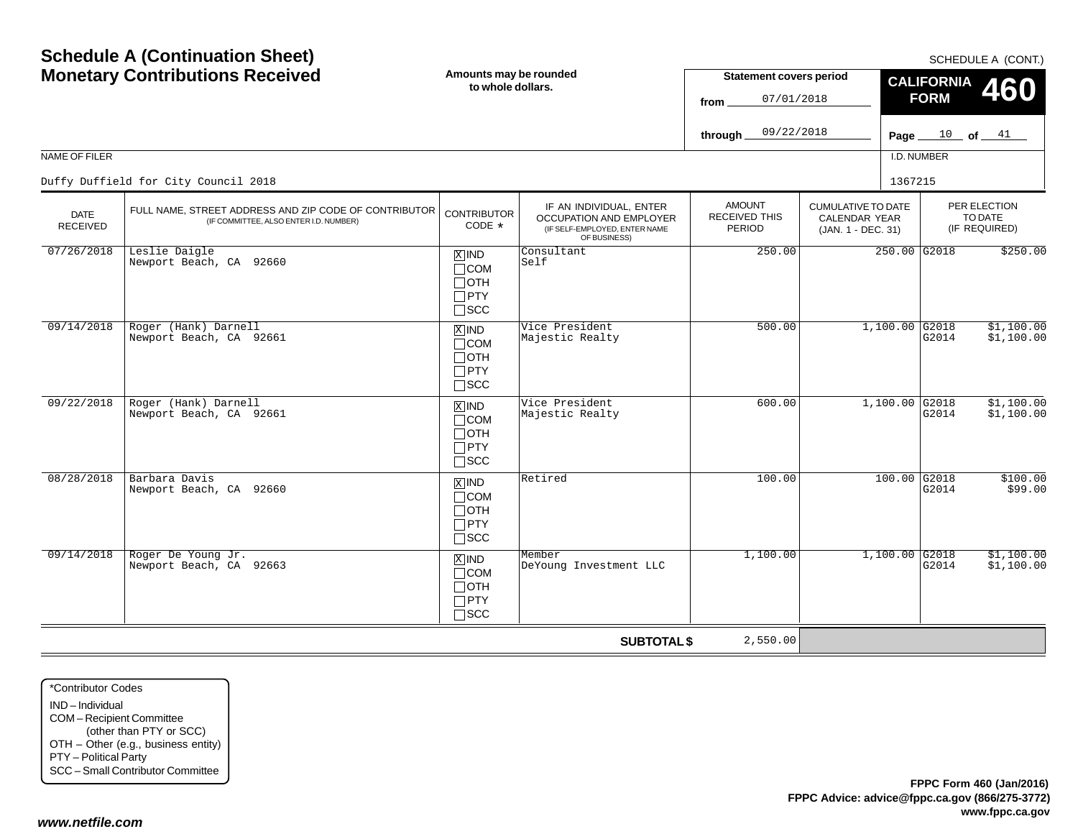|                                | <b>Monetary Contributions Received</b>                                                          | Amounts may be rounded<br>to whole dollars.                                   |                                                                                                     | <b>Statement covers period</b><br>07/01/2018<br>from |                                                                  | <b>CALIFORNIA</b><br>460<br><b>FORM</b> |                                          |  |
|--------------------------------|-------------------------------------------------------------------------------------------------|-------------------------------------------------------------------------------|-----------------------------------------------------------------------------------------------------|------------------------------------------------------|------------------------------------------------------------------|-----------------------------------------|------------------------------------------|--|
|                                |                                                                                                 |                                                                               |                                                                                                     | 09/22/2018<br>through_                               |                                                                  | Page $10$ of $41$                       |                                          |  |
| NAME OF FILER                  |                                                                                                 |                                                                               |                                                                                                     |                                                      |                                                                  | I.D. NUMBER                             |                                          |  |
|                                | Duffy Duffield for City Council 2018                                                            |                                                                               |                                                                                                     |                                                      |                                                                  | 1367215                                 |                                          |  |
| <b>DATE</b><br><b>RECEIVED</b> | FULL NAME, STREET ADDRESS AND ZIP CODE OF CONTRIBUTOR<br>(IF COMMITTEE, ALSO ENTER I.D. NUMBER) | <b>CONTRIBUTOR</b><br>CODE $*$                                                | IF AN INDIVIDUAL, ENTER<br>OCCUPATION AND EMPLOYER<br>(IF SELF-EMPLOYED, ENTER NAME<br>OF BUSINESS) | <b>AMOUNT</b><br>RECEIVED THIS<br>PERIOD             | <b>CUMULATIVE TO DATE</b><br>CALENDAR YEAR<br>(JAN. 1 - DEC. 31) |                                         | PER ELECTION<br>TO DATE<br>(IF REQUIRED) |  |
| 07/26/2018                     | Leslie Daigle<br>Newport Beach, CA 92660                                                        | $X$ IND<br>$\Box$ COM<br>$\Box$ OTH<br>$\Box$ PTY<br>$\square$ SCC            | Consultant<br> Self                                                                                 | 250.00                                               |                                                                  | 250.00 G2018                            | \$250.00                                 |  |
| 09/14/2018                     | Roger (Hank) Darnell<br>Newport Beach, CA 92661                                                 | $X$ IND<br>$\Box$ COM<br>$\Box$ OTH<br>$\Box$ PTY<br>$\square$ SCC            | Vice President<br>Majestic Realty                                                                   | 500.00                                               | $1,100.00$ G2018                                                 | G2014                                   | \$1,100.00<br>\$1,100.00                 |  |
| 09/22/2018                     | Roger (Hank) Darnell<br>Newport Beach, CA 92661                                                 | $X$ IND<br>$\Box$ COM<br>Потн<br>$\Box$ PTY<br>$\sqcap$ SCC                   | Vice President<br>Majestic Realty                                                                   | 600.00                                               | $1,100.00$ G2018                                                 | G2014                                   | \$1,100.00<br>\$1,100.00                 |  |
| 08/28/2018                     | Barbara Davis<br>Newport Beach, CA 92660                                                        | $\overline{X}$ IND<br>$\Box$ COM<br>$\Box$ OTH<br>$\Box$ PTY<br>$\square$ SCC | Retired                                                                                             | 100.00                                               |                                                                  | $100.00$ G2018<br>G2014                 | \$100.00<br>\$99.00                      |  |
| 09/14/2018                     | Roger De Young Jr.<br>Newport Beach, CA 92663                                                   | $X$ IND<br>$\Box$ COM<br>$\Box$ oth<br>$\Box$ PTY<br>$\Box$ scc               | Member<br>DeYoung Investment LLC                                                                    | 1,100.00                                             | $1,100.00$ G2018                                                 | G2014                                   | \$1,100.00<br>\$1,100.00                 |  |
|                                |                                                                                                 |                                                                               | <b>SUBTOTAL \$</b>                                                                                  | 2,550.00                                             |                                                                  |                                         |                                          |  |

\*Contributor CodesIND – Individual COM – Recipient Committee (other than PTY or SCC) OTH – Other (e.g., business entity) PTY – Political Party SCC – Small Contributor Committee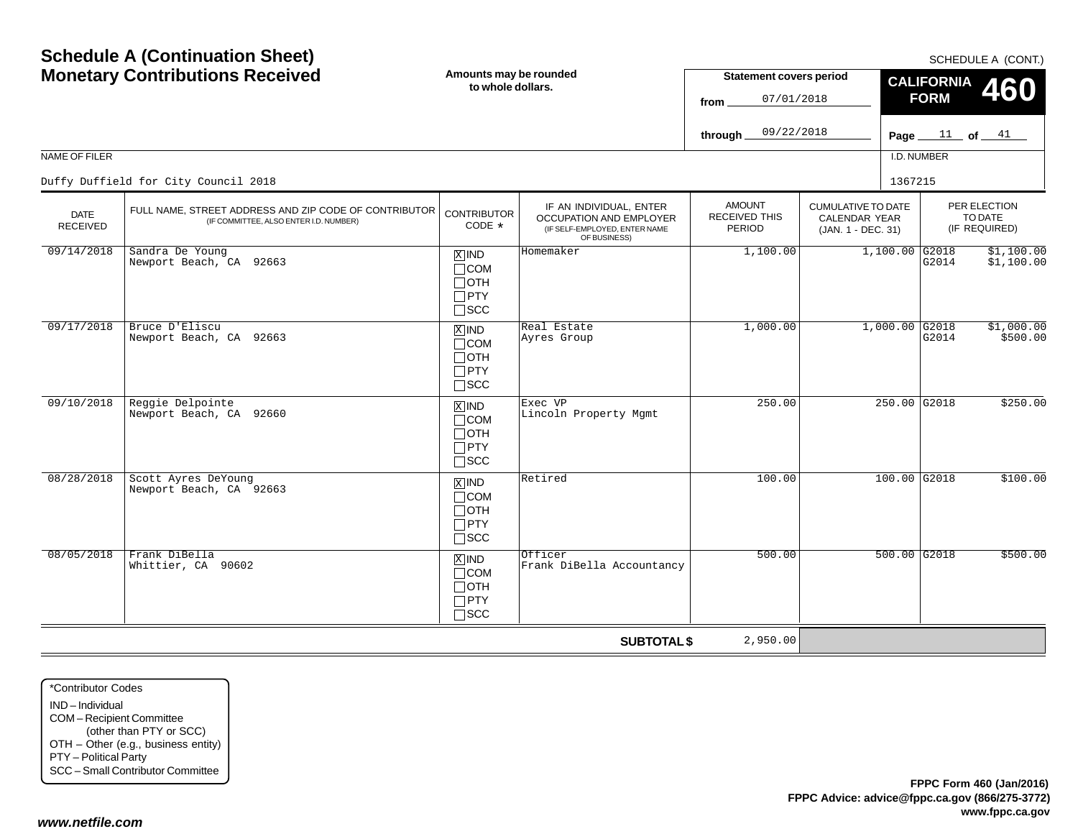|                                | <b>Monetary Contributions Received</b>                                                          | Amounts may be rounded<br>to whole dollars.                                       |                                                                                                     | <b>Statement covers period</b><br>07/01/2018<br>from |                                                                  | <b>CALIFORNIA</b><br>460<br><b>FORM</b> |                                          |  |
|--------------------------------|-------------------------------------------------------------------------------------------------|-----------------------------------------------------------------------------------|-----------------------------------------------------------------------------------------------------|------------------------------------------------------|------------------------------------------------------------------|-----------------------------------------|------------------------------------------|--|
|                                |                                                                                                 |                                                                                   |                                                                                                     |                                                      | 09/22/2018                                                       | Page $11$ of $41$                       |                                          |  |
| NAME OF FILER                  |                                                                                                 |                                                                                   |                                                                                                     |                                                      |                                                                  | I.D. NUMBER                             |                                          |  |
|                                | Duffy Duffield for City Council 2018                                                            |                                                                                   |                                                                                                     |                                                      |                                                                  | 1367215                                 |                                          |  |
| <b>DATE</b><br><b>RECEIVED</b> | FULL NAME, STREET ADDRESS AND ZIP CODE OF CONTRIBUTOR<br>(IF COMMITTEE, ALSO ENTER I.D. NUMBER) | <b>CONTRIBUTOR</b><br>CODE *                                                      | IF AN INDIVIDUAL, ENTER<br>OCCUPATION AND EMPLOYER<br>(IF SELF-EMPLOYED, ENTER NAME<br>OF BUSINESS) | <b>AMOUNT</b><br>RECEIVED THIS<br>PERIOD             | <b>CUMULATIVE TO DATE</b><br>CALENDAR YEAR<br>(JAN. 1 - DEC. 31) |                                         | PER ELECTION<br>TO DATE<br>(IF REQUIRED) |  |
| 09/14/2018                     | Sandra De Young<br>Newport Beach, CA 92663                                                      | $X$ IND<br>$\Box$ COM<br>$\Box$ OTH<br>$\Box$ PTY<br>$\square$ SCC                | Homemaker                                                                                           | 1,100.00                                             |                                                                  | $1,100.00$ G2018<br>G2014               | \$1,100.00<br>\$1,100.00                 |  |
| 09/17/2018                     | Bruce D'Eliscu<br>Newport Beach, CA 92663                                                       | $\overline{X}$ IND<br>$\Box$ COM<br>$\Box$ OTH<br>$\Box$ PTY<br>$\square$ SCC     | Real Estate<br>Ayres Group                                                                          | 1,000.00                                             |                                                                  | $1,000.00$ G2018<br>G2014               | \$1,000.00<br>\$500.00                   |  |
| 09/10/2018                     | Reggie Delpointe<br>Newport Beach, CA 92660                                                     | $X$ IND<br>$\Box$ COM<br>$\Box$ OTH<br>$\Box$ PTY<br>$\square$ SCC                | Exec VP<br>Lincoln Property Mgmt                                                                    | 250.00                                               |                                                                  | 250.00 G2018                            | \$250.00                                 |  |
| 08/28/2018                     | Scott Ayres DeYoung<br>Newport Beach, CA 92663                                                  | $\boxed{\text{X}}$ IND<br>$\Box$ COM<br>$\Box$ OTH<br>$\Box$ PTY<br>$\square$ SCC | Retired                                                                                             | 100.00                                               |                                                                  | $100.00$ G2018                          | \$100.00                                 |  |
| 08/05/2018                     | Frank DiBella<br>Whittier, CA 90602                                                             | $X$ IND<br>$\Box$ COM<br>$\Box$ OTH<br>$\Box$ PTY<br>$\Box$ SCC                   | Officer<br>Frank DiBella Accountancy                                                                | 500.00                                               |                                                                  | $500.00$ G2018                          | \$500.00                                 |  |
|                                |                                                                                                 |                                                                                   | <b>SUBTOTAL \$</b>                                                                                  | 2,950.00                                             |                                                                  |                                         |                                          |  |

\*Contributor CodesIND – Individual COM – Recipient Committee (other than PTY or SCC) OTH – Other (e.g., business entity) PTY – Political Party SCC – Small Contributor Committee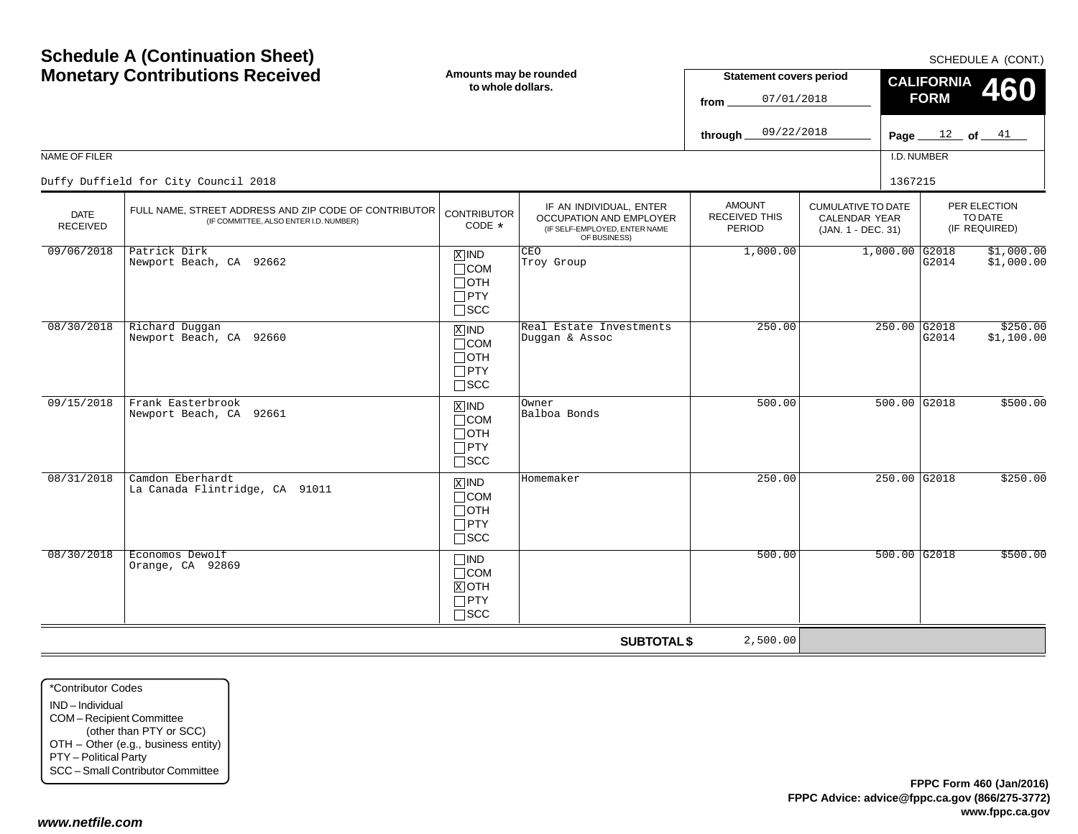|                                | <b>Monetary Contributions Received</b>                                                          | Amounts may be rounded<br>to whole dollars.                                   |                                                                                                     | <b>Statement covers period</b><br>07/01/2018<br>from |                                                                         | <b>CALIFORNIA</b><br>460<br><b>FORM</b> |                                          |  |
|--------------------------------|-------------------------------------------------------------------------------------------------|-------------------------------------------------------------------------------|-----------------------------------------------------------------------------------------------------|------------------------------------------------------|-------------------------------------------------------------------------|-----------------------------------------|------------------------------------------|--|
|                                |                                                                                                 |                                                                               |                                                                                                     | 09/22/2018<br>through.                               |                                                                         |                                         | Page $12$ of $41$                        |  |
| NAME OF FILER                  |                                                                                                 |                                                                               |                                                                                                     |                                                      |                                                                         | I.D. NUMBER                             |                                          |  |
|                                | Duffy Duffield for City Council 2018                                                            |                                                                               |                                                                                                     |                                                      |                                                                         | 1367215                                 |                                          |  |
| <b>DATE</b><br><b>RECEIVED</b> | FULL NAME, STREET ADDRESS AND ZIP CODE OF CONTRIBUTOR<br>(IF COMMITTEE, ALSO ENTER I.D. NUMBER) | <b>CONTRIBUTOR</b><br>CODE *                                                  | IF AN INDIVIDUAL, ENTER<br>OCCUPATION AND EMPLOYER<br>(IF SELF-EMPLOYED, ENTER NAME<br>OF BUSINESS) | <b>AMOUNT</b><br><b>RECEIVED THIS</b><br>PERIOD      | <b>CUMULATIVE TO DATE</b><br><b>CALENDAR YEAR</b><br>(JAN. 1 - DEC. 31) |                                         | PER ELECTION<br>TO DATE<br>(IF REQUIRED) |  |
| 09/06/2018                     | Patrick Dirk<br>Newport Beach, CA 92662                                                         | $X$ IND<br>$\Box$ COM<br>$\Box$ OTH<br>$\Box$ PTY<br>$\Box$ scc               | CEO<br>Troy Group                                                                                   | 1,000.00                                             |                                                                         | $1,000.00$ G2018<br>G2014               | \$1,000.00<br>\$1,000.00                 |  |
| 08/30/2018                     | Richard Duggan<br>Newport Beach, CA 92660                                                       | $\overline{X}$ IND<br>$\Box$ COM<br>$\Box$ OTH<br>$\Box$ PTY<br>$\square$ scc | Real Estate Investments<br>Duggan & Assoc                                                           | 250.00                                               |                                                                         | $250.00$ G2018<br>G2014                 | \$250.00<br>\$1,100.00                   |  |
| 09/15/2018                     | Frank Easterbrook<br>Newport Beach, CA 92661                                                    | $X$ IND<br>$\Box$ COM<br>$\Box$ OTH<br>$\Box$ PTY<br>$\Box$ SCC               | Owner<br>Balboa Bonds                                                                               | 500.00                                               |                                                                         | 500.00 G2018                            | \$500.00                                 |  |
| 08/31/2018                     | Camdon Eberhardt<br>La Canada Flintridge, CA 91011                                              | $X$ IND<br>$\Box$ COM<br>$\Box$ oth<br>$\Box$ PTY<br>$\square$ SCC            | Homemaker                                                                                           | 250.00                                               |                                                                         | 250.00 G2018                            | \$250.00                                 |  |
| 08/30/2018                     | Economos Dewolf<br>Orange, CA 92869                                                             | $\Box$ IND<br>$\Box$ COM<br>$X$ OTH<br>$\Box$ PTY<br>$\Box$ scc               |                                                                                                     | 500.00                                               |                                                                         | $500.00$ G2018                          | \$500.00                                 |  |
|                                |                                                                                                 |                                                                               | <b>SUBTOTAL \$</b>                                                                                  | 2,500.00                                             |                                                                         |                                         |                                          |  |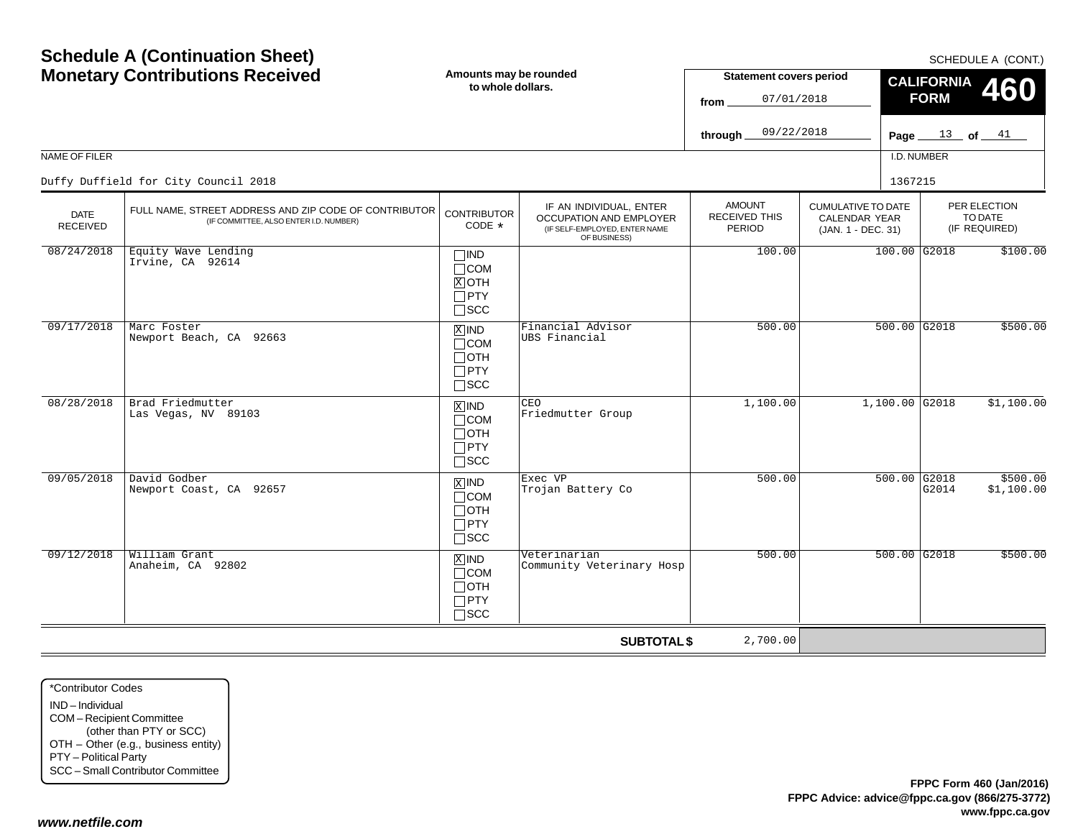| <b>Schedule A (Continuation Sheet)</b><br><b>Monetary Contributions Received</b> |                                                                                                 | Amounts may be rounded<br>to whole dollars.                                       |                                                                                                     | <b>Statement covers period</b><br>07/01/2018<br>from<br>09/22/2018<br>through |                                                                         |                | SCHEDULE A (CONT.)<br><b>CALIFORNIA</b><br><b>460</b><br><b>FORM</b><br>Page $13$ of $41$ |                                          |  |
|----------------------------------------------------------------------------------|-------------------------------------------------------------------------------------------------|-----------------------------------------------------------------------------------|-----------------------------------------------------------------------------------------------------|-------------------------------------------------------------------------------|-------------------------------------------------------------------------|----------------|-------------------------------------------------------------------------------------------|------------------------------------------|--|
| NAME OF FILER                                                                    |                                                                                                 |                                                                                   |                                                                                                     |                                                                               |                                                                         | I.D. NUMBER    |                                                                                           |                                          |  |
|                                                                                  | Duffy Duffield for City Council 2018                                                            |                                                                                   |                                                                                                     |                                                                               |                                                                         | 1367215        |                                                                                           |                                          |  |
| <b>DATE</b><br><b>RECEIVED</b>                                                   | FULL NAME, STREET ADDRESS AND ZIP CODE OF CONTRIBUTOR<br>(IF COMMITTEE, ALSO ENTER I.D. NUMBER) | <b>CONTRIBUTOR</b><br>CODE *                                                      | IF AN INDIVIDUAL, ENTER<br>OCCUPATION AND EMPLOYER<br>(IF SELF-EMPLOYED, ENTER NAME<br>OF BUSINESS) | <b>AMOUNT</b><br><b>RECEIVED THIS</b><br>PERIOD                               | <b>CUMULATIVE TO DATE</b><br><b>CALENDAR YEAR</b><br>(JAN. 1 - DEC. 31) |                |                                                                                           | PER ELECTION<br>TO DATE<br>(IF REQUIRED) |  |
| 08/24/2018                                                                       | Equity Wave Lending<br>Irvine, CA 92614                                                         | $\Box$ IND<br>$\Box$ COM<br>$X$ OTH<br>$\Box$ PTY<br>$\Box$ scc                   |                                                                                                     | 100.00                                                                        |                                                                         | 100.00 G2018   |                                                                                           | \$100.00                                 |  |
| 09/17/2018                                                                       | Marc Foster<br>Newport Beach, CA 92663                                                          | $\overline{X}$ IND<br>$\Box$ COM<br>$\Box$ OTH<br>$\Box$ PTY<br>$\square$ scc     | Financial Advisor<br>UBS Financial                                                                  | 500.00                                                                        |                                                                         | $500.00$ G2018 |                                                                                           | \$500.00                                 |  |
| 08/28/2018                                                                       | Brad Friedmutter<br>Las Vegas, NV 89103                                                         | $\overline{X}$ IND<br>$\Box$ COM<br>$\Box$ OTH<br>$\Box$ PTY<br>$\Box$ SCC        | CEO<br>Friedmutter Group                                                                            | 1,100.00                                                                      |                                                                         | 1,100.00 G2018 |                                                                                           | \$1,100.00                               |  |
| 09/05/2018                                                                       | David Godber<br>Newport Coast, CA 92657                                                         | $\boxed{\text{X}}$ IND<br>$\Box$ COM<br>$\Box$ OTH<br>$\Box$ PTY<br>$\square$ SCC | Exec VP<br>Trojan Battery Co                                                                        | 500.00                                                                        |                                                                         | $500.00$ G2018 | G2014                                                                                     | \$500.00<br>\$1,100.00                   |  |
| 09/12/2018                                                                       | William Grant<br>Anaheim, CA 92802                                                              | $X$ IND<br>$\Box$ COM<br>$\Box$ OTH<br>$\Box$ PTY<br>$\square$ SCC                | Veterinarian<br>Community Veterinary Hosp                                                           | 500.00                                                                        |                                                                         | $500.00$ G2018 |                                                                                           | \$500.00                                 |  |
|                                                                                  |                                                                                                 |                                                                                   | <b>SUBTOTAL \$</b>                                                                                  | 2,700.00                                                                      |                                                                         |                |                                                                                           |                                          |  |

\*Contributor CodesIND – Individual COM – Recipient Committee (other than PTY or SCC) OTH – Other (e.g., business entity) PTY – Political Party SCC – Small Contributor Committee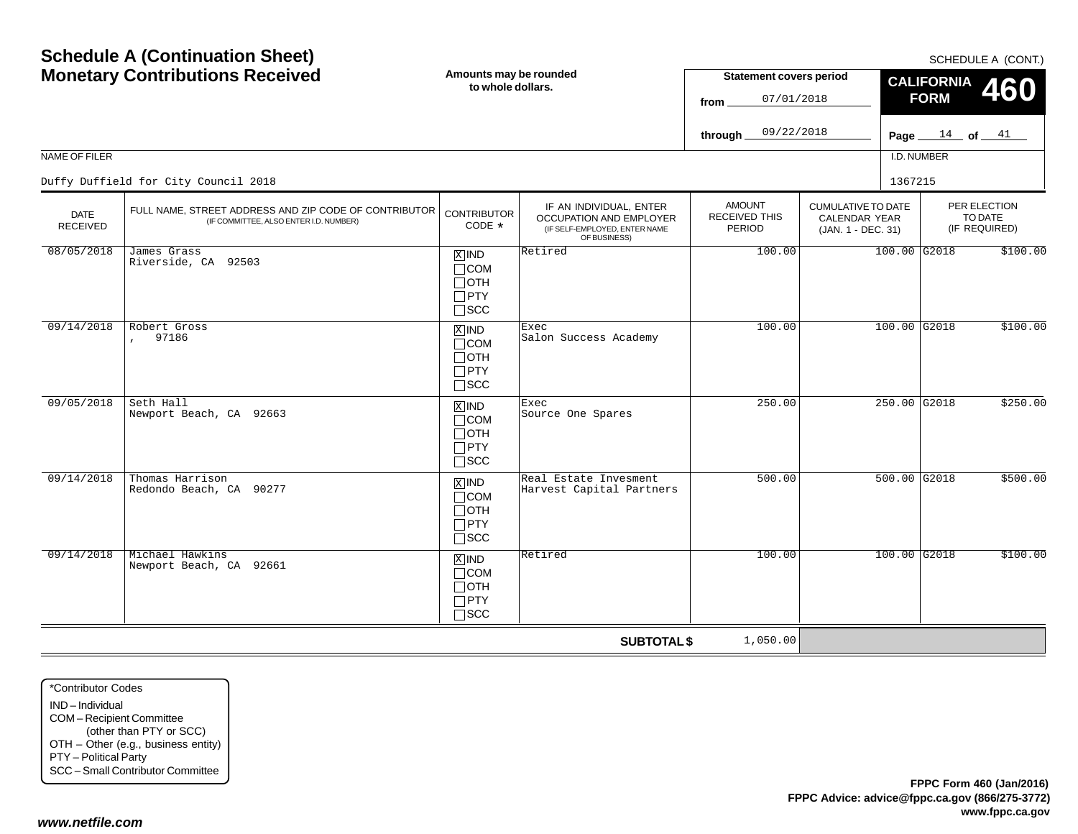| <b>Schedule A (Continuation Sheet)</b><br><b>Monetary Contributions Received</b><br>NAME OF FILER<br>Duffy Duffield for City Council 2018 |                                                                                                 | Amounts may be rounded<br>to whole dollars.                               |                                                                                                     |                                                        | <b>Statement covers period</b><br>07/01/2018<br>09/22/2018              | <b>CALIFORNIA</b><br><b>FORM</b><br>Page $_{-}$<br>I.D. NUMBER<br>1367215 | SCHEDULE A (CONT.)<br>460<br>$\frac{14}{14}$ of $\frac{41}{14}$ |
|-------------------------------------------------------------------------------------------------------------------------------------------|-------------------------------------------------------------------------------------------------|---------------------------------------------------------------------------|-----------------------------------------------------------------------------------------------------|--------------------------------------------------------|-------------------------------------------------------------------------|---------------------------------------------------------------------------|-----------------------------------------------------------------|
| <b>DATE</b><br><b>RECEIVED</b>                                                                                                            | FULL NAME, STREET ADDRESS AND ZIP CODE OF CONTRIBUTOR<br>(IF COMMITTEE, ALSO ENTER I.D. NUMBER) | <b>CONTRIBUTOR</b><br>$CODE *$                                            | IF AN INDIVIDUAL, ENTER<br>OCCUPATION AND EMPLOYER<br>(IF SELF-EMPLOYED, ENTER NAME<br>OF BUSINESS) | <b>AMOUNT</b><br><b>RECEIVED THIS</b><br><b>PERIOD</b> | <b>CUMULATIVE TO DATE</b><br><b>CALENDAR YEAR</b><br>(JAN. 1 - DEC. 31) |                                                                           | PER ELECTION<br>TO DATE<br>(IF REQUIRED)                        |
| 08/05/2018                                                                                                                                | James Grass<br>Riverside, CA 92503                                                              | $X$ IND<br>$\Box$ COM<br>$\Box$ OTH<br>$\Box$ PTY<br>$\square$ SCC        | Retired                                                                                             | 100.00                                                 |                                                                         | 100.00 G2018                                                              | \$100.00                                                        |
| 09/14/2018                                                                                                                                | Robert Gross<br>97186                                                                           | $X$ IND<br>$\Box$ COM<br>$\Box$ OTH<br>$\Box$ PTY<br>$\Box$ scc           | Exec<br>Salon Success Academy                                                                       | 100.00                                                 |                                                                         | $100.00$ G2018                                                            | \$100.00                                                        |
| 09/05/2018                                                                                                                                | Seth Hall<br>Newport Beach, CA 92663                                                            | $X$ IND<br>$\Box$ COM<br>$\Box$ OTH<br>$\Box$ PTY<br>$\Box$ SCC           | Exec<br>Source One Spares                                                                           | 250.00                                                 |                                                                         | 250.00 G2018                                                              | \$250.00                                                        |
| 09/14/2018                                                                                                                                | Thomas Harrison<br>Redondo Beach, CA 90277                                                      | $\sqrt{X}$ IND<br>$\Box$ COM<br>$\Box$ OTH<br>$\Box$ PTY<br>$\square$ SCC | Real Estate Invesment<br>Harvest Capital Partners                                                   | 500.00                                                 |                                                                         | $500.00$ G2018                                                            | \$500.00                                                        |
| 09/14/2018                                                                                                                                | Michael Hawkins<br>Newport Beach, CA 92661                                                      | $X$ IND<br>$\Box$ COM<br>$\Box$ OTH<br>$\Box$ PTY<br>$\Box$ SCC           | Retired                                                                                             | 100.00                                                 |                                                                         | 100.00 G2018                                                              | \$100.00                                                        |
|                                                                                                                                           |                                                                                                 |                                                                           | <b>SUBTOTAL \$</b>                                                                                  | 1,050.00                                               |                                                                         |                                                                           |                                                                 |

\*Contributor CodesIND – Individual COM – Recipient Committee (other than PTY or SCC) OTH – Other (e.g., business entity) PTY – Political Party SCC – Small Contributor Committee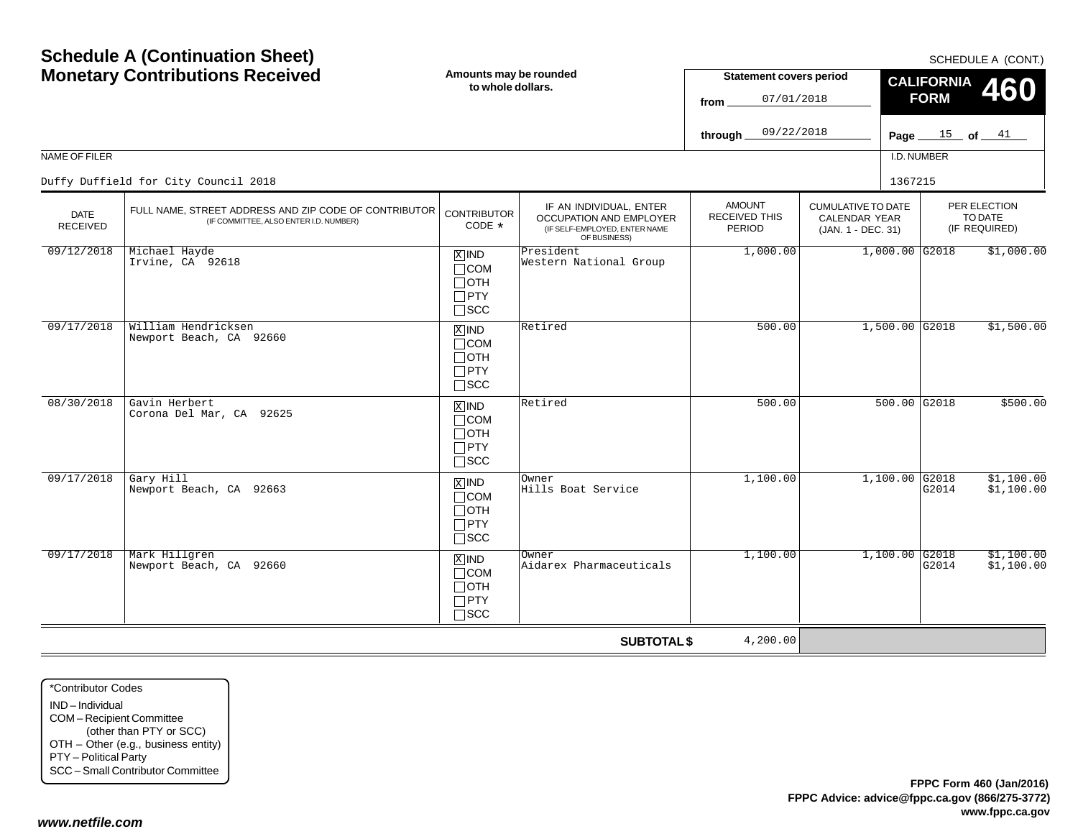|                                | <b>Monetary Contributions Received</b>                                                          | Amounts may be rounded<br>to whole dollars.                                     |                                                                                                     | <b>Statement covers period</b><br>07/01/2018<br>from   |                                                                  | <b>CALIFORNIA</b><br>460<br><b>FORM</b> |                                          |  |
|--------------------------------|-------------------------------------------------------------------------------------------------|---------------------------------------------------------------------------------|-----------------------------------------------------------------------------------------------------|--------------------------------------------------------|------------------------------------------------------------------|-----------------------------------------|------------------------------------------|--|
|                                |                                                                                                 |                                                                                 |                                                                                                     | 09/22/2018<br>through_                                 |                                                                  | Page $15$ of $41$                       |                                          |  |
| NAME OF FILER                  |                                                                                                 |                                                                                 |                                                                                                     |                                                        |                                                                  | I.D. NUMBER                             |                                          |  |
|                                | Duffy Duffield for City Council 2018                                                            |                                                                                 |                                                                                                     |                                                        |                                                                  | 1367215                                 |                                          |  |
| <b>DATE</b><br><b>RECEIVED</b> | FULL NAME, STREET ADDRESS AND ZIP CODE OF CONTRIBUTOR<br>(IF COMMITTEE, ALSO ENTER I.D. NUMBER) | <b>CONTRIBUTOR</b><br>CODE $*$                                                  | IF AN INDIVIDUAL, ENTER<br>OCCUPATION AND EMPLOYER<br>(IF SELF-EMPLOYED, ENTER NAME<br>OF BUSINESS) | <b>AMOUNT</b><br><b>RECEIVED THIS</b><br><b>PERIOD</b> | <b>CUMULATIVE TO DATE</b><br>CALENDAR YEAR<br>(JAN. 1 - DEC. 31) |                                         | PER ELECTION<br>TO DATE<br>(IF REQUIRED) |  |
| 09/12/2018                     | Michael Hayde<br>Irvine, CA 92618                                                               | $X$ IND<br>$\Box$ COM<br>$\Box$ OTH<br>$\Box$ PTY<br>$\square$ SCC              | President<br>Western National Group                                                                 | 1,000.00                                               |                                                                  | $1,000.00$ G2018                        | \$1,000.00                               |  |
| 09/17/2018                     | William Hendricksen<br>Newport Beach, CA 92660                                                  | $\overline{X}$ IND<br>$\sqcap$ COM<br>$\Box$ OTH<br>$\Box$ PTY<br>$\square$ SCC | Retired                                                                                             | 500.00                                                 |                                                                  | $1,500.00$ G2018                        | \$1,500.00                               |  |
| 08/30/2018                     | Gavin Herbert<br>Corona Del Mar, CA 92625                                                       | $X$ IND<br>$\Box$ COM<br>$\sqcap$ OTH<br>$\Box$ PTY<br>$\square$ SCC            | Retired                                                                                             | 500.00                                                 |                                                                  | 500.00 G2018                            | \$500.00                                 |  |
| 09/17/2018                     | Gary Hill<br>Newport Beach, CA 92663                                                            | $X$ IND<br>$\sqcap$ COM<br>$\Box$ oth<br>$\Box$ PTY<br>$\square$ SCC            | Owner<br>Hills Boat Service                                                                         | 1,100.00                                               |                                                                  | $1,100.00$ G2018<br>G2014               | \$1,100.00<br>\$1,100.00                 |  |
| 09/17/2018                     | Mark Hillgren<br>Newport Beach, CA 92660                                                        | $X$ IND<br>$\Box$ COM<br>$\Box$ OTH<br>$\Box$ PTY<br>$\sqcap$ SCC               | Owner<br>Aidarex Pharmaceuticals                                                                    | 1,100.00                                               |                                                                  | $1,100.00$ G2018<br>G2014               | \$1,100.00<br>\$1,100.00                 |  |
|                                |                                                                                                 |                                                                                 | <b>SUBTOTAL \$</b>                                                                                  | 4,200.00                                               |                                                                  |                                         |                                          |  |

\*Contributor CodesIND – Individual COM – Recipient Committee (other than PTY or SCC) OTH – Other (e.g., business entity) PTY – Political Party SCC – Small Contributor Committee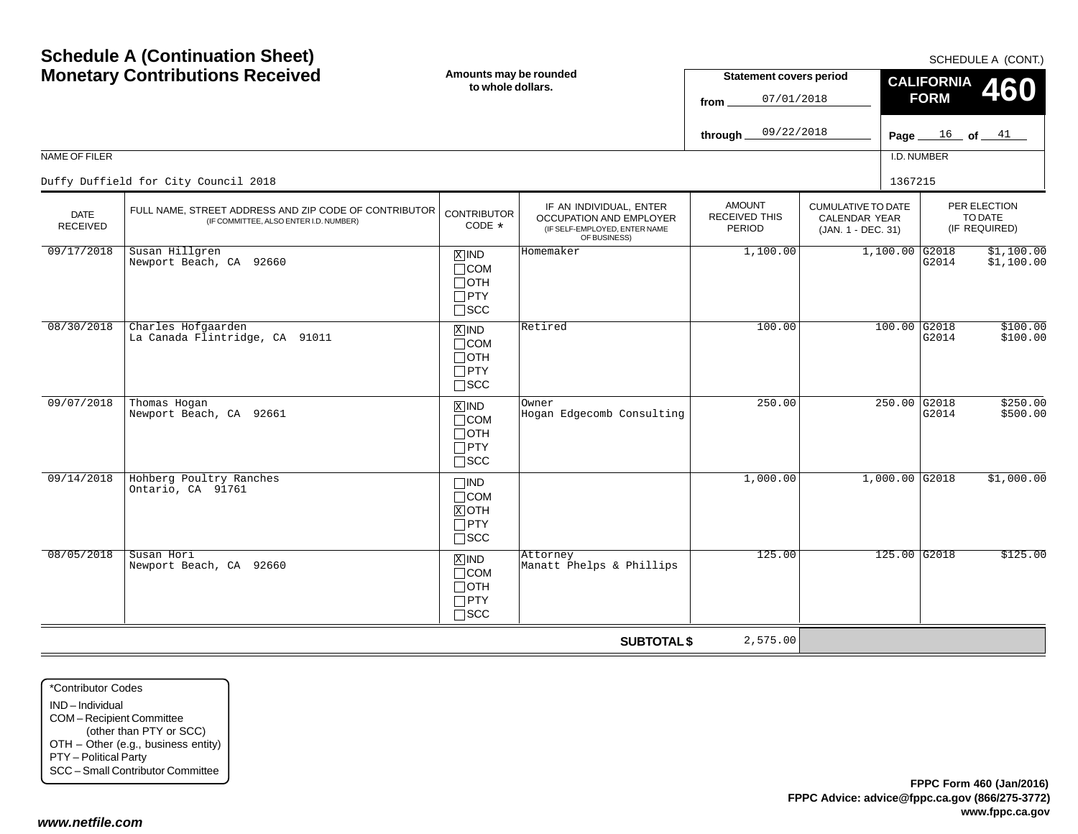|                                | <b>Monetary Contributions Received</b>                                                          | Amounts may be rounded<br>to whole dollars.                                   |                                                                                                     | <b>Statement covers period</b><br>07/01/2018<br>from |                                                                  | <b>CALIFORNIA</b><br>460<br><b>FORM</b> |                                          |  |
|--------------------------------|-------------------------------------------------------------------------------------------------|-------------------------------------------------------------------------------|-----------------------------------------------------------------------------------------------------|------------------------------------------------------|------------------------------------------------------------------|-----------------------------------------|------------------------------------------|--|
|                                |                                                                                                 |                                                                               |                                                                                                     | 09/22/2018<br>through                                |                                                                  | Page $16$ of $11$                       |                                          |  |
| NAME OF FILER                  |                                                                                                 |                                                                               |                                                                                                     |                                                      |                                                                  | I.D. NUMBER                             |                                          |  |
|                                | Duffy Duffield for City Council 2018                                                            |                                                                               |                                                                                                     |                                                      |                                                                  | 1367215                                 |                                          |  |
| <b>DATE</b><br><b>RECEIVED</b> | FULL NAME, STREET ADDRESS AND ZIP CODE OF CONTRIBUTOR<br>(IF COMMITTEE, ALSO ENTER I.D. NUMBER) | <b>CONTRIBUTOR</b><br>CODE *                                                  | IF AN INDIVIDUAL, ENTER<br>OCCUPATION AND EMPLOYER<br>(IF SELF-EMPLOYED, ENTER NAME<br>OF BUSINESS) | <b>AMOUNT</b><br>RECEIVED THIS<br>PERIOD             | <b>CUMULATIVE TO DATE</b><br>CALENDAR YEAR<br>(JAN. 1 - DEC. 31) |                                         | PER ELECTION<br>TO DATE<br>(IF REQUIRED) |  |
| 09/17/2018                     | Susan Hillgren<br>Newport Beach, CA 92660                                                       | $X$ IND<br>$\Box$ COM<br>$\Box$ OTH<br>$\Box$ PTY<br>$\Box$ scc               | Homemaker                                                                                           | 1,100.00                                             |                                                                  | $1,100.00$ G2018<br>G2014               | \$1,100.00<br>\$1,100.00                 |  |
| 08/30/2018                     | Charles Hofgaarden<br>La Canada Flintridge, CA 91011                                            | $\overline{X}$ IND<br>$\Box$ COM<br>$\Box$ OTH<br>$\Box$ PTY<br>$\square$ SCC | Retired                                                                                             | 100.00                                               |                                                                  | $100.00$ G2018<br>G2014                 | \$100.00<br>\$100.00                     |  |
| 09/07/2018                     | Thomas Hogan<br>Newport Beach, CA 92661                                                         | $X$ IND<br>$\Box$ COM<br>Потн<br>$\Box$ PTY<br>$\square$ SCC                  | Owner<br>Hogan Edgecomb Consulting                                                                  | 250.00                                               |                                                                  | 250.00 G2018<br>G2014                   | \$250.00<br>\$500.00                     |  |
| 09/14/2018                     | Hohberg Poultry Ranches<br>Ontario, CA 91761                                                    | $\Box$ IND<br>$\Box$ COM<br>$X$ OTH<br>$\Box$ PTY<br>$\Box$ SCC               |                                                                                                     | 1,000.00                                             |                                                                  | $1,000.00$ G2018                        | \$1,000.00                               |  |
| 08/05/2018                     | Susan Hori<br>Newport Beach, CA 92660                                                           | $X$ IND<br>$\Box$ COM<br>$\Box$ OTH<br>$\Box$ PTY<br>$\Box$ scc               | Attorney<br>Manatt Phelps & Phillips                                                                | 125.00                                               |                                                                  | 125.00 G2018                            | \$125.00                                 |  |
|                                |                                                                                                 |                                                                               | <b>SUBTOTAL \$</b>                                                                                  | 2,575.00                                             |                                                                  |                                         |                                          |  |

\*Contributor CodesIND – Individual COM – Recipient Committee (other than PTY or SCC) OTH – Other (e.g., business entity) PTY – Political Party SCC – Small Contributor Committee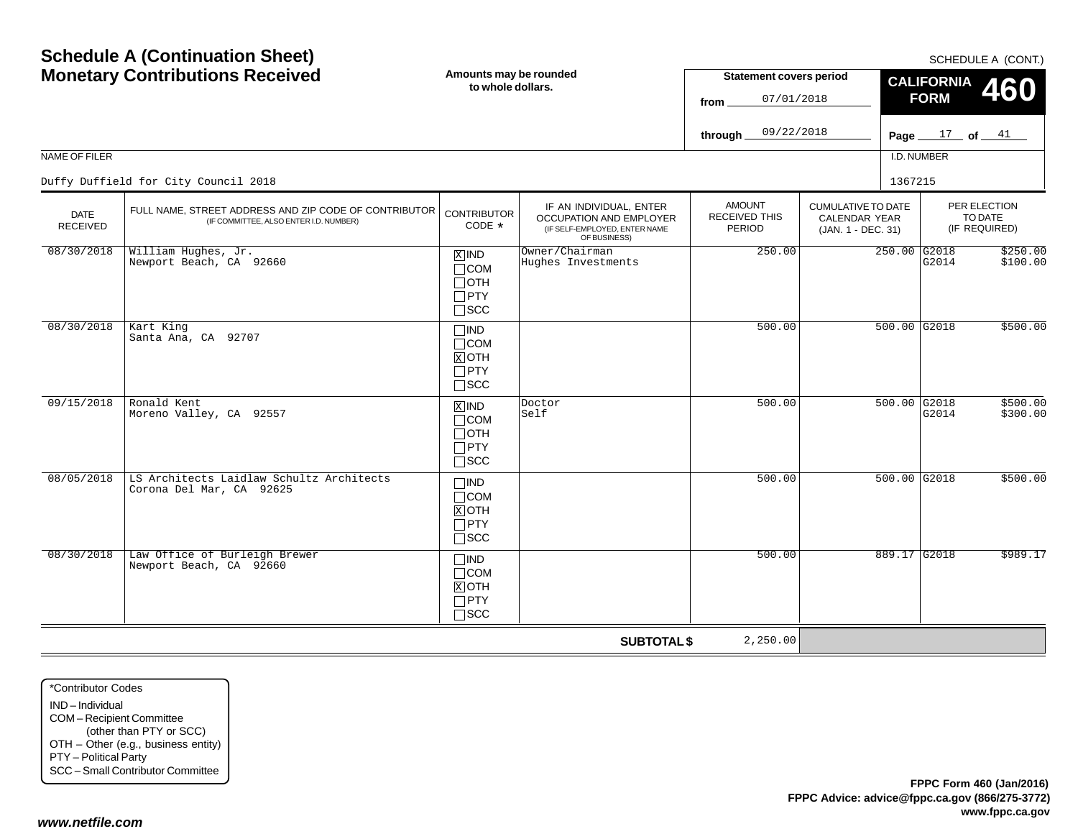|                         | <b>Monetary Contributions Received</b>                                                          | Amounts may be rounded<br>to whole dollars.                           |                                                                                                     | <b>Statement covers period</b><br>07/01/2018<br>from |                                                                         | <b>CALIFORNIA</b><br>460<br><b>FORM</b> |                                          |  |
|-------------------------|-------------------------------------------------------------------------------------------------|-----------------------------------------------------------------------|-----------------------------------------------------------------------------------------------------|------------------------------------------------------|-------------------------------------------------------------------------|-----------------------------------------|------------------------------------------|--|
|                         |                                                                                                 |                                                                       |                                                                                                     | 09/22/2018<br>through_                               |                                                                         | Page $17$ of $41$                       |                                          |  |
| NAME OF FILER           |                                                                                                 |                                                                       |                                                                                                     |                                                      |                                                                         | I.D. NUMBER                             |                                          |  |
|                         | Duffy Duffield for City Council 2018                                                            |                                                                       |                                                                                                     |                                                      |                                                                         | 1367215                                 |                                          |  |
| <b>DATE</b><br>RECEIVED | FULL NAME, STREET ADDRESS AND ZIP CODE OF CONTRIBUTOR<br>(IF COMMITTEE, ALSO ENTER I.D. NUMBER) | <b>CONTRIBUTOR</b><br>CODE *                                          | IF AN INDIVIDUAL, ENTER<br>OCCUPATION AND EMPLOYER<br>(IF SELF-EMPLOYED, ENTER NAME<br>OF BUSINESS) | <b>AMOUNT</b><br><b>RECEIVED THIS</b><br>PERIOD      | <b>CUMULATIVE TO DATE</b><br><b>CALENDAR YEAR</b><br>(JAN. 1 - DEC. 31) |                                         | PER ELECTION<br>TO DATE<br>(IF REQUIRED) |  |
| 08/30/2018              | William Hughes, Jr.<br>Newport Beach, CA 92660                                                  | $X$ IND<br>$\Box$ COM<br>$\Box$ OTH<br>$\square$ PTY<br>$\square$ SCC | Owner/Chairman<br>Hughes Investments                                                                | 250.00                                               |                                                                         | 250.00 G2018<br>G2014                   | \$250.00<br>\$100.00                     |  |
| 08/30/2018              | Kart King<br>Santa Ana, CA 92707                                                                | $\Box$ IND<br>$\Box$ COM<br>$X$ OTH<br>$\Box$ PTY<br>$\square$ scc    |                                                                                                     | 500.00                                               |                                                                         | $500.00$ G2018                          | \$500.00                                 |  |
| 09/15/2018              | Ronald Kent<br>Moreno Valley, CA 92557                                                          | $X$ IND<br>$\Box$ COM<br>$\Box$ OTH<br>$\Box$ PTY<br>$\Box$ scc       | Doctor<br>Self                                                                                      | 500.00                                               |                                                                         | 500.00 G2018<br>G2014                   | \$500.00<br>\$300.00                     |  |
| 08/05/2018              | LS Architects Laidlaw Schultz Architects<br>Corona Del Mar, CA 92625                            | $\square$ ind<br>$\Box$ COM<br>$X$ OTH<br>$\Box$ PTY<br>$\Box$ SCC    |                                                                                                     | 500.00                                               |                                                                         | $500.00$ G2018                          | \$500.00                                 |  |
| 08/30/2018              | Law Office of Burleigh Brewer<br>Newport Beach, CA 92660                                        | $\square$ IND<br>$\Box$ COM<br>$X$ OTH<br>$\Box$ PTY<br>$\Box$ scc    |                                                                                                     | 500.00                                               |                                                                         | 889.17 G2018                            | \$989.17                                 |  |
|                         |                                                                                                 |                                                                       | <b>SUBTOTAL \$</b>                                                                                  | 2,250.00                                             |                                                                         |                                         |                                          |  |

\*Contributor CodesIND – Individual COM – Recipient Committee (other than PTY or SCC) OTH – Other (e.g., business entity) PTY – Political Party SCC – Small Contributor Committee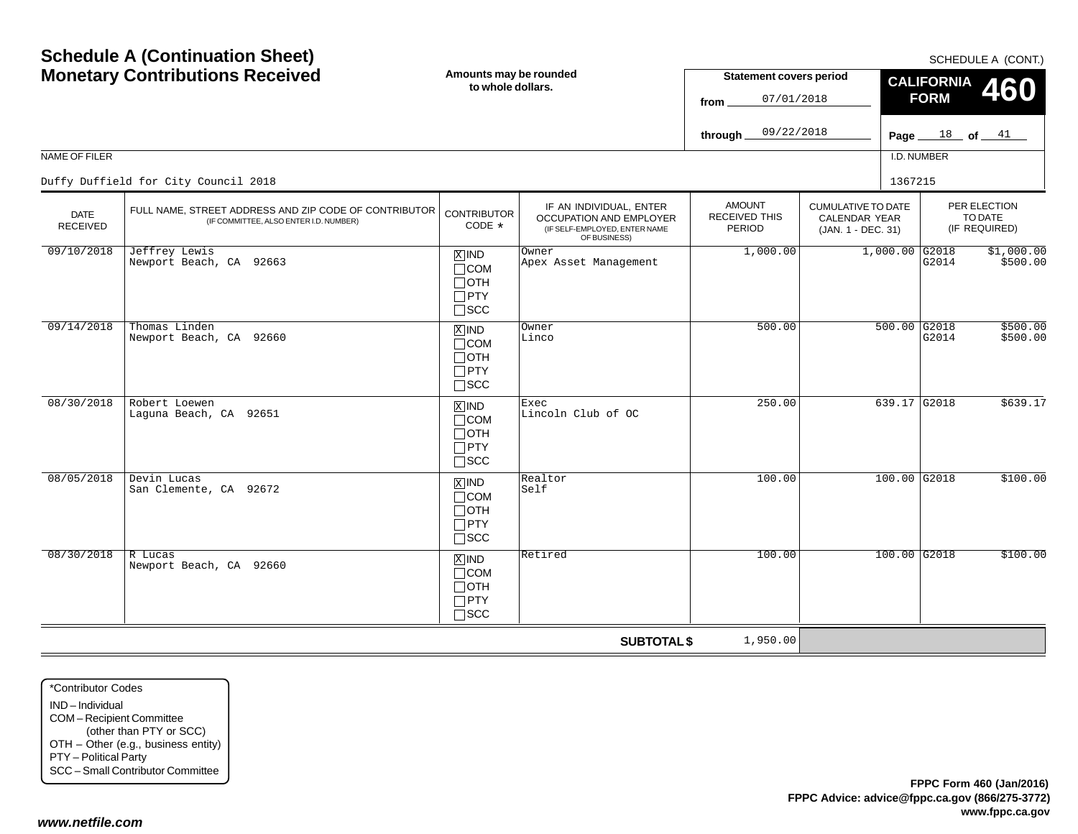|                                | <b>Monetary Contributions Received</b>                                                          | Amounts may be rounded<br>to whole dollars.                                   |                                                                                                     | <b>Statement covers period</b><br>07/01/2018<br>from |                                                                         | <b>CALIFORNIA</b><br>460<br><b>FORM</b> |                                          |  |
|--------------------------------|-------------------------------------------------------------------------------------------------|-------------------------------------------------------------------------------|-----------------------------------------------------------------------------------------------------|------------------------------------------------------|-------------------------------------------------------------------------|-----------------------------------------|------------------------------------------|--|
|                                |                                                                                                 |                                                                               |                                                                                                     | 09/22/2018<br>through                                |                                                                         |                                         | Page $18$ of $11$                        |  |
| NAME OF FILER                  |                                                                                                 |                                                                               |                                                                                                     |                                                      |                                                                         | I.D. NUMBER                             |                                          |  |
|                                | Duffy Duffield for City Council 2018                                                            |                                                                               |                                                                                                     |                                                      |                                                                         | 1367215                                 |                                          |  |
| <b>DATE</b><br><b>RECEIVED</b> | FULL NAME, STREET ADDRESS AND ZIP CODE OF CONTRIBUTOR<br>(IF COMMITTEE, ALSO ENTER I.D. NUMBER) | <b>CONTRIBUTOR</b><br>CODE $*$                                                | IF AN INDIVIDUAL, ENTER<br>OCCUPATION AND EMPLOYER<br>(IF SELF-EMPLOYED, ENTER NAME<br>OF BUSINESS) | <b>AMOUNT</b><br><b>RECEIVED THIS</b><br>PERIOD      | <b>CUMULATIVE TO DATE</b><br><b>CALENDAR YEAR</b><br>(JAN. 1 - DEC. 31) |                                         | PER ELECTION<br>TO DATE<br>(IF REQUIRED) |  |
| 09/10/2018                     | Jeffrey Lewis<br>Newport Beach, CA 92663                                                        | $X$ IND<br>$\Box$ COM<br>$\Box$ OTH<br>$\Box$ PTY<br>$\square$ scc            | Owner<br>Apex Asset Management                                                                      | 1,000.00                                             |                                                                         | $1,000.00$ G2018<br>G2014               | \$1,000.00<br>\$500.00                   |  |
| 09/14/2018                     | Thomas Linden<br>Newport Beach, CA 92660                                                        | $X$ IND<br>$\Box$ COM<br>$\sqcap$ OTH<br>$\Box$ PTY<br>$\sqsupset$ SCC        | Owner<br>Linco                                                                                      | 500.00                                               |                                                                         | $500.00$ G2018<br>G2014                 | \$500.00<br>\$500.00                     |  |
| 08/30/2018                     | Robert Loewen<br>Laguna Beach, CA 92651                                                         | $X$ IND<br>$\Box$ COM<br>$\Box$ OTH<br>$\Box$ PTY<br>$\sqcap$ scc             | Exec<br>Lincoln Club of OC                                                                          | 250.00                                               |                                                                         | 639.17 G2018                            | \$639.17                                 |  |
| 08/05/2018                     | Devin Lucas<br>San Clemente, CA 92672                                                           | $\overline{X}$ IND<br>$\Box$ COM<br>$\Box$ OTH<br>$\Box$ PTY<br>$\square$ SCC | Realtor<br>Self                                                                                     | 100.00                                               |                                                                         | $100.00$ G2018                          | \$100.00                                 |  |
| 08/30/2018                     | R Lucas<br>Newport Beach, CA 92660                                                              | $X$ IND<br>$\Box$ COM<br>$\Box$ oth<br>$\Box$ PTY<br>$\square$ scc            | Retired                                                                                             | 100.00                                               |                                                                         | $100.00$ G2018                          | \$100.00                                 |  |
|                                |                                                                                                 |                                                                               | <b>SUBTOTAL \$</b>                                                                                  | 1,950.00                                             |                                                                         |                                         |                                          |  |

\*Contributor CodesIND – Individual COM – Recipient Committee (other than PTY or SCC) OTH – Other (e.g., business entity) PTY – Political Party SCC – Small Contributor Committee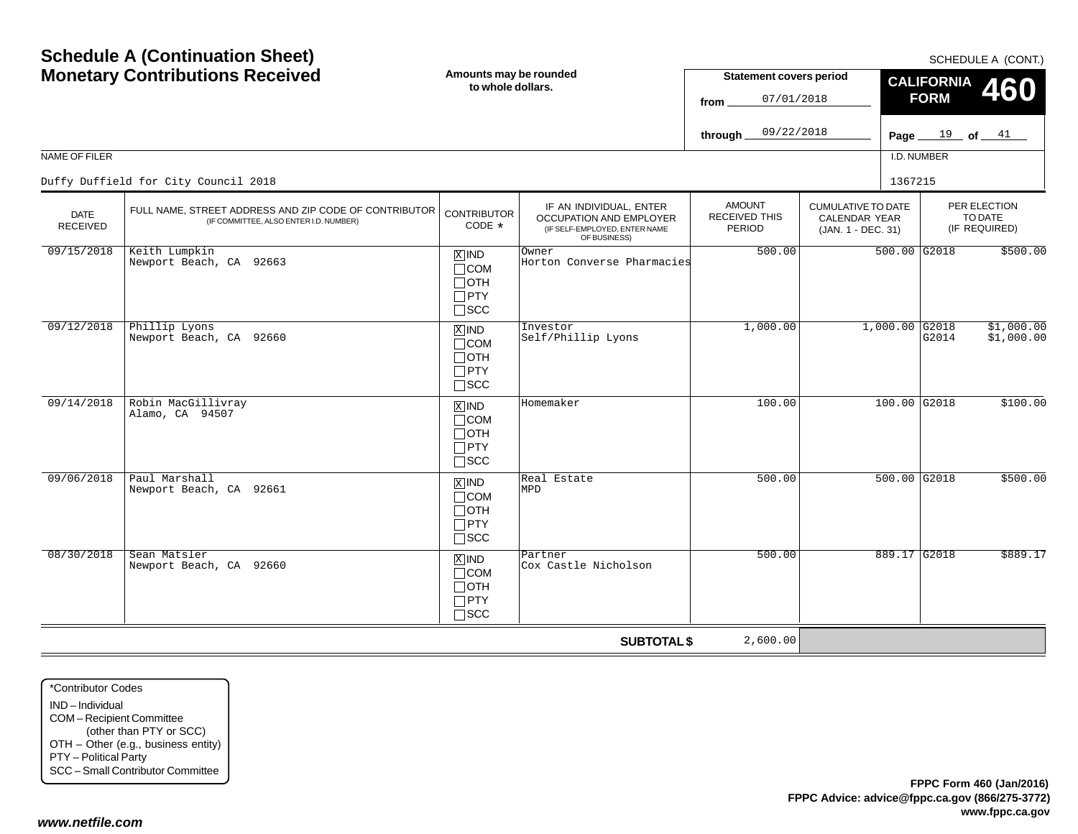|                                | <b>Monetary Contributions Received</b>                                                          | Amounts may be rounded<br>to whole dollars.                                             |                                                                                                            | <b>Statement covers period</b><br>07/01/2018<br>from   |                                                                  | <b>CALIFORNIA</b><br><b>FORM</b> | <b>JUILDULL A (UUIVI.)</b><br>460        |
|--------------------------------|-------------------------------------------------------------------------------------------------|-----------------------------------------------------------------------------------------|------------------------------------------------------------------------------------------------------------|--------------------------------------------------------|------------------------------------------------------------------|----------------------------------|------------------------------------------|
|                                |                                                                                                 |                                                                                         |                                                                                                            | 09/22/2018<br>through.                                 |                                                                  | Page $19$ of $41$                |                                          |
| NAME OF FILER                  |                                                                                                 |                                                                                         |                                                                                                            |                                                        |                                                                  | I.D. NUMBER                      |                                          |
|                                | Duffy Duffield for City Council 2018                                                            |                                                                                         |                                                                                                            |                                                        |                                                                  | 1367215                          |                                          |
| <b>DATE</b><br><b>RECEIVED</b> | FULL NAME, STREET ADDRESS AND ZIP CODE OF CONTRIBUTOR<br>(IF COMMITTEE, ALSO ENTER I.D. NUMBER) | <b>CONTRIBUTOR</b><br>CODE *                                                            | IF AN INDIVIDUAL, ENTER<br><b>OCCUPATION AND EMPLOYER</b><br>(IF SELF-EMPLOYED, ENTER NAME<br>OF BUSINESS) | <b>AMOUNT</b><br><b>RECEIVED THIS</b><br><b>PERIOD</b> | <b>CUMULATIVE TO DATE</b><br>CALENDAR YEAR<br>(JAN. 1 - DEC. 31) |                                  | PER ELECTION<br>TO DATE<br>(IF REQUIRED) |
| 09/15/2018                     | Keith Lumpkin<br>Newport Beach, CA 92663                                                        | $X$ IND<br>$\sqcap$ COM<br>$\Box$ OTH<br>$\sqcap$ PTY<br>$\sqcap$ scc                   | Owner<br>Horton Converse Pharmacies                                                                        | 500.00                                                 |                                                                  | $500.00$ G2018                   | \$500.00                                 |
| 09/12/2018                     | Phillip Lyons<br>Newport Beach, CA 92660                                                        | $X$ IND<br>$\sqcap$ COM<br>$\sqcap$ OTH<br>$\Box$ PTY<br>$\Box$ scc                     | Investor<br>Self/Phillip Lyons                                                                             | 1,000.00                                               |                                                                  | $1,000.00$ G2018<br>G2014        | \$1,000.00<br>\$1,000.00                 |
| 09/14/2018                     | Robin MacGillivray<br>Alamo, CA 94507                                                           | $X$ IND<br>$\Box$ COM<br>$\Box$ OTH<br>$\Box$ PTY<br>$\Box$ SCC                         | Homemaker                                                                                                  | 100.00                                                 |                                                                  | $100.00$ G2018                   | \$100.00                                 |
| 09/06/2018                     | Paul Marshall<br>Newport Beach, CA 92661                                                        | $\boxed{\text{X}}$ IND<br>$\sqcap$ COM<br>$\sqcap$ OTH<br>$\sqcap$ PTY<br>$\square$ SCC | Real Estate<br>MPD                                                                                         | 500.00                                                 |                                                                  | $500.00$ G2018                   | \$500.00                                 |
| 08/30/2018                     | Sean Matsler<br>Newport Beach, CA 92660                                                         | $X$ IND<br>$\Box$ COM<br>$\Box$ OTH<br>$\Box$ PTY<br>$\sqcap$ scc                       | Partner<br>Cox Castle Nicholson                                                                            | 500.00                                                 |                                                                  | 889.17 G2018                     | \$889.17                                 |
|                                |                                                                                                 |                                                                                         | <b>SUBTOTAL \$</b>                                                                                         | 2,600.00                                               |                                                                  |                                  |                                          |

\*Contributor CodesIND – Individual COM – Recipient Committee (other than PTY or SCC) OTH – Other (e.g., business entity) PTY – Political Party SCC – Small Contributor Committee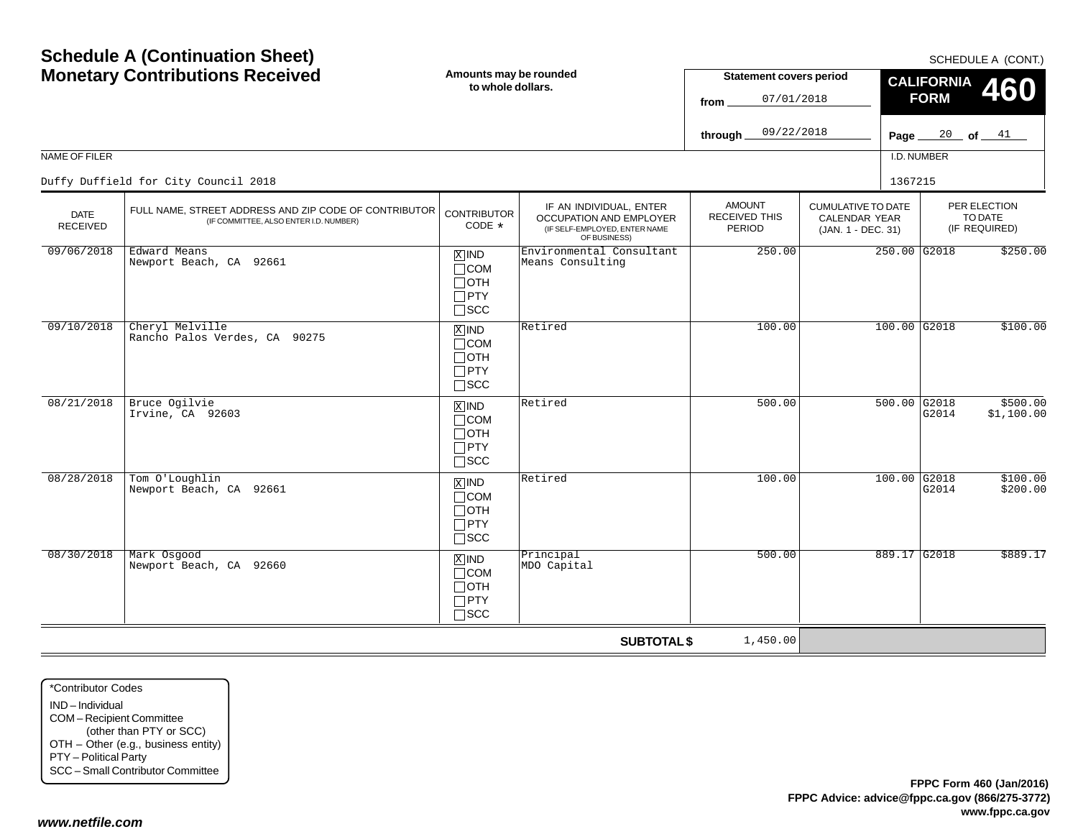| <b>Schedule A (Continuation Sheet)</b><br><b>Monetary Contributions Received</b><br>NAME OF FILER<br>Duffy Duffield for City Council 2018 |                                                                                                 | Amounts may be rounded<br>to whole dollars.                                       |                                                                                                     | <b>Statement covers period</b><br>07/01/2018<br>from<br>09/22/2018<br>through. |                                                                         | SCHEDULE A (CONT.)<br><b>CALIFORNIA</b><br><b>FORM</b><br>$\frac{20}{ }$ of $\frac{41}{ }$<br>Page $_{-}$<br>I.D. NUMBER |                         |                                          |
|-------------------------------------------------------------------------------------------------------------------------------------------|-------------------------------------------------------------------------------------------------|-----------------------------------------------------------------------------------|-----------------------------------------------------------------------------------------------------|--------------------------------------------------------------------------------|-------------------------------------------------------------------------|--------------------------------------------------------------------------------------------------------------------------|-------------------------|------------------------------------------|
| <b>DATE</b><br><b>RECEIVED</b>                                                                                                            | FULL NAME, STREET ADDRESS AND ZIP CODE OF CONTRIBUTOR<br>(IF COMMITTEE, ALSO ENTER I.D. NUMBER) | <b>CONTRIBUTOR</b><br>CODE *                                                      | IF AN INDIVIDUAL, ENTER<br>OCCUPATION AND EMPLOYER<br>(IF SELF-EMPLOYED, ENTER NAME<br>OF BUSINESS) | <b>AMOUNT</b><br>RECEIVED THIS<br>PERIOD                                       | <b>CUMULATIVE TO DATE</b><br><b>CALENDAR YEAR</b><br>(JAN. 1 - DEC. 31) | 1367215                                                                                                                  |                         | PER ELECTION<br>TO DATE<br>(IF REQUIRED) |
| 09/06/2018                                                                                                                                | Edward Means<br>Newport Beach, CA 92661                                                         | $\overline{X}$ IND<br>$\Box$ COM<br>$\Box$ OTH<br>$\Box$ PTY<br>$\square$ SCC     | Environmental Consultant<br>Means Consulting                                                        | 250.00                                                                         |                                                                         |                                                                                                                          | $250.00$ G2018          | \$250.00                                 |
| 09/10/2018                                                                                                                                | Cheryl Melville<br>Rancho Palos Verdes, CA 90275                                                | $\overline{X}$ IND<br>$\Box$ COM<br>$\Box$ OTH<br>$\Box$ PTY<br>$\square$ scc     | Retired                                                                                             | 100.00                                                                         |                                                                         |                                                                                                                          | 100.00 G2018            | \$100.00                                 |
| 08/21/2018                                                                                                                                | Bruce Ogilvie<br>Irvine, CA 92603                                                               | $\overline{X}$ IND<br>$\Box$ COM<br>$\Box$ OTH<br>$\Box$ PTY<br>$\Box$ scc        | Retired                                                                                             | 500.00                                                                         |                                                                         |                                                                                                                          | $500.00$ G2018<br>G2014 | \$500.00<br>\$1,100.00                   |
| 08/28/2018                                                                                                                                | Tom O'Loughlin<br>Newport Beach, CA 92661                                                       | $\boxed{\text{X}}$ IND<br>$\Box$ COM<br>$\Box$ OTH<br>$\Box$ PTY<br>$\square$ scc | Retired                                                                                             | 100.00                                                                         |                                                                         |                                                                                                                          | $100.00$ G2018<br>G2014 | \$100.00<br>\$200.00                     |
| 08/30/2018                                                                                                                                | Mark Osgood<br>Newport Beach, CA 92660                                                          | $X$ IND<br>$\Box$ COM<br>$\Box$ OTH<br>$\Box$ PTY<br>$\Box$ SCC                   | Principal<br>MDO Capital                                                                            | 500.00                                                                         |                                                                         |                                                                                                                          | 889.17 G2018            | \$889.17                                 |
|                                                                                                                                           |                                                                                                 |                                                                                   | <b>SUBTOTAL \$</b>                                                                                  | 1,450.00                                                                       |                                                                         |                                                                                                                          |                         |                                          |

\*Contributor CodesIND – IndividualCOM – Recipient Committee (other than PTY or SCC) OTH – Other (e.g., business entity) PTY – Political Party SCC – Small Contributor Committee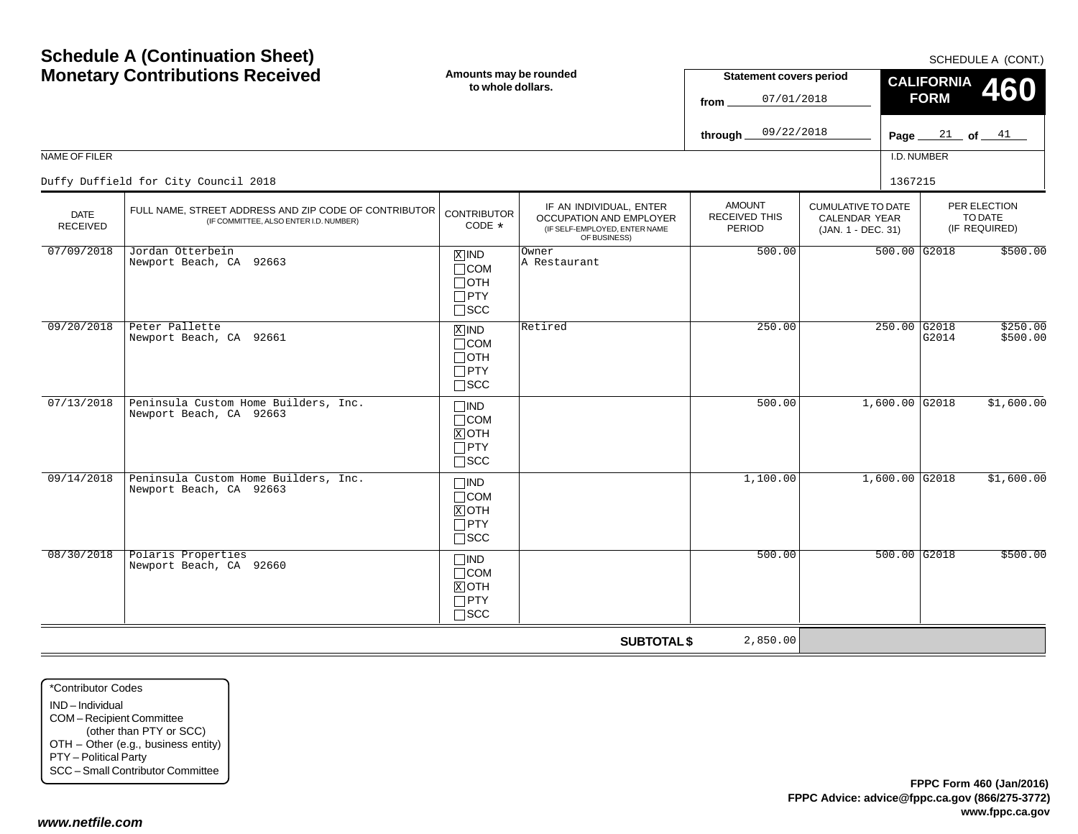|                                | <b>Monetary Contributions Received</b>                                                          | Amounts may be rounded<br>to whole dollars.                            |                                                                                                     | <b>Statement covers period</b><br>07/01/2018<br>from |                                                                         | CALIFORNIA 460<br><b>FORM</b> |                                          |  |
|--------------------------------|-------------------------------------------------------------------------------------------------|------------------------------------------------------------------------|-----------------------------------------------------------------------------------------------------|------------------------------------------------------|-------------------------------------------------------------------------|-------------------------------|------------------------------------------|--|
|                                |                                                                                                 |                                                                        |                                                                                                     | 09/22/2018<br>through_                               |                                                                         | Page $21$ of $41$             |                                          |  |
| NAME OF FILER                  |                                                                                                 |                                                                        |                                                                                                     |                                                      |                                                                         | I.D. NUMBER                   |                                          |  |
|                                | Duffy Duffield for City Council 2018                                                            |                                                                        |                                                                                                     |                                                      |                                                                         | 1367215                       |                                          |  |
| <b>DATE</b><br><b>RECEIVED</b> | FULL NAME, STREET ADDRESS AND ZIP CODE OF CONTRIBUTOR<br>(IF COMMITTEE, ALSO ENTER I.D. NUMBER) | <b>CONTRIBUTOR</b><br>CODE *                                           | IF AN INDIVIDUAL, ENTER<br>OCCUPATION AND EMPLOYER<br>(IF SELF-EMPLOYED, ENTER NAME<br>OF BUSINESS) | <b>AMOUNT</b><br>RECEIVED THIS<br><b>PERIOD</b>      | <b>CUMULATIVE TO DATE</b><br><b>CALENDAR YEAR</b><br>(JAN. 1 - DEC. 31) |                               | PER ELECTION<br>TO DATE<br>(IF REQUIRED) |  |
| 07/09/2018                     | Jordan Otterbein<br>Newport Beach, CA 92663                                                     | $X$ IND<br>$\sqcap$ COM<br>$\sqcap$ OTH<br>$\Box$ PTY<br>$\sqcap$ scc  | Owner<br>A Restaurant                                                                               | 500.00                                               |                                                                         | $500.00$ G2018                | \$500.00                                 |  |
| 09/20/2018                     | Peter Pallette<br>Newport Beach, CA 92661                                                       | $X$ IND<br>$\sqcap$ COM<br>$\sqcap$ OTH<br>$\Box$ PTY<br>$\sqcap$ scc  | Retired                                                                                             | 250.00                                               |                                                                         | 250.00 G2018<br>G2014         | \$250.00<br>\$500.00                     |  |
| 07/13/2018                     | Peninsula Custom Home Builders, Inc.<br>Newport Beach, CA 92663                                 | $\Box$ IND<br>$\sqcap$ COM<br>$X$ OTH<br>$\sqcap$ PTY<br>$\square$ scc |                                                                                                     | 500.00                                               |                                                                         | $1,600.00$ G2018              | \$1,600.00                               |  |
| 09/14/2018                     | Peninsula Custom Home Builders, Inc.<br>Newport Beach, CA 92663                                 | $\neg$ IND<br>$\sqcap$ COM<br>$X$ OTH<br>$\Box$ PTY<br>$\sqcap$ scc    |                                                                                                     | 1,100.00                                             |                                                                         | $1,600.00$ G2018              | \$1,600.00                               |  |
| 08/30/2018                     | Polaris Properties<br>Newport Beach, CA 92660                                                   | $\Box$ IND<br>$\Box$ COM<br>$X$ OTH<br>$\Box$ PTY<br>$\sqcap$ scc      |                                                                                                     | 500.00                                               |                                                                         | $500.00$ G2018                | \$500.00                                 |  |
|                                |                                                                                                 |                                                                        | <b>SUBTOTAL \$</b>                                                                                  | 2,850.00                                             |                                                                         |                               |                                          |  |

\*Contributor CodesIND – Individual COM – Recipient Committee (other than PTY or SCC) OTH – Other (e.g., business entity) PTY – Political Party SCC – Small Contributor Committee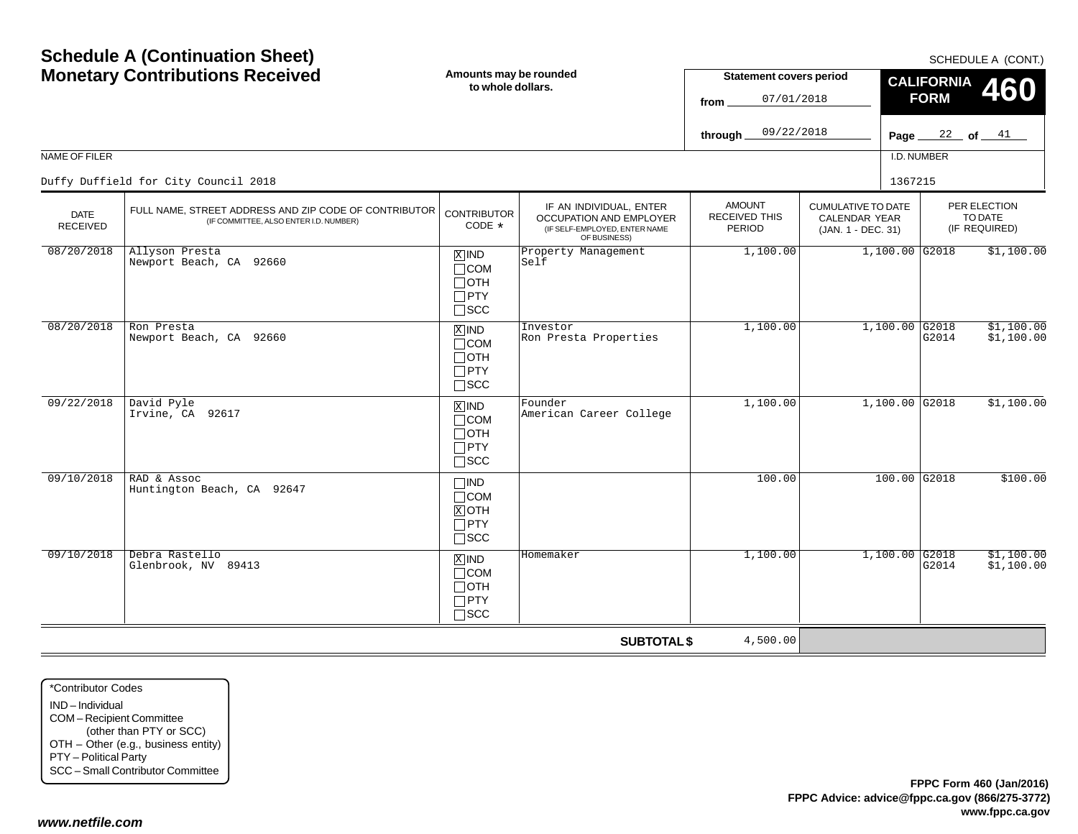|                         | <b>Monetary Contributions Received</b>                                                          |                                                                               | Amounts may be rounded<br>to whole dollars.                                                         | <b>Statement covers period</b><br>07/01/2018<br>from |                                                                         |                  | <b>CALIFORNIA</b><br><b>FORM</b> | <b>460</b>                               |
|-------------------------|-------------------------------------------------------------------------------------------------|-------------------------------------------------------------------------------|-----------------------------------------------------------------------------------------------------|------------------------------------------------------|-------------------------------------------------------------------------|------------------|----------------------------------|------------------------------------------|
|                         |                                                                                                 |                                                                               |                                                                                                     | 09/22/2018<br>through_                               |                                                                         |                  | Page $22$ of $41$                |                                          |
| <b>NAME OF FILER</b>    |                                                                                                 |                                                                               |                                                                                                     |                                                      |                                                                         | I.D. NUMBER      |                                  |                                          |
|                         | Duffy Duffield for City Council 2018                                                            |                                                                               |                                                                                                     |                                                      |                                                                         | 1367215          |                                  |                                          |
| <b>DATE</b><br>RECEIVED | FULL NAME, STREET ADDRESS AND ZIP CODE OF CONTRIBUTOR<br>(IF COMMITTEE, ALSO ENTER I.D. NUMBER) | <b>CONTRIBUTOR</b><br>CODE $*$                                                | IF AN INDIVIDUAL, ENTER<br>OCCUPATION AND EMPLOYER<br>(IF SELF-EMPLOYED, ENTER NAME<br>OF BUSINESS) | <b>AMOUNT</b><br><b>RECEIVED THIS</b><br>PERIOD      | <b>CUMULATIVE TO DATE</b><br><b>CALENDAR YEAR</b><br>(JAN. 1 - DEC. 31) |                  |                                  | PER ELECTION<br>TO DATE<br>(IF REQUIRED) |
| 08/20/2018              | Allyson Presta<br>Newport Beach, CA 92660                                                       | $X$ IND<br>$\Box$ COM<br>$\Box$ OTH<br>$\square$ PTY<br>$\square$ SCC         | Property Management<br>Self                                                                         | 1,100.00                                             |                                                                         | $1,100.00$ G2018 |                                  | \$1,100.00                               |
| 08/20/2018              | Ron Presta<br>Newport Beach, CA 92660                                                           | $\overline{X}$ IND<br>$\Box$ COM<br>$\Box$ OTH<br>$\Box$ PTY<br>$\square$ SCC | Investor<br>Ron Presta Properties                                                                   | 1,100.00                                             |                                                                         | $1,100.00$ G2018 | G2014                            | \$1,100.00<br>\$1,100.00                 |
| 09/22/2018              | David Pyle<br>Irvine, CA 92617                                                                  | $X$ IND<br>$\Box$ COM<br>$\Box$ OTH<br>$\Box$ PTY<br>$\square$ SCC            | Founder<br>American Career College                                                                  | 1,100.00                                             |                                                                         | $1,100.00$ G2018 |                                  | \$1,100.00                               |
| 09/10/2018              | RAD & Assoc<br>Huntington Beach, CA 92647                                                       | $\square$ IND<br>$\Box$ COM<br>$X$ OTH<br>$\Box$ PTY<br>$\Box$ scc            |                                                                                                     | 100.00                                               |                                                                         | $100.00$ G2018   |                                  | \$100.00                                 |
| 09/10/2018              | Debra Rastello<br>Glenbrook, NV 89413                                                           | $X$ IND<br>$\Box$ COM<br>$\Box$ OTH<br>$\Box$ PTY<br>$\Box$ scc               | Homemaker                                                                                           | 1,100.00                                             |                                                                         | $1,100.00$ G2018 | G2014                            | \$1,100.00<br>\$1,100.00                 |
|                         |                                                                                                 |                                                                               | <b>SUBTOTAL \$</b>                                                                                  | 4,500.00                                             |                                                                         |                  |                                  |                                          |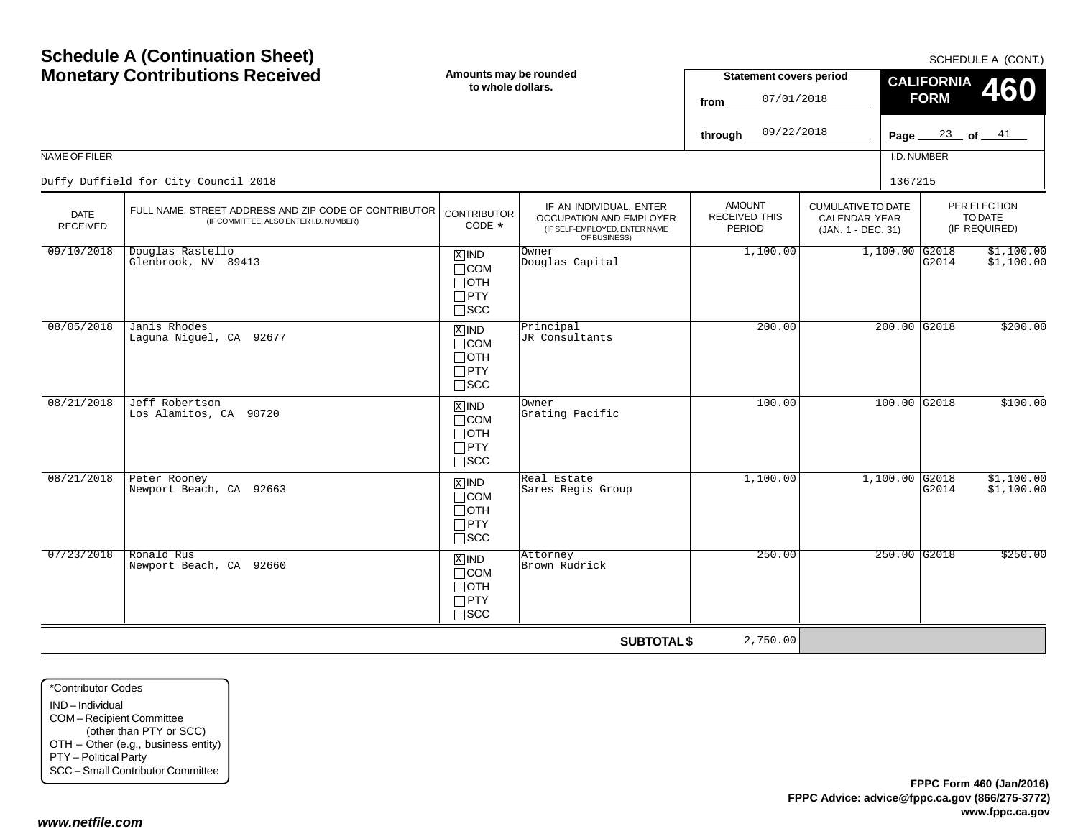| <b>Monetary Contributions Received</b> |                                                                                                 | Amounts may be rounded<br>to whole dollars.                                       |                                                                                                     | <b>Statement covers period</b><br>07/01/2018<br>from |                                                                  | <b>CALIFORNIA</b><br><b>460</b><br><b>FORM</b> |                                          |  |
|----------------------------------------|-------------------------------------------------------------------------------------------------|-----------------------------------------------------------------------------------|-----------------------------------------------------------------------------------------------------|------------------------------------------------------|------------------------------------------------------------------|------------------------------------------------|------------------------------------------|--|
|                                        |                                                                                                 |                                                                                   |                                                                                                     | 09/22/2018<br>through.                               |                                                                  |                                                | Page $\frac{23}{ }$ of $\frac{41}{ }$    |  |
| NAME OF FILER                          |                                                                                                 |                                                                                   |                                                                                                     |                                                      |                                                                  | I.D. NUMBER                                    |                                          |  |
|                                        | Duffy Duffield for City Council 2018                                                            |                                                                                   |                                                                                                     |                                                      |                                                                  | 1367215                                        |                                          |  |
| <b>DATE</b><br><b>RECEIVED</b>         | FULL NAME, STREET ADDRESS AND ZIP CODE OF CONTRIBUTOR<br>(IF COMMITTEE, ALSO ENTER I.D. NUMBER) | <b>CONTRIBUTOR</b><br>CODE *                                                      | IF AN INDIVIDUAL, ENTER<br>OCCUPATION AND EMPLOYER<br>(IF SELF-EMPLOYED, ENTER NAME<br>OF BUSINESS) | <b>AMOUNT</b><br>RECEIVED THIS<br>PERIOD             | <b>CUMULATIVE TO DATE</b><br>CALENDAR YEAR<br>(JAN. 1 - DEC. 31) |                                                | PER ELECTION<br>TO DATE<br>(IF REQUIRED) |  |
| 09/10/2018                             | Douglas Rastello<br>Glenbrook, NV 89413                                                         | $X$ IND<br>$\Box$ COM<br>$\Box$ OTH<br>$\Box$ PTY<br>$\square$ SCC                | Owner<br>Douglas Capital                                                                            | 1,100.00                                             |                                                                  | $1,100.00$ G2018<br>G2014                      | \$1,100.00<br>\$1,100.00                 |  |
| 08/05/2018                             | Janis Rhodes<br>Laguna Niguel, CA 92677                                                         | $X$ IND<br>$\Box$ COM<br>$\Box$ OTH<br>$\Box$ PTY<br>$\square$ scc                | Principal<br>JR Consultants                                                                         | 200.00                                               |                                                                  | $200.00$ G2018                                 | \$200.00                                 |  |
| 08/21/2018                             | Jeff Robertson<br>Los Alamitos, CA 90720                                                        | $X$ IND<br>$\Box$ COM<br>$\Box$ OTH<br>$\Box$ PTY<br>$\square$ SCC                | Owner<br>Grating Pacific                                                                            | 100.00                                               |                                                                  | $100.00$ G2018                                 | \$100.00                                 |  |
| 08/21/2018                             | Peter Rooney<br>Newport Beach, CA 92663                                                         | $\boxed{\text{X}}$ IND<br>$\Box$ COM<br>$\Box$ OTH<br>$\Box$ PTY<br>$\square$ SCC | Real Estate<br>Sares Regis Group                                                                    | 1,100.00                                             |                                                                  | $1,100.00$ G2018<br>G2014                      | \$1,100.00<br>\$1,100.00                 |  |
| 07/23/2018                             | Ronald Rus<br>Newport Beach, CA 92660                                                           | $X$ IND<br>$\Box$ COM<br>$\Box$ OTH<br>$\Box$ PTY<br>$\square$ SCC                | Attorney<br>Brown Rudrick                                                                           | 250.00                                               |                                                                  | $250.00$ G2018                                 | \$250.00                                 |  |
|                                        |                                                                                                 |                                                                                   | <b>SUBTOTAL \$</b>                                                                                  | 2,750.00                                             |                                                                  |                                                |                                          |  |

\*Contributor CodesIND – Individual COM – Recipient Committee (other than PTY or SCC) OTH – Other (e.g., business entity) PTY – Political Party SCC – Small Contributor Committee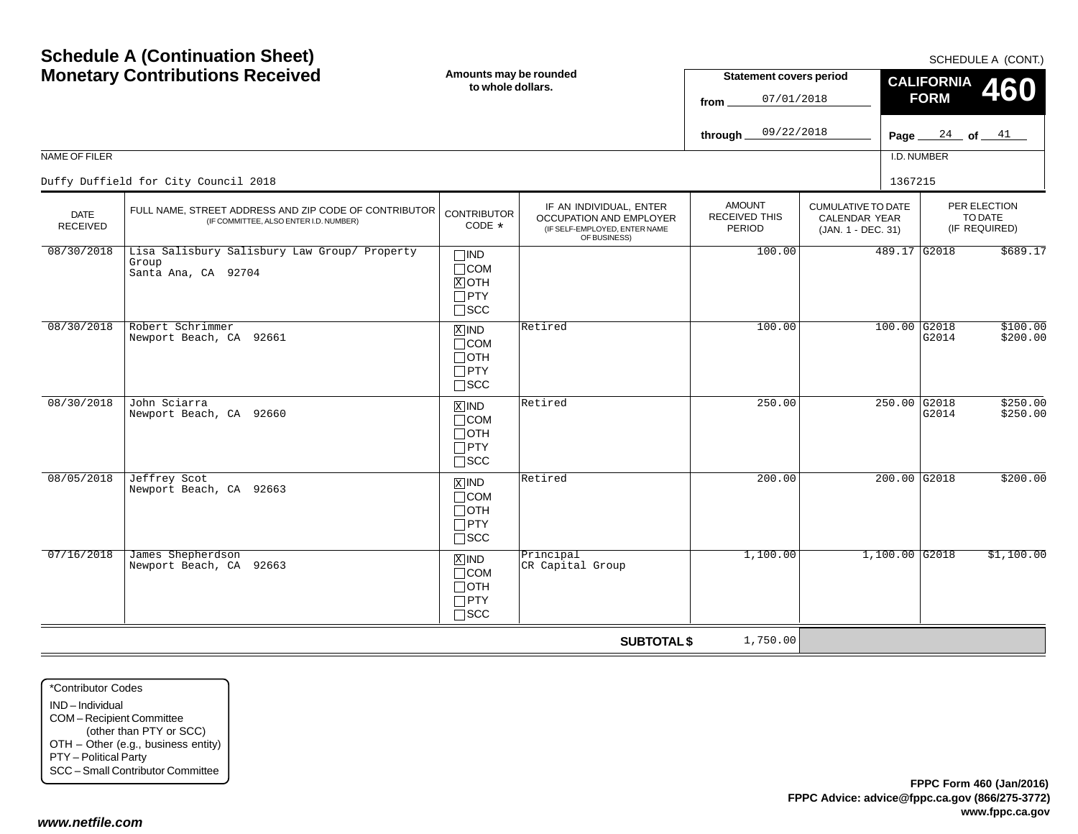|                                | <b>Monetary Contributions Received</b>                                                          | Amounts may be rounded<br>to whole dollars.                                   |                                                                                                     | <b>Statement covers period</b><br>07/01/2018<br>from |                                                                         | <b>CALIFORNIA</b><br>460<br><b>FORM</b> |                                          |  |
|--------------------------------|-------------------------------------------------------------------------------------------------|-------------------------------------------------------------------------------|-----------------------------------------------------------------------------------------------------|------------------------------------------------------|-------------------------------------------------------------------------|-----------------------------------------|------------------------------------------|--|
|                                |                                                                                                 |                                                                               |                                                                                                     | 09/22/2018<br>through.                               |                                                                         | Page $24$ of $41$                       |                                          |  |
| NAME OF FILER                  |                                                                                                 |                                                                               |                                                                                                     |                                                      |                                                                         | I.D. NUMBER                             |                                          |  |
|                                | Duffy Duffield for City Council 2018                                                            |                                                                               |                                                                                                     |                                                      |                                                                         | 1367215                                 |                                          |  |
| <b>DATE</b><br><b>RECEIVED</b> | FULL NAME, STREET ADDRESS AND ZIP CODE OF CONTRIBUTOR<br>(IF COMMITTEE, ALSO ENTER I.D. NUMBER) | <b>CONTRIBUTOR</b><br>CODE *                                                  | IF AN INDIVIDUAL, ENTER<br>OCCUPATION AND EMPLOYER<br>(IF SELF-EMPLOYED, ENTER NAME<br>OF BUSINESS) | <b>AMOUNT</b><br>RECEIVED THIS<br><b>PERIOD</b>      | <b>CUMULATIVE TO DATE</b><br><b>CALENDAR YEAR</b><br>(JAN. 1 - DEC. 31) |                                         | PER ELECTION<br>TO DATE<br>(IF REQUIRED) |  |
| 08/30/2018                     | Lisa Salisbury Salisbury Law Group/ Property<br>Group<br>Santa Ana, CA 92704                    | $\Box$ IND<br>$\Box$ COM<br>$X$ OTH<br>$\Box$ PTY<br>$\Box$ scc               |                                                                                                     | 100.00                                               |                                                                         | 489.17 G2018                            | \$689.17                                 |  |
| 08/30/2018                     | Robert Schrimmer<br>Newport Beach, CA 92661                                                     | $X$ IND<br>$\Box$ COM<br>$\Box$ OTH<br>$\Box$ PTY<br>$\square$ SCC            | Retired                                                                                             | 100.00                                               |                                                                         | $100.00$ G2018<br>G2014                 | \$100.00<br>\$200.00                     |  |
| 08/30/2018                     | John Sciarra<br>Newport Beach, CA 92660                                                         | $\overline{X}$ IND<br>$\Box$ COM<br>$\Box$ OTH<br>$\Box$ PTY<br>$\square$ SCC | Retired                                                                                             | 250.00                                               |                                                                         | 250.00 G2018<br>G2014                   | \$250.00<br>\$250.00                     |  |
| 08/05/2018                     | Jeffrey Scot<br>Newport Beach, CA 92663                                                         | $\overline{X}$ IND<br>$\Box$ COM<br>$\Box$ OTH<br>$\Box$ PTY<br>$\Box$ SCC    | Retired                                                                                             | 200.00                                               |                                                                         | $200.00$ G2018                          | \$200.00                                 |  |
| 07/16/2018                     | James Shepherdson<br>Newport Beach, CA 92663                                                    | $X$ IND<br>$\Box$ COM<br>$\Box$ OTH<br>$\Box$ PTY<br>$\Box$ SCC               | Principal<br>CR Capital Group                                                                       | 1,100.00                                             |                                                                         | $1,100.00$ G2018                        | \$1,100.00                               |  |
|                                |                                                                                                 |                                                                               | <b>SUBTOTAL \$</b>                                                                                  | 1,750.00                                             |                                                                         |                                         |                                          |  |

\*Contributor CodesIND – Individual COM – Recipient Committee (other than PTY or SCC) OTH – Other (e.g., business entity) PTY – Political Party SCC – Small Contributor Committee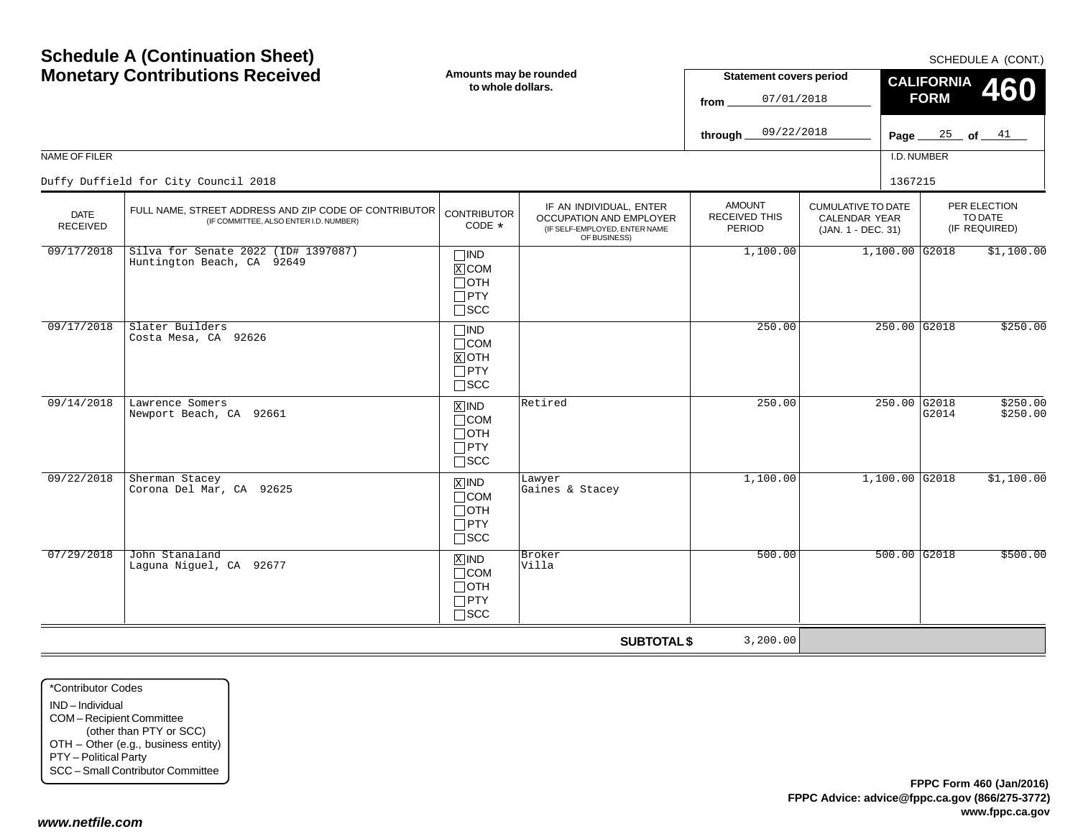| <b>Schedule A (Continuation Sheet)</b><br><b>Monetary Contributions Received</b><br>NAME OF FILER |                                                                                                 | Amounts may be rounded<br>to whole dollars.                            |                                                                                                            | <b>Statement covers period</b><br>07/01/2018<br>from<br>09/22/2018<br>through |                                                                         |         | SCHEDULE A (CONT.)<br><b>CALIFORNIA</b><br>460<br><b>FORM</b><br>$\frac{25}{ }$ of $\frac{41}{ }$<br>Page $\equiv$<br>I.D. NUMBER |                                          |                  |  |  |            |
|---------------------------------------------------------------------------------------------------|-------------------------------------------------------------------------------------------------|------------------------------------------------------------------------|------------------------------------------------------------------------------------------------------------|-------------------------------------------------------------------------------|-------------------------------------------------------------------------|---------|-----------------------------------------------------------------------------------------------------------------------------------|------------------------------------------|------------------|--|--|------------|
|                                                                                                   | Duffy Duffield for City Council 2018                                                            |                                                                        |                                                                                                            |                                                                               |                                                                         | 1367215 |                                                                                                                                   |                                          |                  |  |  |            |
| <b>DATE</b><br><b>RECEIVED</b>                                                                    | FULL NAME, STREET ADDRESS AND ZIP CODE OF CONTRIBUTOR<br>(IF COMMITTEE, ALSO ENTER I.D. NUMBER) | <b>CONTRIBUTOR</b><br>CODE *                                           | IF AN INDIVIDUAL, ENTER<br><b>OCCUPATION AND EMPLOYER</b><br>(IF SELF-EMPLOYED, ENTER NAME<br>OF BUSINESS) | <b>AMOUNT</b><br><b>RECEIVED THIS</b><br>PERIOD                               | <b>CUMULATIVE TO DATE</b><br><b>CALENDAR YEAR</b><br>(JAN. 1 - DEC. 31) |         |                                                                                                                                   | PER ELECTION<br>TO DATE<br>(IF REQUIRED) |                  |  |  |            |
| 09/17/2018                                                                                        | Silva for Senate 2022 (ID# 1397087)<br>Huntington Beach, CA 92649                               | $\Box$ IND<br>$X$ COM<br>$\Box$ OTH<br>$\Box$ PTY<br>$\square$ SCC     |                                                                                                            | 1,100.00                                                                      | 250.00 G2018                                                            |         |                                                                                                                                   |                                          | $1,100.00$ G2018 |  |  | \$1,100.00 |
| 09/17/2018                                                                                        | Slater Builders<br>Costa Mesa, CA 92626                                                         | $\Box$ IND<br>$\Box$ COM<br>$X$ OTH<br>$\Box$ PTY<br>$\Box$ scc        |                                                                                                            | 250.00                                                                        |                                                                         |         |                                                                                                                                   | \$250.00                                 |                  |  |  |            |
| 09/14/2018                                                                                        | Lawrence Somers<br>Newport Beach, CA 92661                                                      | $X$ IND<br>$\Box$ COM<br>$\Box$ OTH<br>$\Box$ PTY<br>$\square$ SCC     | Retired                                                                                                    | 250.00                                                                        |                                                                         |         | 250.00 G2018<br>G2014                                                                                                             | \$250.00<br>\$250.00                     |                  |  |  |            |
| 09/22/2018                                                                                        | Sherman Stacey<br>Corona Del Mar, CA 92625                                                      | $\sqrt{X}$ IND<br>$\Box$ COM<br>$\Box$ OTH<br>$\Box$ PTY<br>$\Box$ SCC | Lawyer<br>Gaines & Stacey                                                                                  | 1,100.00                                                                      |                                                                         |         | 1,100.00 G2018                                                                                                                    | \$1,100.00                               |                  |  |  |            |
| 07/29/2018                                                                                        | John Stanaland<br>Laguna Niguel, CA 92677                                                       | $X$ IND<br>$\Box$ COM<br>$\Box$ OTH<br>$\Box$ PTY<br>$\Box$ scc        | Broker<br>Villa                                                                                            | 500.00                                                                        |                                                                         |         | $500.00$ G2018                                                                                                                    | \$500.00                                 |                  |  |  |            |
|                                                                                                   |                                                                                                 |                                                                        | <b>SUBTOTAL \$</b>                                                                                         | 3,200.00                                                                      |                                                                         |         |                                                                                                                                   |                                          |                  |  |  |            |

\*Contributor CodesIND – Individual COM – Recipient Committee (other than PTY or SCC) OTH – Other (e.g., business entity) PTY – Political Party SCC – Small Contributor Committee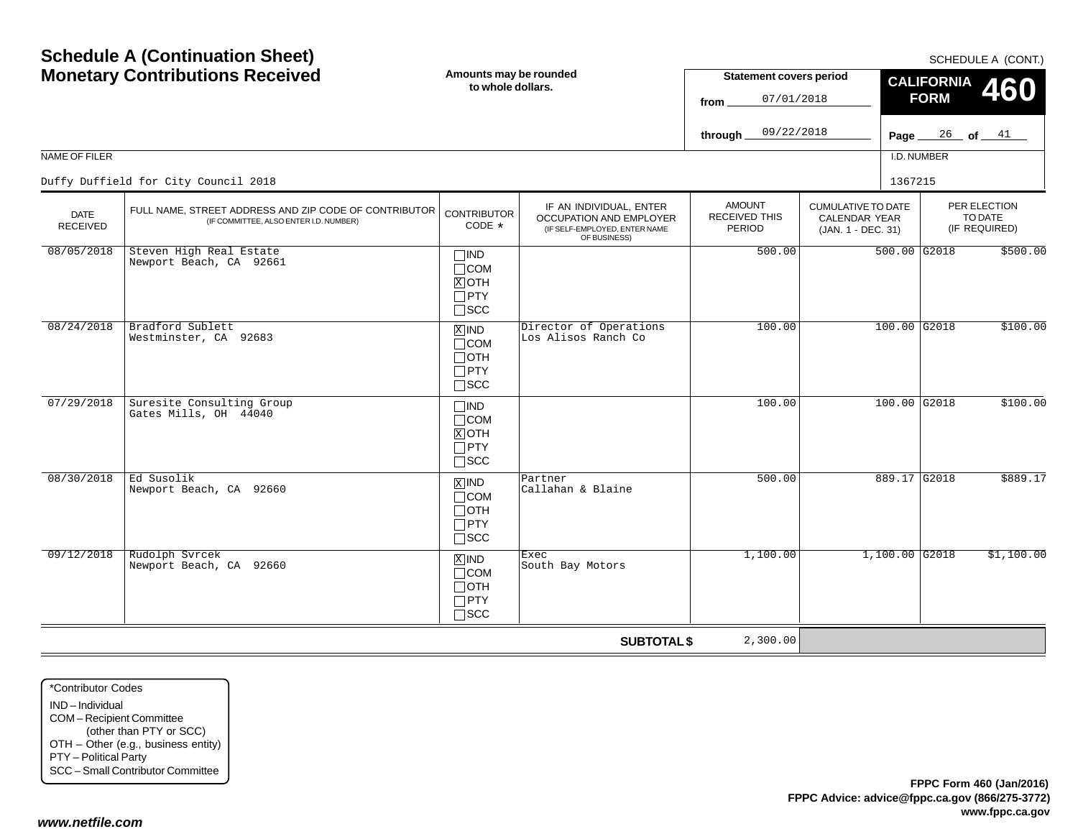| <b>Schedule A (Continuation Sheet)</b><br><b>Monetary Contributions Received</b><br>NAME OF FILER<br>Duffy Duffield for City Council 2018 |                                                                                                 | Amounts may be rounded<br>to whole dollars.                                       |                                                                                                                           | <b>Statement covers period</b><br>07/01/2018<br>from<br>09/22/2018<br>through |                                                                         | SCHEDULE A (CONT.)<br><b>CALIFORNIA</b><br>460<br><b>FORM</b><br>$\frac{26}{ }$ of $\frac{41}{ }$<br>Page $\_$<br>I.D. NUMBER<br>1367215 |                                          |  |
|-------------------------------------------------------------------------------------------------------------------------------------------|-------------------------------------------------------------------------------------------------|-----------------------------------------------------------------------------------|---------------------------------------------------------------------------------------------------------------------------|-------------------------------------------------------------------------------|-------------------------------------------------------------------------|------------------------------------------------------------------------------------------------------------------------------------------|------------------------------------------|--|
| DATE<br><b>RECEIVED</b>                                                                                                                   | FULL NAME, STREET ADDRESS AND ZIP CODE OF CONTRIBUTOR<br>(IF COMMITTEE, ALSO ENTER I.D. NUMBER) |                                                                                   | IF AN INDIVIDUAL, ENTER<br><b>CONTRIBUTOR</b><br>OCCUPATION AND EMPLOYER<br>(IF SELF-EMPLOYED, ENTER NAME<br>OF BUSINESS) | <b>AMOUNT</b><br>RECEIVED THIS<br>PERIOD                                      | <b>CUMULATIVE TO DATE</b><br><b>CALENDAR YEAR</b><br>(JAN. 1 - DEC. 31) |                                                                                                                                          | PER ELECTION<br>TO DATE<br>(IF REQUIRED) |  |
| 08/05/2018                                                                                                                                | Steven High Real Estate<br>Newport Beach, CA 92661                                              | $\Box$ IND<br>$\Box$ COM<br>$X$ OTH<br>$\Box$ PTY<br>$\Box$ SCC                   |                                                                                                                           | 500.00                                                                        |                                                                         | $500.00$ G2018                                                                                                                           | \$500.00                                 |  |
| 08/24/2018                                                                                                                                | Bradford Sublett<br>Westminster, CA 92683                                                       | $\boxed{\text{X}}$ IND<br>$\Box$ COM<br>$\Box$ OTH<br>$\Box$ PTY<br>$\square$ scc | Director of Operations<br>Los Alisos Ranch Co                                                                             | 100.00                                                                        |                                                                         | $100.00$ G2018                                                                                                                           | \$100.00                                 |  |
| 07/29/2018                                                                                                                                | Suresite Consulting Group<br>Gates Mills, OH 44040                                              | $\Box$ IND<br>$\Box$ COM<br>$X$ OTH<br>$\Box$ PTY<br>$\Box$ scc                   |                                                                                                                           | 100.00                                                                        |                                                                         | 100.00 G2018                                                                                                                             | \$100.00                                 |  |
| 08/30/2018                                                                                                                                | Ed Susolik<br>Newport Beach, CA 92660                                                           | $\boxed{\text{X}}$ IND<br>$\Box$ COM<br>$\Box$ OTH<br>$\Box$ PTY<br>$\square$ scc | Partner<br>Callahan & Blaine                                                                                              | 500.00                                                                        |                                                                         | 889.17 G2018                                                                                                                             | \$889.17                                 |  |
| 09/12/2018                                                                                                                                | Rudolph Svrcek<br>Newport Beach, CA 92660                                                       | $X$ IND<br>$\Box$ COM<br>$\Box$ OTH<br>$\Box$ PTY<br>$\Box$ SCC                   | Exec<br>South Bay Motors                                                                                                  | 1,100.00                                                                      |                                                                         | $1,100.00$ G2018                                                                                                                         | \$1,100.00                               |  |
|                                                                                                                                           |                                                                                                 |                                                                                   | <b>SUBTOTAL \$</b>                                                                                                        | 2,300.00                                                                      |                                                                         |                                                                                                                                          |                                          |  |

\*Contributor CodesIND – Individual COM – Recipient Committee (other than PTY or SCC) OTH – Other (e.g., business entity) PTY – Political Party SCC – Small Contributor Committee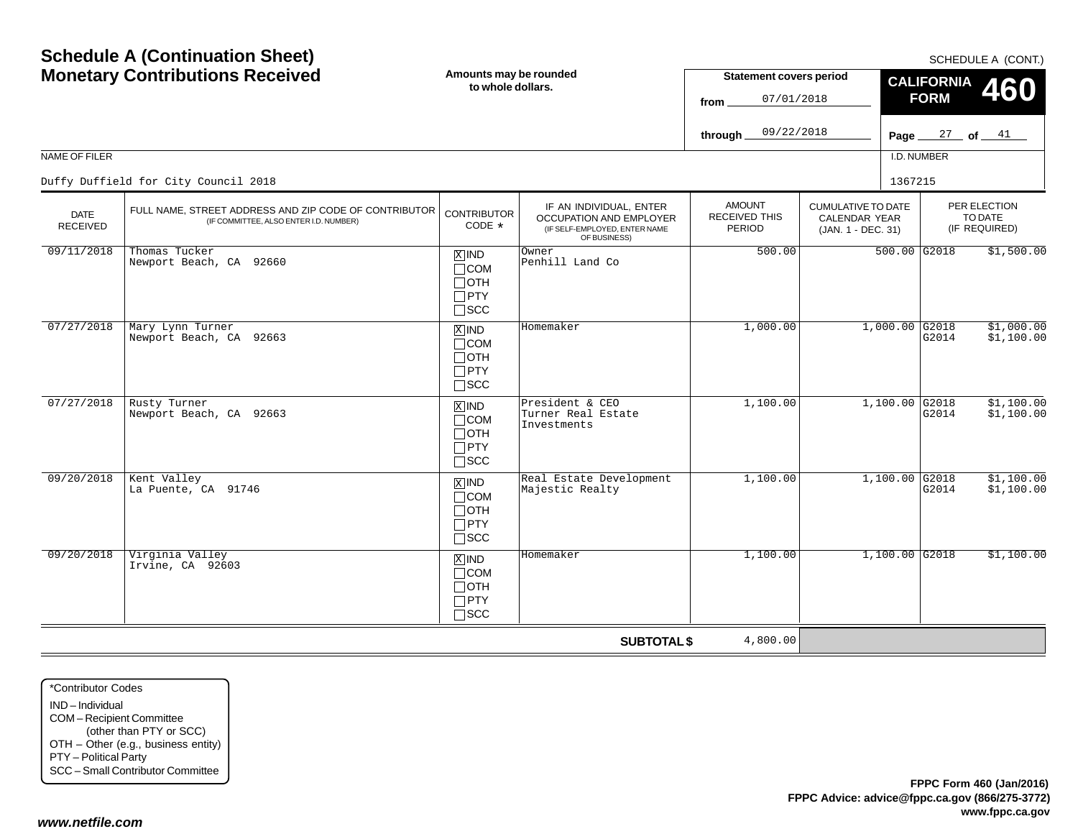| <b>Monetary Contributions Received</b> |                                                                                                 | Amounts may be rounded<br>to whole dollars.                                   |                                                                                                     | <b>Statement covers period</b><br>07/01/2018<br>from   |                                                                  | <b>CALIFORNIA</b><br>460<br><b>FORM</b> |                                          |  |
|----------------------------------------|-------------------------------------------------------------------------------------------------|-------------------------------------------------------------------------------|-----------------------------------------------------------------------------------------------------|--------------------------------------------------------|------------------------------------------------------------------|-----------------------------------------|------------------------------------------|--|
|                                        |                                                                                                 |                                                                               |                                                                                                     | 09/22/2018<br>through.                                 |                                                                  | Page $27$ of $41$                       |                                          |  |
| NAME OF FILER                          |                                                                                                 |                                                                               |                                                                                                     |                                                        |                                                                  | I.D. NUMBER                             |                                          |  |
|                                        | Duffy Duffield for City Council 2018                                                            |                                                                               |                                                                                                     |                                                        |                                                                  | 1367215                                 |                                          |  |
| <b>DATE</b><br><b>RECEIVED</b>         | FULL NAME, STREET ADDRESS AND ZIP CODE OF CONTRIBUTOR<br>(IF COMMITTEE, ALSO ENTER I.D. NUMBER) | <b>CONTRIBUTOR</b><br>CODE *                                                  | IF AN INDIVIDUAL, ENTER<br>OCCUPATION AND EMPLOYER<br>(IF SELF-EMPLOYED, ENTER NAME<br>OF BUSINESS) | <b>AMOUNT</b><br><b>RECEIVED THIS</b><br><b>PERIOD</b> | <b>CUMULATIVE TO DATE</b><br>CALENDAR YEAR<br>(JAN. 1 - DEC. 31) |                                         | PER ELECTION<br>TO DATE<br>(IF REQUIRED) |  |
| 09/11/2018                             | Thomas Tucker<br>Newport Beach, CA 92660                                                        | $X$ IND<br>$\Box$ COM<br>$\Box$ OTH<br>$\Box$ PTY<br>$\square$ SCC            | Owner<br>Penhill Land Co                                                                            | 500.00                                                 |                                                                  | $500.00$ G2018                          | \$1,500.00                               |  |
| 07/27/2018                             | Mary Lynn Turner<br>Newport Beach, CA 92663                                                     | $X$ IND<br>$\Box$ COM<br>$\Box$ OTH<br>$\Box$ PTY<br>$\square$ SCC            | Homemaker                                                                                           | 1,000.00                                               | $1,000.00$ G2018                                                 | G2014                                   | \$1,000.00<br>\$1,100.00                 |  |
| 07/27/2018                             | Rusty Turner<br>Newport Beach, CA 92663                                                         | $X$ IND<br>$\Box$ COM<br>$\Box$ OTH<br>$\Box$ PTY<br>$\square$ SCC            | President & CEO<br>Turner Real Estate<br>Investments                                                | 1,100.00                                               | $1,100.00$ G2018                                                 | G2014                                   | \$1,100.00<br>\$1,100.00                 |  |
| 09/20/2018                             | Kent Valley<br>La Puente, CA 91746                                                              | $\overline{X}$ IND<br>$\Box$ COM<br>$\Box$ OTH<br>$\Box$ PTY<br>$\square$ SCC | Real Estate Development<br>Majestic Realty                                                          | 1,100.00                                               | $1,100.00$ G2018                                                 | G2014                                   | \$1,100.00<br>\$1,100.00                 |  |
| 09/20/2018                             | Virginia Valley<br>Irvine, CA 92603                                                             | $X$ IND<br>$\Box$ COM<br>$\Box$ OTH<br>$\Box$ PTY<br>$\Box$ SCC               | Homemaker                                                                                           | 1,100.00                                               | $1,100.00$ G2018                                                 |                                         | \$1,100.00                               |  |
|                                        |                                                                                                 |                                                                               | <b>SUBTOTAL \$</b>                                                                                  | 4,800.00                                               |                                                                  |                                         |                                          |  |

\*Contributor CodesIND – Individual COM – Recipient Committee (other than PTY or SCC) OTH – Other (e.g., business entity) PTY – Political Party SCC – Small Contributor Committee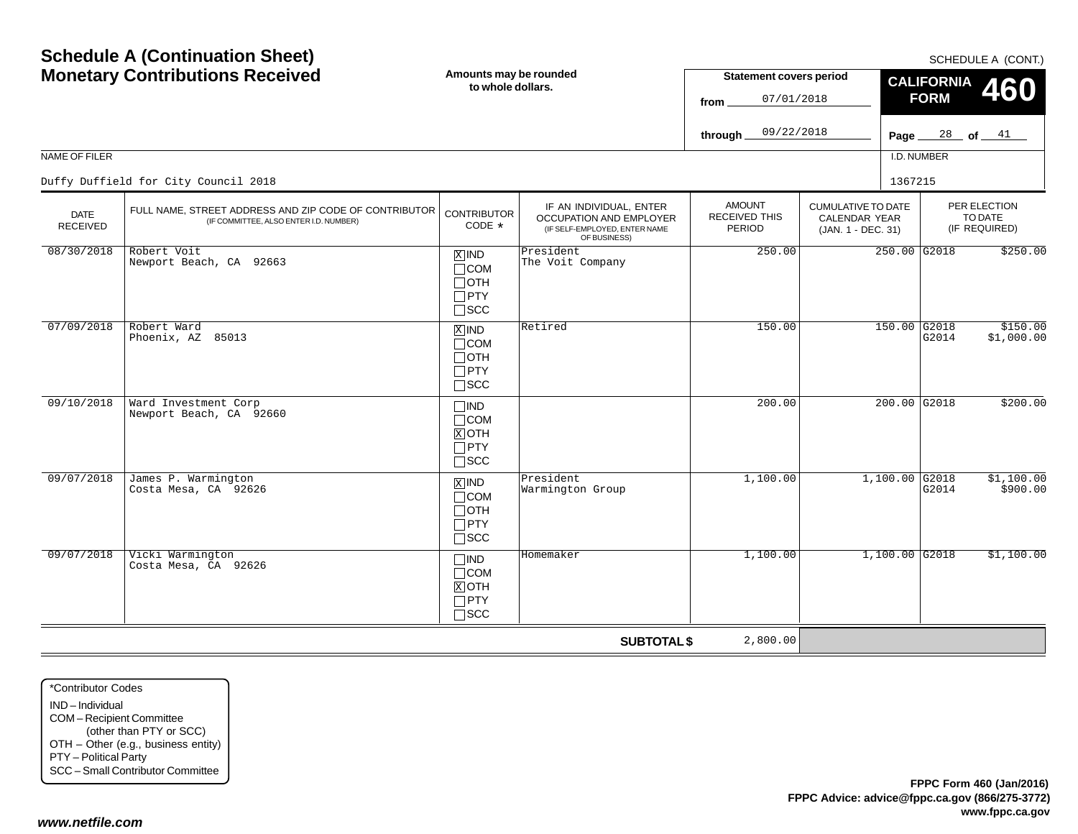|                                | <b>Monetary Contributions Received</b>                                                          | Amounts may be rounded<br>to whole dollars.                           |                                                                                                            | <b>Statement covers period</b><br>07/01/2018<br>from |                                                                         | <b>CALIFORNIA</b><br><b>460</b><br><b>FORM</b>  |  |  |
|--------------------------------|-------------------------------------------------------------------------------------------------|-----------------------------------------------------------------------|------------------------------------------------------------------------------------------------------------|------------------------------------------------------|-------------------------------------------------------------------------|-------------------------------------------------|--|--|
|                                |                                                                                                 |                                                                       |                                                                                                            | 09/22/2018<br>through.                               |                                                                         | Page $28$ of $41$                               |  |  |
| NAME OF FILER                  |                                                                                                 |                                                                       |                                                                                                            |                                                      |                                                                         | I.D. NUMBER                                     |  |  |
|                                | Duffy Duffield for City Council 2018                                                            |                                                                       |                                                                                                            |                                                      | 1367215                                                                 |                                                 |  |  |
| <b>DATE</b><br><b>RECEIVED</b> | FULL NAME, STREET ADDRESS AND ZIP CODE OF CONTRIBUTOR<br>(IF COMMITTEE, ALSO ENTER I.D. NUMBER) | <b>CONTRIBUTOR</b><br>CODE *                                          | IF AN INDIVIDUAL, ENTER<br><b>OCCUPATION AND EMPLOYER</b><br>(IF SELF-EMPLOYED, ENTER NAME<br>OF BUSINESS) | <b>AMOUNT</b><br><b>RECEIVED THIS</b><br>PERIOD      | <b>CUMULATIVE TO DATE</b><br><b>CALENDAR YEAR</b><br>(JAN. 1 - DEC. 31) | PER ELECTION<br>TO DATE<br>(IF REQUIRED)        |  |  |
| 08/30/2018                     | Robert Voit<br>Newport Beach, CA 92663                                                          | $X$ IND<br>$\Box$ COM<br>$\Box$ OTH<br>$\Box$ PTY<br>$\Box$ SCC       | President<br>The Voit Company                                                                              | 250.00                                               |                                                                         | 250.00 G2018<br>\$250.00                        |  |  |
| 07/09/2018                     | Robert Ward<br>Phoenix, AZ 85013                                                                | $X$ IND<br>$\Box$ COM<br>$\Box$ OTH<br>$\Box$ PTY<br>$\square$ SCC    | Retired                                                                                                    | 150.00                                               |                                                                         | 150.00 G2018<br>\$150.00<br>G2014<br>\$1,000.00 |  |  |
| 09/10/2018                     | Ward Investment Corp<br>Newport Beach, CA 92660                                                 | $\square$ IND<br>$\Box$ COM<br>$X$ OTH<br>$\Box$ PTY<br>$\square$ SCC |                                                                                                            | 200.00                                               |                                                                         | \$200.00<br>$200.00$ G2018                      |  |  |
| 09/07/2018                     | James P. Warmington<br>Costa Mesa, CA 92626                                                     | $X$ IND<br>$\Box$ COM<br>$\Box$ OTH<br>$\Box$ PTY<br>$\square$ SCC    | President<br>Warmington Group                                                                              | 1,100.00                                             | 1,100.00 G2018                                                          | \$1,100.00<br>G2014<br>\$900.00                 |  |  |
| 09/07/2018                     | Vicki Warmington<br>Costa Mesa, CA 92626                                                        | $\square$ ind<br>$\Box$ COM<br>$X$ OTH<br>$\Box$ PTY<br>$\Box$ scc    | Homemaker                                                                                                  | 1,100.00                                             | $1,100.00$ G2018                                                        | \$1,100.00                                      |  |  |
|                                |                                                                                                 |                                                                       | <b>SUBTOTAL \$</b>                                                                                         | 2,800.00                                             |                                                                         |                                                 |  |  |

\*Contributor CodesIND – Individual COM – Recipient Committee (other than PTY or SCC) OTH – Other (e.g., business entity) PTY – Political Party SCC – Small Contributor Committee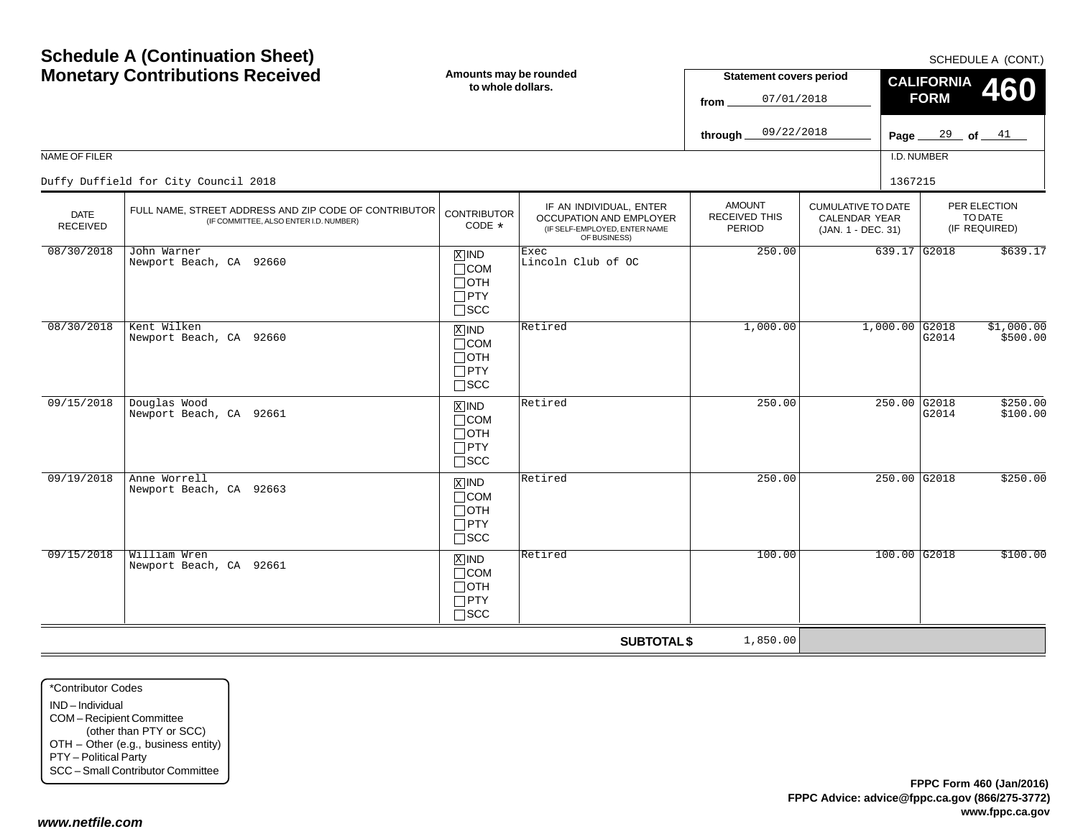| <b>Monetary Contributions Received</b> |                                                                                                 | Amounts may be rounded<br>to whole dollars.                                       |                                                                                                     | <b>Statement covers period</b><br>07/01/2018<br>from   |                                                                         | <b>CALIFORNIA</b><br><b>FORM</b> | $001$ ILDULL A (UUIVI.)<br>460           |
|----------------------------------------|-------------------------------------------------------------------------------------------------|-----------------------------------------------------------------------------------|-----------------------------------------------------------------------------------------------------|--------------------------------------------------------|-------------------------------------------------------------------------|----------------------------------|------------------------------------------|
|                                        |                                                                                                 |                                                                                   |                                                                                                     | 09/22/2018<br>through_                                 |                                                                         | Page $29$ of $41$                |                                          |
| NAME OF FILER                          |                                                                                                 |                                                                                   |                                                                                                     |                                                        |                                                                         | I.D. NUMBER                      |                                          |
|                                        | Duffy Duffield for City Council 2018                                                            |                                                                                   |                                                                                                     |                                                        |                                                                         | 1367215                          |                                          |
| <b>DATE</b><br><b>RECEIVED</b>         | FULL NAME, STREET ADDRESS AND ZIP CODE OF CONTRIBUTOR<br>(IF COMMITTEE, ALSO ENTER I.D. NUMBER) | <b>CONTRIBUTOR</b><br>CODE $*$                                                    | IF AN INDIVIDUAL, ENTER<br>OCCUPATION AND EMPLOYER<br>(IF SELF-EMPLOYED, ENTER NAME<br>OF BUSINESS) | <b>AMOUNT</b><br><b>RECEIVED THIS</b><br><b>PERIOD</b> | <b>CUMULATIVE TO DATE</b><br><b>CALENDAR YEAR</b><br>(JAN. 1 - DEC. 31) |                                  | PER ELECTION<br>TO DATE<br>(IF REQUIRED) |
| 08/30/2018                             | John Warner<br>Newport Beach, CA 92660                                                          | $X$ IND<br>$\Box$ COM<br>$\Box$ OTH<br>$\Box$ PTY<br>$\square$ SCC                | Exec<br>Lincoln Club of OC                                                                          | 250.00                                                 |                                                                         | 639.17 G2018                     | \$639.17                                 |
| 08/30/2018                             | Kent Wilken<br>Newport Beach, CA 92660                                                          | $\overline{X}$ IND<br>$\Box$ COM<br>$\Box$ OTH<br>$\Box$ PTY<br>$\square$ SCC     | Retired                                                                                             | 1,000.00                                               |                                                                         | $1,000.00$ G2018<br>G2014        | \$1,000.00<br>\$500.00                   |
| 09/15/2018                             | Douglas Wood<br>Newport Beach, CA 92661                                                         | $X$ IND<br>$\Box$ COM<br>$\Box$ OTH<br>$\Box$ PTY<br>$\Box$ SCC                   | Retired                                                                                             | 250.00                                                 |                                                                         | 250.00 G2018<br>G2014            | \$250.00<br>\$100.00                     |
| 09/19/2018                             | Anne Worrell<br>Newport Beach, CA 92663                                                         | $\boxed{\text{X}}$ IND<br>$\Box$ COM<br>$\Box$ OTH<br>$\Box$ PTY<br>$\square$ SCC | Retired                                                                                             | 250.00                                                 |                                                                         | $250.00$ G2018                   | \$250.00                                 |
| 09/15/2018                             | William Wren<br>Newport Beach, CA 92661                                                         | $X$ IND<br>$\Box$ COM<br>$\Box$ OTH<br>$\Box$ PTY<br>$\square$ SCC                | Retired                                                                                             | 100.00                                                 |                                                                         | $100.00$ G2018                   | \$100.00                                 |
|                                        |                                                                                                 |                                                                                   | <b>SUBTOTAL \$</b>                                                                                  | 1,850.00                                               |                                                                         |                                  |                                          |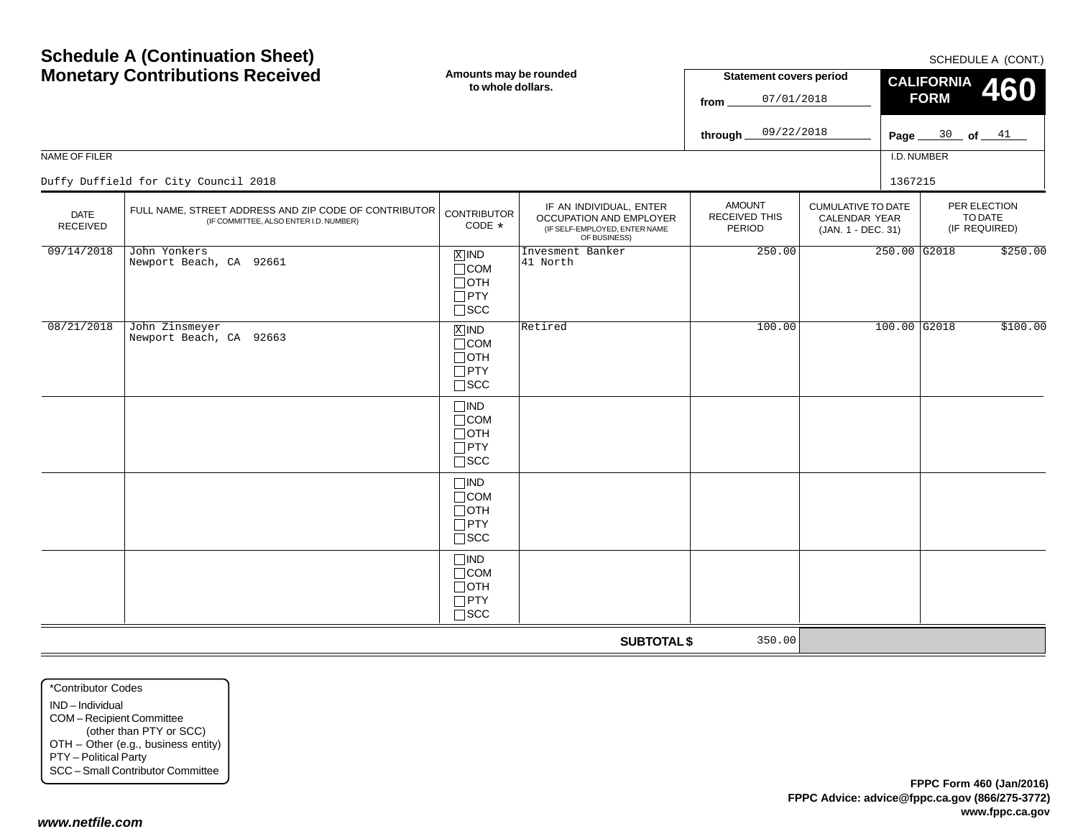| <b>Monetary Contributions Received</b> |                                                                                                 | Amounts may be rounded<br>to whole dollars.                                  |                                                                                                     | <b>Statement covers period</b><br>07/01/2018<br>from |                                                                  | $0011$ LDULLA (UUIVI.)<br>CALIFORNIA 460<br><b>FORM</b> |                   |                                          |
|----------------------------------------|-------------------------------------------------------------------------------------------------|------------------------------------------------------------------------------|-----------------------------------------------------------------------------------------------------|------------------------------------------------------|------------------------------------------------------------------|---------------------------------------------------------|-------------------|------------------------------------------|
|                                        |                                                                                                 |                                                                              |                                                                                                     | 09/22/2018<br>through $\equiv$                       |                                                                  |                                                         | Page $30$ of $41$ |                                          |
| NAME OF FILER                          |                                                                                                 |                                                                              |                                                                                                     |                                                      |                                                                  | I.D. NUMBER                                             |                   |                                          |
|                                        | Duffy Duffield for City Council 2018                                                            |                                                                              |                                                                                                     |                                                      |                                                                  | 1367215                                                 |                   |                                          |
| <b>DATE</b><br><b>RECEIVED</b>         | FULL NAME, STREET ADDRESS AND ZIP CODE OF CONTRIBUTOR<br>(IF COMMITTEE, ALSO ENTER I.D. NUMBER) | <b>CONTRIBUTOR</b><br>CODE *                                                 | IF AN INDIVIDUAL, ENTER<br>OCCUPATION AND EMPLOYER<br>(IF SELF-EMPLOYED, ENTER NAME<br>OF BUSINESS) | <b>AMOUNT</b><br>RECEIVED THIS<br><b>PERIOD</b>      | <b>CUMULATIVE TO DATE</b><br>CALENDAR YEAR<br>(JAN. 1 - DEC. 31) |                                                         |                   | PER ELECTION<br>TO DATE<br>(IF REQUIRED) |
| 09/14/2018                             | John Yonkers<br>Newport Beach, CA 92661                                                         | $X$ IND<br>$\Box$ COM<br>$\Box$ OTH<br>$\Box$ PTY<br>$\sqcap$ scc            | Invesment Banker<br>41 North                                                                        | 250.00                                               |                                                                  | $250.00$ G2018                                          |                   | \$250.00                                 |
| 08/21/2018                             | John Zinsmeyer<br>Newport Beach, CA 92663                                                       | $\overline{X}$ IND<br>$\Box$ COM<br>$\sqcap$ OTH<br>$\Box$ PTY<br>$\Box$ SCC | Retired                                                                                             | 100.00                                               |                                                                  | 100.00 G2018                                            |                   | \$100.00                                 |
|                                        |                                                                                                 | $\square$ IND<br>$\Box$ COM<br>$\Box$ OTH<br>$\Box$ PTY<br>$\square$ scc     |                                                                                                     |                                                      |                                                                  |                                                         |                   |                                          |
|                                        |                                                                                                 | $\neg$ IND<br>$\Box$ COM<br>$\sqcap$ OTH<br>$\Box$ PTY<br>$\sqcap$ scc       |                                                                                                     |                                                      |                                                                  |                                                         |                   |                                          |
|                                        |                                                                                                 | $\Box$ IND<br>$\Box$ COM<br>$\Box$ OTH<br>$\Box$ PTY<br>$\square$ SCC        |                                                                                                     |                                                      |                                                                  |                                                         |                   |                                          |
|                                        |                                                                                                 |                                                                              | <b>SUBTOTAL \$</b>                                                                                  | 350.00                                               |                                                                  |                                                         |                   |                                          |

\*Contributor CodesIND – Individual COM – Recipient Committee (other than PTY or SCC) OTH – Other (e.g., business entity) PTY – Political Party SCC – Small Contributor Committee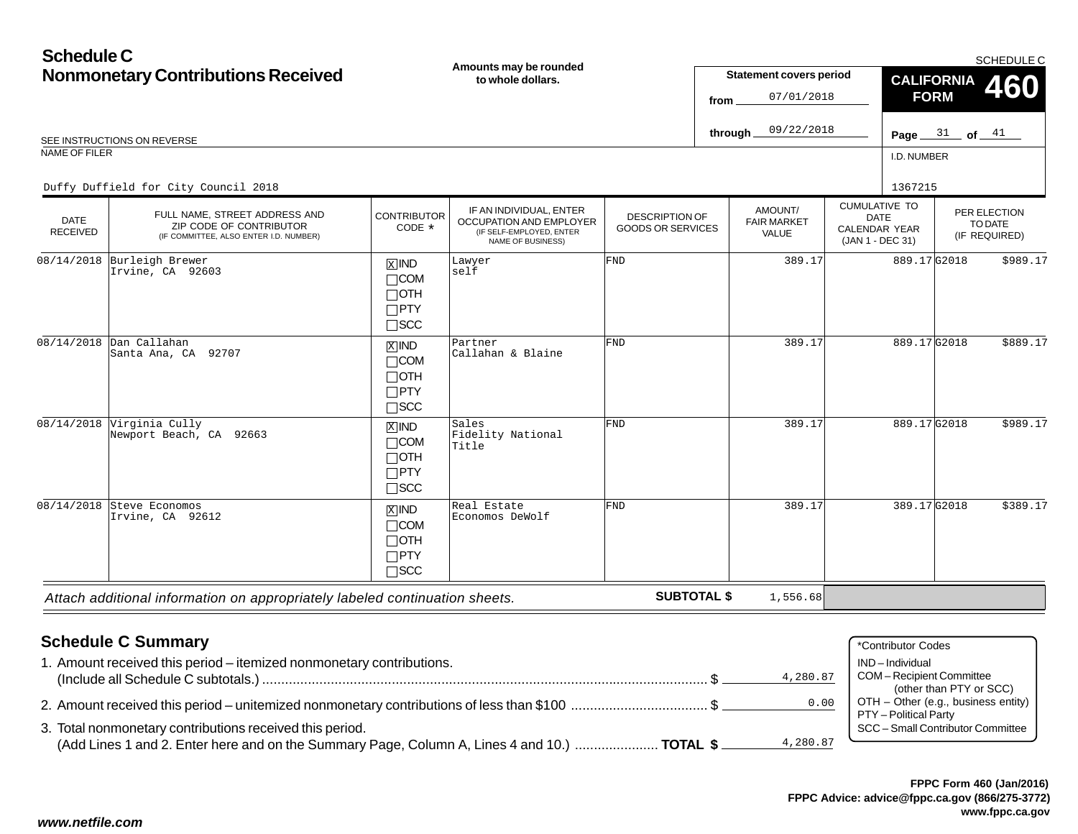#### **Schedule CNonmonetary Contributions Received** I.D. NUMBERCUMULATIVE TODATE CALENDAR YEAR (JAN 1 - DEC 31) AMOUNT/FAIR MARKETVALUEPER ELECTIONTO DATE (IF REQUIRED) DATE RECEIVED**Amounts may be rounded to whole dollars.**DESCRIPTION OF GOODS OR SERVICESSCHEDULE CREE INSTRUCTIONS ON REVERSE **Page**  $\frac{31}{4}$  of  $\frac{1}{2}$ NAME OF FILER**Statement covers period fromthrough** IF AN INDIVIDUAL, ENTER OCCUPATION AND EMPLOYER (IF SELF-EMPLOYED, ENTER NAME OF BUSINESS) FULL NAME, STREET ADDRESS AND ZIP CODE OF CONTRIBUTOR (IF COMMITTEE, ALSO ENTER I.D. NUMBER) **CONTRIBUTOR** CODE\* $\overline{X}$  IND  $\Box$ COM  $\Box$ OTH PTY SCC **CALIFORNIAFORM 460**  $\overline{\mathbb{X}}$ ind COM OTH  $\Box$ PTY  $\Box$ SCC  $\mathbb{Z}$ IND  $\left| \begin{smallmatrix} \text{Sales} \ \text{Fidel} \end{smallmatrix} \right|$  $\Box$ COM OTH PTY  $\frac{31}{ }$  of  $\frac{41}{ }$ 07/01/201809/22/2018Duffy Duffield for City Council 2018 <sup>1367215</sup> 08/14/2018 Burleigh Brewer Irvine, CA 92603 $\begin{array}{|l|c|c|c|c|}\hline \text{X} \text{IND} & \text{Lawyer} & \text{FND} & \text{389.17} \ \hline \text{COM} & \text{self} & & \text{I.163} \ \hline \end{array}$ 08/14/2018 Dan Callahan Santa Ana, CA 92707Partner<br>Callahan & Blaine e FND 389.17 889.17 889.17 889.17 08/14/2018 Virginia Cully Newport Beach, CA 92663 Fidelity NationalTitleFND389.17 889.17 G2018 \$989.17

| <b>Schedule C Summary</b>                                                                                                                                            | *Contributor Codes                  |
|----------------------------------------------------------------------------------------------------------------------------------------------------------------------|-------------------------------------|
| 1. Amount received this period - itemized nonmonetary contributions.                                                                                                 | IND-Individual                      |
| 4,280.87                                                                                                                                                             | COM-Recipient Committee             |
|                                                                                                                                                                      | (other than PTY or SCC)             |
| 2. Amount received this period – unitemized nonmonetary contributions of less than \$100 \$                                                                          | OTH - Other (e.g., business entity) |
| 0.00                                                                                                                                                                 | PTY - Political Party               |
| 3. Total nonmonetary contributions received this period.<br>(Add Lines 1 and 2. Enter here and on the Summary Page, Column A, Lines 4 and 10.)  TOTAL \$<br>4,280.87 | SCC - Small Contributor Committee   |

**SUBTOTAL \$**

1,556.68

<sup>X</sup> Real Estate Economos DeWolf FND 389.17 389.17 G2018 \$389.17

08/14/2018 Steve Economos

Irvine, CA 92612

*Attach additional information on appropriately labeled continuation sheets.*

SCC **IX IND**  $\Box$ COM  $\Box$ OTH PTY  $\Box$ SCC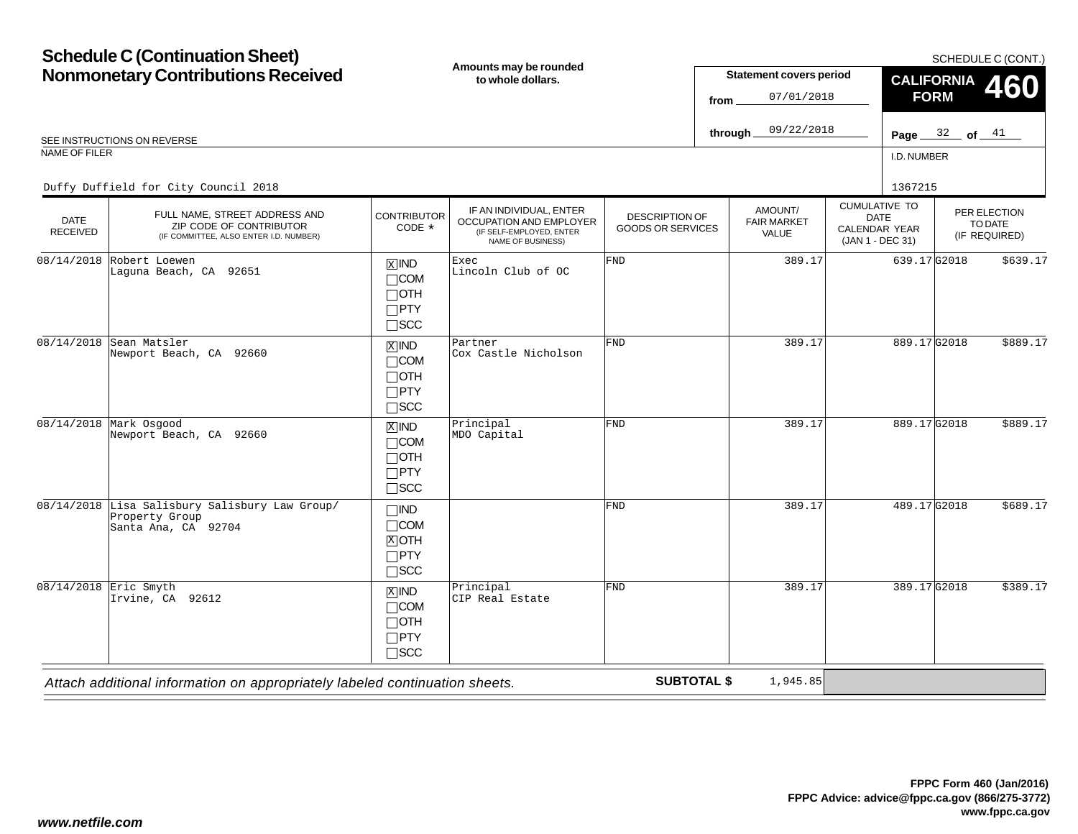# **Schedule C (Continuation Sheet) Nonmonetary Contributions Received Amounts may be rounded to whole dollars.**

SCHEDULE C (CONT.)

| <b>Nonmonetary Contributions Received</b> |                                                                                                                                            |                                                                               | Amounts may be rounded<br>to whole dollars.                                                         |                                                   | from               | <b>Statement covers period</b><br>07/01/2018 |                                                                          |             | <b>CALIFORNIA</b><br>460<br><b>FORM</b> |                                          |  |
|-------------------------------------------|--------------------------------------------------------------------------------------------------------------------------------------------|-------------------------------------------------------------------------------|-----------------------------------------------------------------------------------------------------|---------------------------------------------------|--------------------|----------------------------------------------|--------------------------------------------------------------------------|-------------|-----------------------------------------|------------------------------------------|--|
|                                           | SEE INSTRUCTIONS ON REVERSE                                                                                                                |                                                                               |                                                                                                     |                                                   | through_           | 09/22/2018                                   |                                                                          |             | Page $32$ of $41$                       |                                          |  |
| <b>NAME OF FILER</b>                      |                                                                                                                                            |                                                                               |                                                                                                     |                                                   |                    |                                              |                                                                          | I.D. NUMBER |                                         |                                          |  |
| <b>DATE</b><br><b>RECEIVED</b>            | Duffy Duffield for City Council 2018<br>FULL NAME, STREET ADDRESS AND<br>ZIP CODE OF CONTRIBUTOR<br>(IF COMMITTEE, ALSO ENTER I.D. NUMBER) | <b>CONTRIBUTOR</b><br>CODE $*$                                                | IF AN INDIVIDUAL, ENTER<br>OCCUPATION AND EMPLOYER<br>(IF SELF-EMPLOYED, ENTER<br>NAME OF BUSINESS) | <b>DESCRIPTION OF</b><br><b>GOODS OR SERVICES</b> |                    | AMOUNT/<br><b>FAIR MARKET</b><br>VALUE       | <b>CUMULATIVE TO</b><br><b>DATE</b><br>CALENDAR YEAR<br>(JAN 1 - DEC 31) | 1367215     |                                         | PER ELECTION<br>TO DATE<br>(IF REQUIRED) |  |
| 08/14/2018                                | Robert Loewen<br>Laquna Beach, CA 92651                                                                                                    | $\overline{X}$ IND<br>$\Box$ COM<br>$\Box$ OTH<br>$\Box$ PTY<br>$\square$ SCC | Exec<br>Lincoln Club of OC                                                                          | <b>FND</b>                                        |                    | 389.17                                       |                                                                          | 639.17G2018 |                                         | \$639.17                                 |  |
| 08/14/2018                                | Sean Matsler<br>Newport Beach, CA 92660                                                                                                    | $\overline{X}$ IND<br>$\Box$ COM<br>$\Box$ OTH<br>$\Box$ PTY<br>$\square$ SCC | Partner<br>Cox Castle Nicholson                                                                     | FND                                               |                    | 389.17                                       |                                                                          | 889.17G2018 |                                         | \$889.17                                 |  |
|                                           | $08/14/2018$ Mark Osgood<br>Newport Beach, CA 92660                                                                                        | $X$ IND<br>$\Box$ COM<br>$\Box$ OTH<br>$\Box$ PTY<br>$\Box$ SCC               | Principal<br>MDO Capital                                                                            | FND                                               |                    | 389.17                                       |                                                                          | 889.17G2018 |                                         | \$889.17                                 |  |
|                                           | 08/14/2018 Lisa Salisbury Salisbury Law Group/<br>Property Group<br>Santa Ana, CA 92704                                                    | $\Box$ IND<br>$\Box$ COM<br>$[X]$ OTH<br>$\Box$ PTY<br>$\square$ SCC          |                                                                                                     | <b>FND</b>                                        |                    | 389.17                                       |                                                                          | 489.17G2018 |                                         | \$689.17                                 |  |
|                                           | $08/14/2018$ Eric Smyth<br>Irvine, CA 92612                                                                                                | $X$ IND<br>$\Box$ COM<br>$\Box$ OTH<br>$\Box$ PTY<br>$\Box$ SCC               | Principal<br>CIP Real Estate                                                                        | FND                                               |                    | 389.17                                       |                                                                          | 389.17G2018 |                                         | \$389.17                                 |  |
|                                           | Attach additional information on appropriately labeled continuation sheets.                                                                |                                                                               |                                                                                                     |                                                   | <b>SUBTOTAL \$</b> | 1,945.85                                     |                                                                          |             |                                         |                                          |  |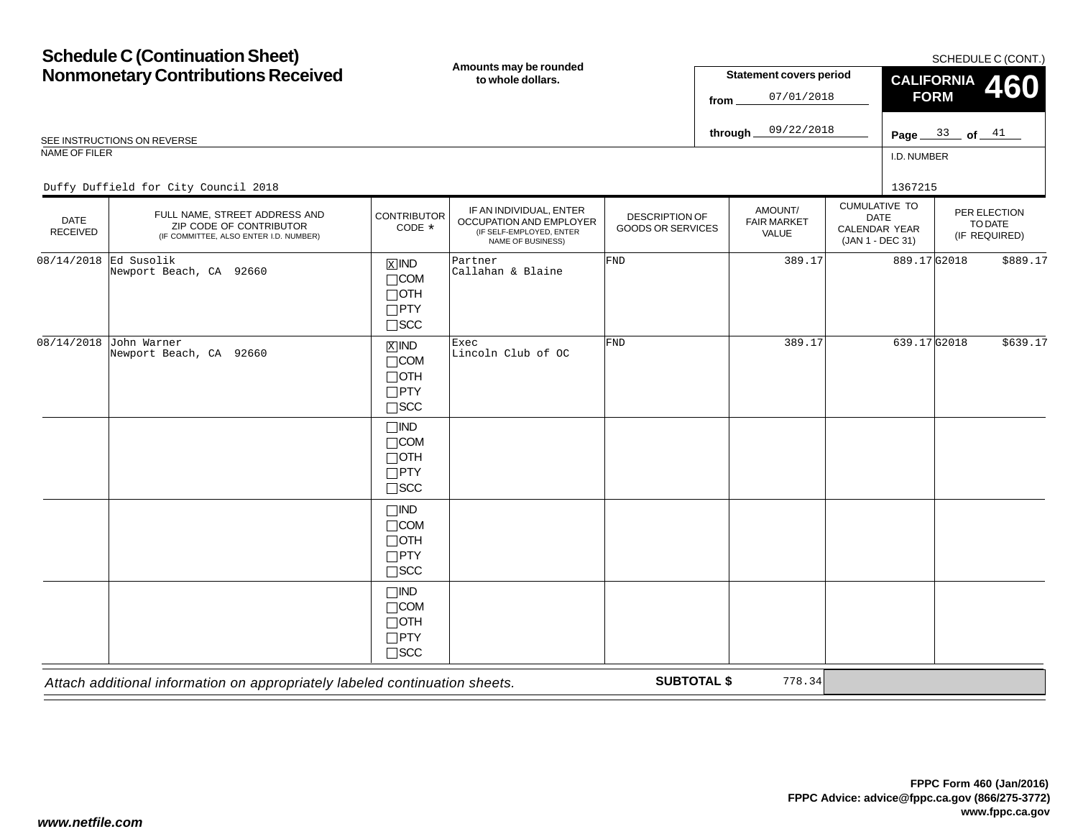#### **Schedule C (Continuation Sheet) Nonmonetary Contributions Received** I.D. NUMBERCUMULATIVE TODATE CALENDAR YEAR (JAN 1 - DEC 31) AMOUNT/FAIR MARKETVALUEPER ELECTIONTO DATE(IF REQUIRED) DATE RECEIVED**Amounts may be rounded to whole dollars.**DESCRIPTION OF GOODS OR SERVICESSCHEDULE C (CONT.) REE INSTRUCTIONS ON REVERSE **Page** the set of a set of a set of a set of a set of a set of a set of a set of a set of a set of a set of a set of a set of a set of a set of a set of a set of a set of a set of a set of a set NAME OF FILER**Statement covers period fromthrough** IF AN INDIVIDUAL, ENTER OCCUPATION AND EMPLOYER (IF SELF-EMPLOYED, ENTER NAME OF BUSINESS) FULL NAME, STREET ADDRESS AND ZIP CODE OF CONTRIBUTOR (IF COMMITTEE, ALSO ENTER I.D. NUMBER) **CONTRIBUTOR** CODE\* $\overline{X}$  IND  $\Box$ COM  $\Box$ OTH PTY SCC **CALIFORNIA FORM 460** IND COM OTH PTY SCC  $\Box$ IND  $\Box$ COM OTH PTY SCC  $\Box$ IND COM  $\Box$ OTH PTY SCC  $\Box$ IND  $\Box$ COM OTH  $\Box$ PTY  $\Box$ SCC  $\frac{33}{ }$  of  $\frac{41}{ }$ 07/01/201809/22/2018Duffy Duffield for City Council 2018 <sup>1367215</sup> 08/14/2018 Ed Susolik Newport Beach, CA 92660 <sup>X</sup> Partner Callahan & Blaine FND 389.17 889.17 G2018 \$889.17 08/14/2018 John Warner Newport Beach, CA 92660 $\begin{array}{c|c|c|c|c|c} \hline \text{X} & \text{IND} & \text{Exec} & \text{FND} & \text{389.17} & \text{639.17} \ \hline \text{COM} & \text{Linear Club of } \text{OC} & & & \end{array}$

*Attach additional information on appropriately labeled continuation sheets.*

**SUBTOTAL \$**

778.34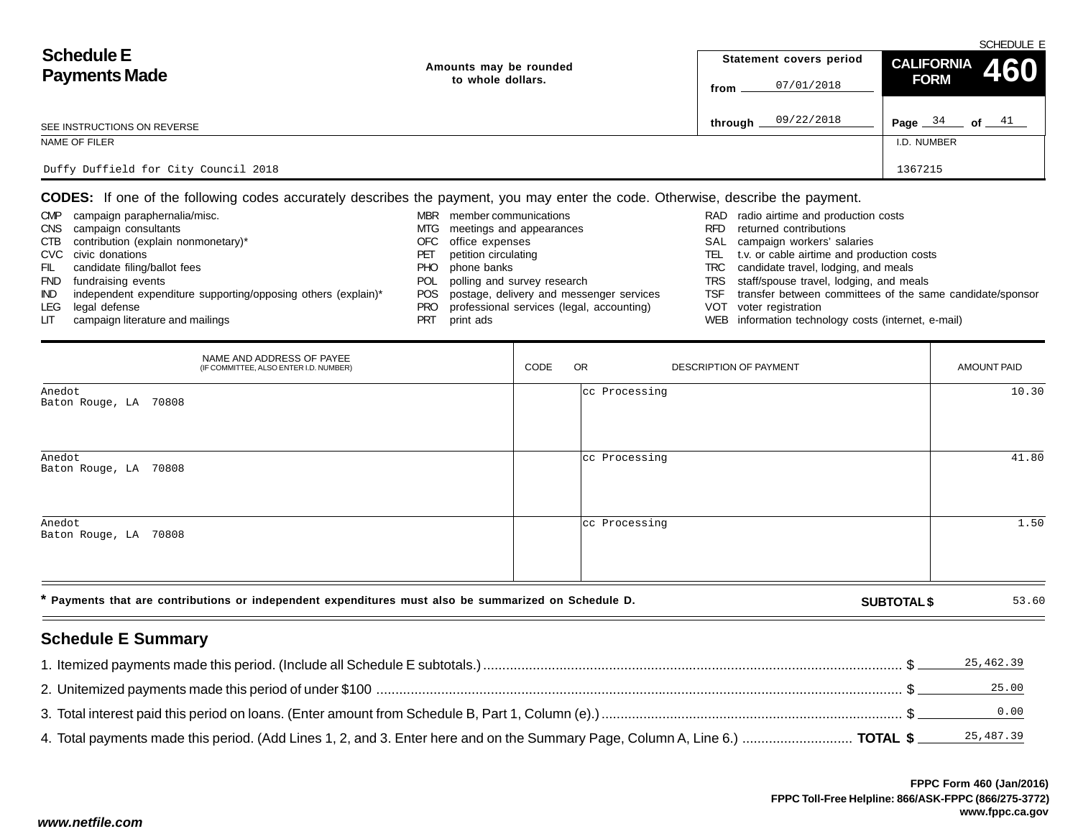|                                           |                        | SCHEDULE E              |                              |  |  |  |  |
|-------------------------------------------|------------------------|-------------------------|------------------------------|--|--|--|--|
| <b>Schedule E</b><br><b>Payments Made</b> | Amounts may be rounded | Statement covers period | CALIFORNIA 460               |  |  |  |  |
|                                           | to whole dollars.      | 07/01/2018<br>from      | <b>FORM</b>                  |  |  |  |  |
| SEE INSTRUCTIONS ON REVERSE               |                        | 09/22/2018<br>through.  | Page $34$<br>of $\_\_\_\_41$ |  |  |  |  |
| NAME OF FILER                             |                        |                         | I.D. NUMBER                  |  |  |  |  |
| Duffy Duffield for City Council 2018      |                        |                         | 1367215                      |  |  |  |  |

**CODES:** If one of the following codes accurately describes the payment, you may enter the code. Otherwise, describe the payment.

| <b>CMP</b> | campaign paraphernalia/misc.                                  | MBR        | member communications                        |      | RAD radio airtime and production costs                    |
|------------|---------------------------------------------------------------|------------|----------------------------------------------|------|-----------------------------------------------------------|
|            | CNS campaign consultants                                      |            | MTG meetings and appearances                 | RFD. | returned contributions                                    |
|            | CTB contribution (explain nonmonetary)*                       |            | OFC office expenses                          |      | SAL campaign workers' salaries                            |
|            | CVC civic donations                                           | PEI        | petition circulating                         | TEL  | t.v. or cable airtime and production costs                |
| - FIL      | candidate filing/ballot fees                                  | PHO        | phone banks                                  |      | TRC candidate travel, lodging, and meals                  |
| <b>FND</b> | fundraising events                                            | <b>POL</b> | polling and survey research                  |      | TRS staff/spouse travel, lodging, and meals               |
| IND.       | independent expenditure supporting/opposing others (explain)* |            | POS postage, delivery and messenger services | TSF  | transfer between committees of the same candidate/sponsor |
|            | LEG legal defense                                             |            | professional services (legal, accounting)    |      | VOT voter registration                                    |
|            | campaign literature and mailings                              | PRT        | print ads                                    |      | WEB information technology costs (internet, e-mail)       |

|                                 | NAME AND ADDRESS OF PAYEE<br>(IF COMMITTEE, ALSO ENTER I.D. NUMBER)                                  | CODE | <b>OR</b>     | DESCRIPTION OF PAYMENT | AMOUNT PAID |
|---------------------------------|------------------------------------------------------------------------------------------------------|------|---------------|------------------------|-------------|
| Anedot<br>Baton Rouge, LA 70808 |                                                                                                      |      | cc Processing |                        | 10.30       |
| Anedot<br>Baton Rouge, LA 70808 |                                                                                                      |      | cc Processing |                        | 41.80       |
| Anedot<br>Baton Rouge, LA 70808 |                                                                                                      |      | cc Processing |                        | 1.50        |
|                                 | * Payments that are contributions or independent expenditures must also be summarized on Schedule D. |      |               | <b>SUBTOTAL \$</b>     | 53.60       |
| <b>Schedule E Summary</b>       |                                                                                                      |      |               |                        |             |

|                                                                                                            | 25,462.39 |
|------------------------------------------------------------------------------------------------------------|-----------|
| 2. Unitemized payments made this period of under \$100 macuum macuum macuum macuum macuum macuum macuum \$ | 25.00     |
|                                                                                                            | 0.00      |
|                                                                                                            |           |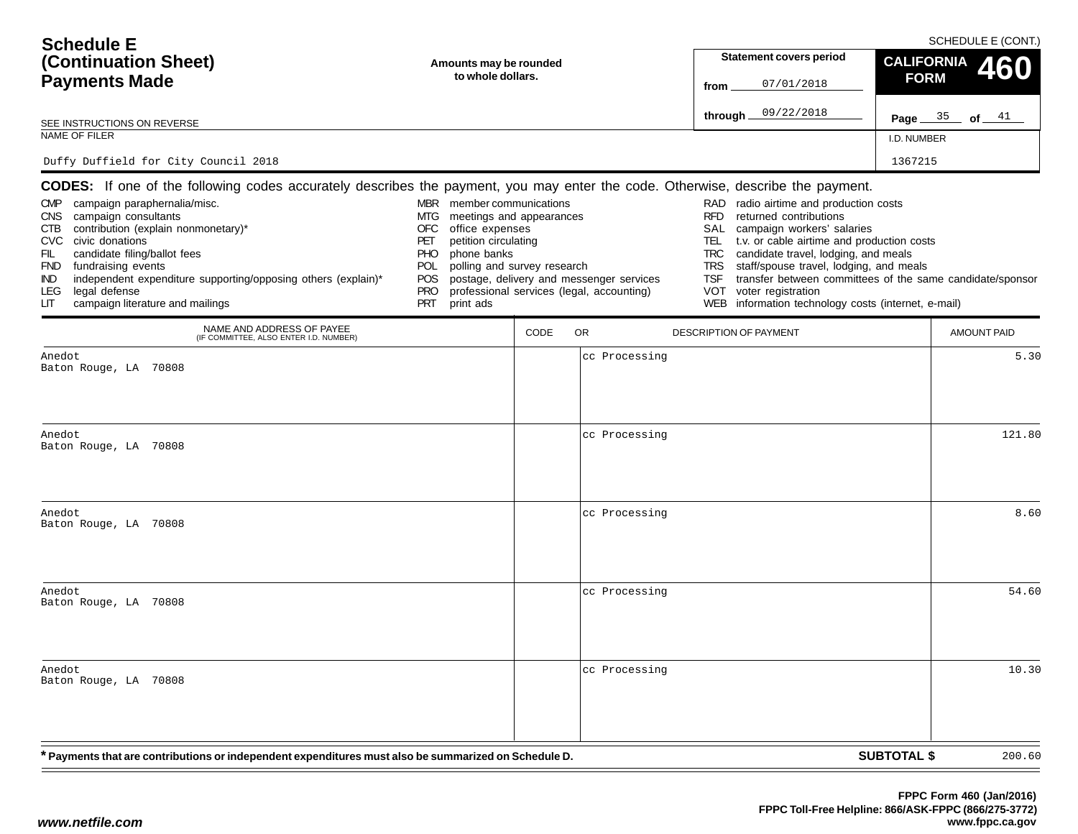| <b>Schedule E</b><br>(Continuation Sheet)<br><b>Payments Made</b>                                                                                                                                                                                                                                                                                                                                                                                                                                                                 | Amounts may be rounded<br>to whole dollars.                                                                                                                                                                                                               |      | <b>Statement covers period</b><br>07/01/2018<br>from                                  | SCHEDULE E (CONT.)<br><b>CALIFORNIA</b><br><b>FORM</b>                                                                                                                                                                                                                                                                                                                                                                |                                                           |  |
|-----------------------------------------------------------------------------------------------------------------------------------------------------------------------------------------------------------------------------------------------------------------------------------------------------------------------------------------------------------------------------------------------------------------------------------------------------------------------------------------------------------------------------------|-----------------------------------------------------------------------------------------------------------------------------------------------------------------------------------------------------------------------------------------------------------|------|---------------------------------------------------------------------------------------|-----------------------------------------------------------------------------------------------------------------------------------------------------------------------------------------------------------------------------------------------------------------------------------------------------------------------------------------------------------------------------------------------------------------------|-----------------------------------------------------------|--|
| SEE INSTRUCTIONS ON REVERSE                                                                                                                                                                                                                                                                                                                                                                                                                                                                                                       |                                                                                                                                                                                                                                                           |      |                                                                                       | 09/22/2018<br>through_                                                                                                                                                                                                                                                                                                                                                                                                | Page $35$ of $41$                                         |  |
| NAME OF FILER                                                                                                                                                                                                                                                                                                                                                                                                                                                                                                                     |                                                                                                                                                                                                                                                           |      |                                                                                       |                                                                                                                                                                                                                                                                                                                                                                                                                       | I.D. NUMBER                                               |  |
| Duffy Duffield for City Council 2018                                                                                                                                                                                                                                                                                                                                                                                                                                                                                              |                                                                                                                                                                                                                                                           |      |                                                                                       |                                                                                                                                                                                                                                                                                                                                                                                                                       | 1367215                                                   |  |
| <b>CODES:</b> If one of the following codes accurately describes the payment, you may enter the code. Otherwise, describe the payment.<br>campaign paraphernalia/misc.<br><b>CMP</b><br>campaign consultants<br><b>CNS</b><br>contribution (explain nonmonetary)*<br>CTB.<br>civic donations<br><b>CVC</b><br>candidate filing/ballot fees<br>FIL.<br>fundraising events<br>FND<br>independent expenditure supporting/opposing others (explain)*<br>IND.<br><b>LEG</b><br>legal defense<br>campaign literature and mailings<br>LП | member communications<br>MBR<br>MTG<br>meetings and appearances<br><b>OFC</b><br>office expenses<br>PET<br>petition circulating<br><b>PHO</b><br>phone banks<br>polling and survey research<br>POL<br><b>POS</b><br><b>PRO</b><br><b>PRT</b><br>print ads |      | postage, delivery and messenger services<br>professional services (legal, accounting) | radio airtime and production costs<br><b>RAD</b><br>returned contributions<br><b>RFD</b><br>campaign workers' salaries<br>SAL<br>t.v. or cable airtime and production costs<br>TEL.<br>candidate travel, lodging, and meals<br><b>TRC</b><br>staff/spouse travel, lodging, and meals<br><b>TRS</b><br><b>TSF</b><br><b>VOT</b><br>voter registration<br><b>WEB</b><br>information technology costs (internet, e-mail) | transfer between committees of the same candidate/sponsor |  |
| NAME AND ADDRESS OF PAYEE<br>(IF COMMITTEE, ALSO ENTER I.D. NUMBER)                                                                                                                                                                                                                                                                                                                                                                                                                                                               |                                                                                                                                                                                                                                                           | CODE | <b>OR</b>                                                                             | <b>DESCRIPTION OF PAYMENT</b>                                                                                                                                                                                                                                                                                                                                                                                         | AMOUNT PAID                                               |  |
| Anedot<br>Baton Rouge, LA 70808                                                                                                                                                                                                                                                                                                                                                                                                                                                                                                   |                                                                                                                                                                                                                                                           |      | cc Processing                                                                         |                                                                                                                                                                                                                                                                                                                                                                                                                       | 5.30                                                      |  |
| Anedot<br>Baton Rouge, LA 70808                                                                                                                                                                                                                                                                                                                                                                                                                                                                                                   |                                                                                                                                                                                                                                                           |      | cc Processing                                                                         |                                                                                                                                                                                                                                                                                                                                                                                                                       | 121.80                                                    |  |
| Anedot<br>Baton Rouge, LA 70808                                                                                                                                                                                                                                                                                                                                                                                                                                                                                                   |                                                                                                                                                                                                                                                           |      | cc Processing                                                                         |                                                                                                                                                                                                                                                                                                                                                                                                                       | 8.60                                                      |  |

Anedot

**SUBTOTAL \$ \* Payments that are contributions or independent expenditures must also be summarized on Schedule D.** Baton Rouge, LA 70808cc Processing  $\sim$  54.60 Anedot Baton Rouge, LA 70808cc Processing  $\sigma$  10.30 200.60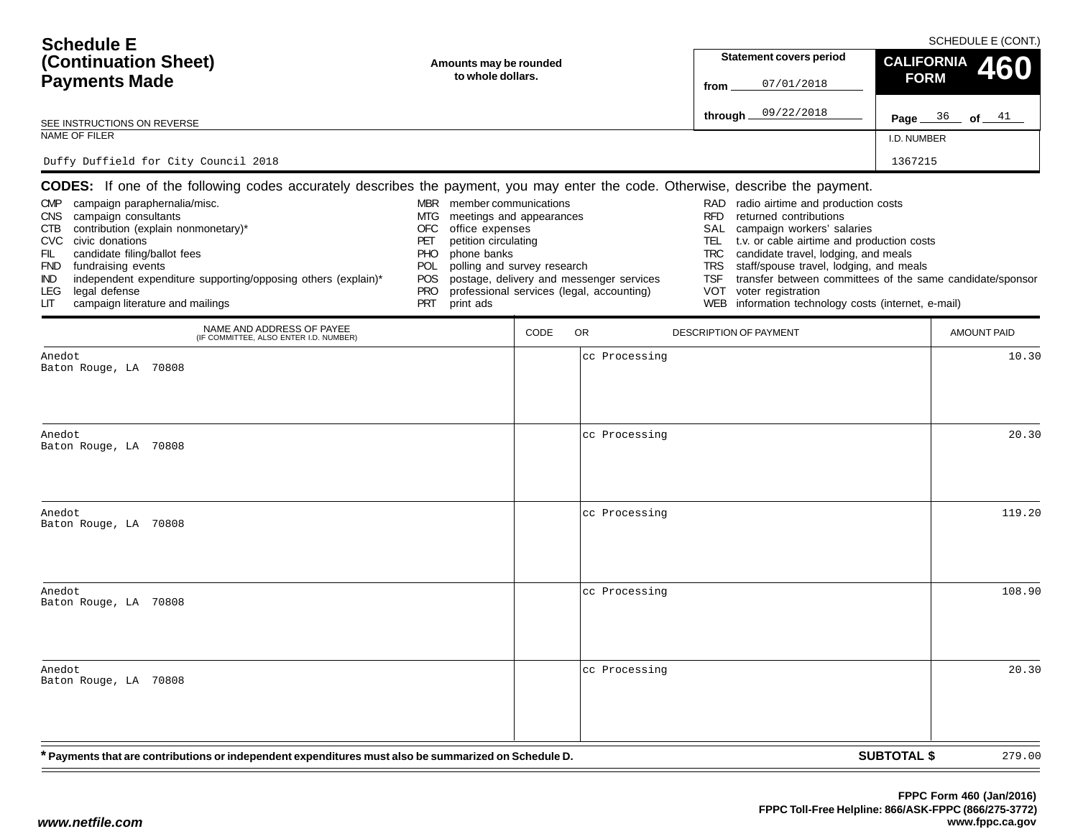| <b>Schedule E</b><br>(Continuation Sheet)<br><b>Payments Made</b><br>SEE INSTRUCTIONS ON REVERSE<br><b>NAME OF FILER</b>                                                                                                                                                                                                                                                                                                                                                                                                                                                                                                                                           | Amounts may be rounded<br>to whole dollars.                                                      |                                                                                                      |                                          | from<br>through.                                                                                       | <b>Statement covers period</b><br>07/01/2018<br>09/22/2018                                                                                                                                                                                                                                                                                                            | <b>CALIFORNIA</b><br><b>FORM</b><br>I.D. NUMBER | SCHEDULE E (CONT.)<br><b>Page</b> $36$ of $41$ |
|--------------------------------------------------------------------------------------------------------------------------------------------------------------------------------------------------------------------------------------------------------------------------------------------------------------------------------------------------------------------------------------------------------------------------------------------------------------------------------------------------------------------------------------------------------------------------------------------------------------------------------------------------------------------|--------------------------------------------------------------------------------------------------|------------------------------------------------------------------------------------------------------|------------------------------------------|--------------------------------------------------------------------------------------------------------|-----------------------------------------------------------------------------------------------------------------------------------------------------------------------------------------------------------------------------------------------------------------------------------------------------------------------------------------------------------------------|-------------------------------------------------|------------------------------------------------|
| Duffy Duffield for City Council 2018<br>CODES: If one of the following codes accurately describes the payment, you may enter the code. Otherwise, describe the payment.<br><b>CMP</b><br>campaign paraphernalia/misc.<br><b>CNS</b><br>campaign consultants<br>MTG.<br>contribution (explain nonmonetary)*<br><b>OFC</b><br>CTB<br><b>CVC</b><br>civic donations<br>PET<br>PHO<br>candidate filing/ballot fees<br>FIL<br>fundraising events<br><b>POL</b><br><b>FND</b><br>independent expenditure supporting/opposing others (explain)*<br>POS<br><b>IND</b><br>legal defense<br><b>LEG</b><br><b>PRO</b><br>campaign literature and mailings<br><b>PRT</b><br>LП | MBR member communications<br>office expenses<br>petition circulating<br>phone banks<br>print ads | meetings and appearances<br>polling and survey research<br>professional services (legal, accounting) | postage, delivery and messenger services | <b>RFD</b><br><b>SAL</b><br>TEL.<br><b>TRC</b><br><b>TRS</b><br><b>TSF</b><br><b>VOT</b><br><b>WEB</b> | RAD radio airtime and production costs<br>returned contributions<br>campaign workers' salaries<br>t.v. or cable airtime and production costs<br>candidate travel, lodging, and meals<br>staff/spouse travel, lodging, and meals<br>transfer between committees of the same candidate/sponsor<br>voter registration<br>information technology costs (internet, e-mail) | 1367215                                         |                                                |
| NAME AND ADDRESS OF PAYEE<br>(IF COMMITTEE, ALSO ENTER I.D. NUMBER)                                                                                                                                                                                                                                                                                                                                                                                                                                                                                                                                                                                                |                                                                                                  | <b>OR</b><br>CODE                                                                                    |                                          |                                                                                                        | <b>DESCRIPTION OF PAYMENT</b>                                                                                                                                                                                                                                                                                                                                         |                                                 | <b>AMOUNT PAID</b>                             |
| Anedot<br>Baton Rouge, LA 70808<br>Anedot.<br>Baton Rouge, LA 70808                                                                                                                                                                                                                                                                                                                                                                                                                                                                                                                                                                                                |                                                                                                  |                                                                                                      | cc Processing<br>cc Processing           |                                                                                                        |                                                                                                                                                                                                                                                                                                                                                                       |                                                 | 10.30<br>20.30                                 |

cc Processing

cc Processing

cc Processing

**SUBTOTAL \$**

279.00

g and  $119.20$ 

g 108.90

 $\sigma$  20.30

Anedot

Anedot

Anedot

Baton Rouge, LA 70808

Baton Rouge, LA 70808

Baton Rouge, LA 70808

**\* Payments that are contributions or independent expenditures must also be summarized on Schedule D.**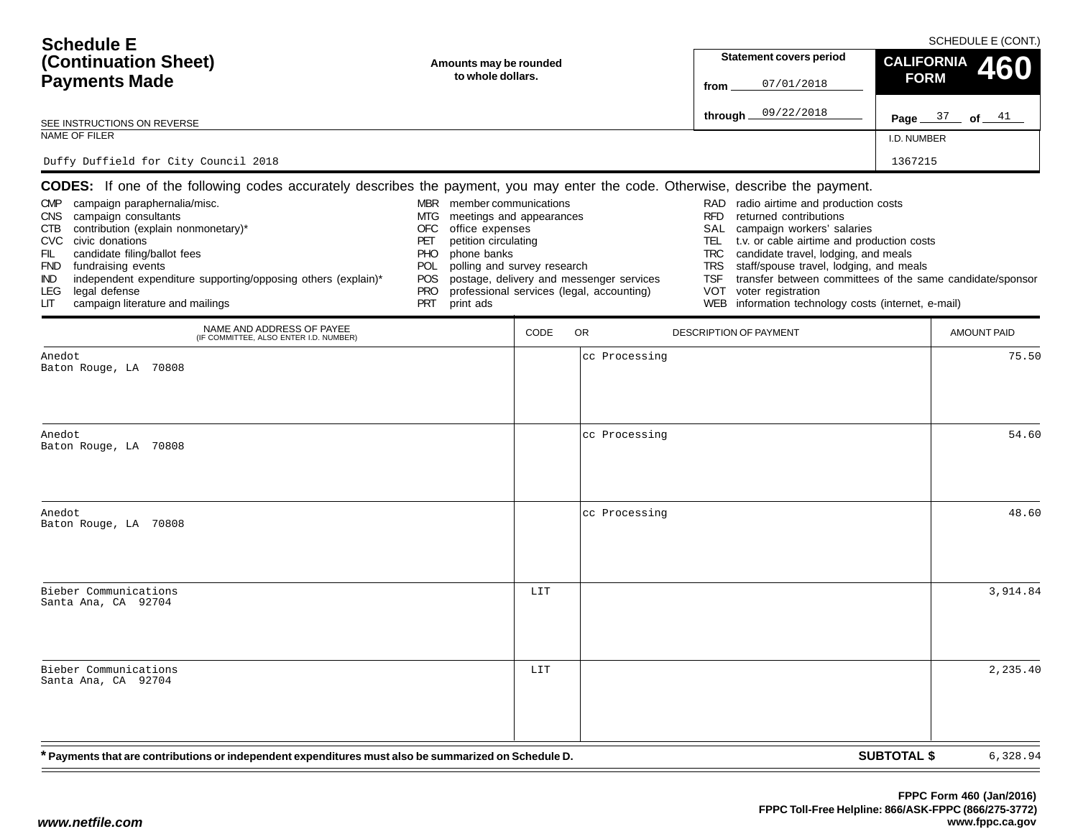| <b>Schedule E</b><br>(Continuation Sheet)<br><b>Payments Made</b>                                                                                                                                                                                                                                                                                                                                                                                                                                                                      | Amounts may be rounded<br>to whole dollars.                                                                                                                                                                                                                    |      |                                                                                       | from                                                                                | <b>Statement covers period</b><br>07/01/2018                                                                                                                                                                                                                                                                                                                              | SCHEDULE E (CONT.)<br><b>CALIFORNIA</b><br><b>FORM</b> |                    |  |
|----------------------------------------------------------------------------------------------------------------------------------------------------------------------------------------------------------------------------------------------------------------------------------------------------------------------------------------------------------------------------------------------------------------------------------------------------------------------------------------------------------------------------------------|----------------------------------------------------------------------------------------------------------------------------------------------------------------------------------------------------------------------------------------------------------------|------|---------------------------------------------------------------------------------------|-------------------------------------------------------------------------------------|---------------------------------------------------------------------------------------------------------------------------------------------------------------------------------------------------------------------------------------------------------------------------------------------------------------------------------------------------------------------------|--------------------------------------------------------|--------------------|--|
| SEE INSTRUCTIONS ON REVERSE                                                                                                                                                                                                                                                                                                                                                                                                                                                                                                            |                                                                                                                                                                                                                                                                |      |                                                                                       | through _                                                                           | 09/22/2018                                                                                                                                                                                                                                                                                                                                                                |                                                        | Page $37$ of $41$  |  |
| NAME OF FILER                                                                                                                                                                                                                                                                                                                                                                                                                                                                                                                          |                                                                                                                                                                                                                                                                |      |                                                                                       |                                                                                     |                                                                                                                                                                                                                                                                                                                                                                           | I.D. NUMBER                                            |                    |  |
| Duffy Duffield for City Council 2018                                                                                                                                                                                                                                                                                                                                                                                                                                                                                                   |                                                                                                                                                                                                                                                                |      |                                                                                       |                                                                                     |                                                                                                                                                                                                                                                                                                                                                                           | 1367215                                                |                    |  |
| <b>CODES:</b> If one of the following codes accurately describes the payment, you may enter the code. Otherwise, describe the payment.<br>campaign paraphernalia/misc.<br><b>CMP</b><br><b>CNS</b><br>campaign consultants<br>contribution (explain nonmonetary)*<br>CTB<br>civic donations<br><b>CVC</b><br>candidate filing/ballot fees<br>FIL<br><b>FND</b><br>fundraising events<br>independent expenditure supporting/opposing others (explain)*<br>IND.<br>legal defense<br><b>LEG</b><br>campaign literature and mailings<br>LГ | MBR member communications<br>meetings and appearances<br>MTG.<br>office expenses<br><b>OFC</b><br>petition circulating<br>PET<br>phone banks<br><b>PHO</b><br>polling and survey research<br><b>POL</b><br><b>POS</b><br><b>PRO</b><br><b>PRT</b><br>print ads |      | postage, delivery and messenger services<br>professional services (legal, accounting) | RFD.<br><b>SAL</b><br>TEL 1<br><b>TRC</b><br><b>TRS</b><br><b>TSF</b><br><b>VOT</b> | RAD radio airtime and production costs<br>returned contributions<br>campaign workers' salaries<br>t.v. or cable airtime and production costs<br>candidate travel, lodging, and meals<br>staff/spouse travel, lodging, and meals<br>transfer between committees of the same candidate/sponsor<br>voter registration<br>WEB information technology costs (internet, e-mail) |                                                        |                    |  |
| NAME AND ADDRESS OF PAYEE<br>(IF COMMITTEE, ALSO ENTER I.D. NUMBER)                                                                                                                                                                                                                                                                                                                                                                                                                                                                    |                                                                                                                                                                                                                                                                | CODE | <b>OR</b>                                                                             |                                                                                     | <b>DESCRIPTION OF PAYMENT</b>                                                                                                                                                                                                                                                                                                                                             |                                                        | <b>AMOUNT PAID</b> |  |
| Anedot<br>Baton Rouge, LA 70808                                                                                                                                                                                                                                                                                                                                                                                                                                                                                                        |                                                                                                                                                                                                                                                                |      | cc Processing                                                                         |                                                                                     |                                                                                                                                                                                                                                                                                                                                                                           |                                                        | 75.50              |  |
| Anedot<br>Baton Rouge, LA 70808                                                                                                                                                                                                                                                                                                                                                                                                                                                                                                        |                                                                                                                                                                                                                                                                |      | cc Processing                                                                         |                                                                                     |                                                                                                                                                                                                                                                                                                                                                                           |                                                        | 54.60              |  |
| Anedot<br>Baton Rouge, LA 70808                                                                                                                                                                                                                                                                                                                                                                                                                                                                                                        |                                                                                                                                                                                                                                                                |      | cc Processing                                                                         |                                                                                     |                                                                                                                                                                                                                                                                                                                                                                           |                                                        | 48.60              |  |

| * Payments that are contributions or independent expenditures must also be summarized on Schedule D. |     | <b>SUBTOTAL \$</b> | 6,328.94 |
|------------------------------------------------------------------------------------------------------|-----|--------------------|----------|
| Bieber Communications<br>Santa Ana, CA 92704                                                         | LIT |                    | 2,235.40 |
| Bieber Communications<br>Santa Ana, CA 92704                                                         | LIT |                    | 3,914.84 |
|                                                                                                      |     |                    |          |

6,328.94

 $\equiv$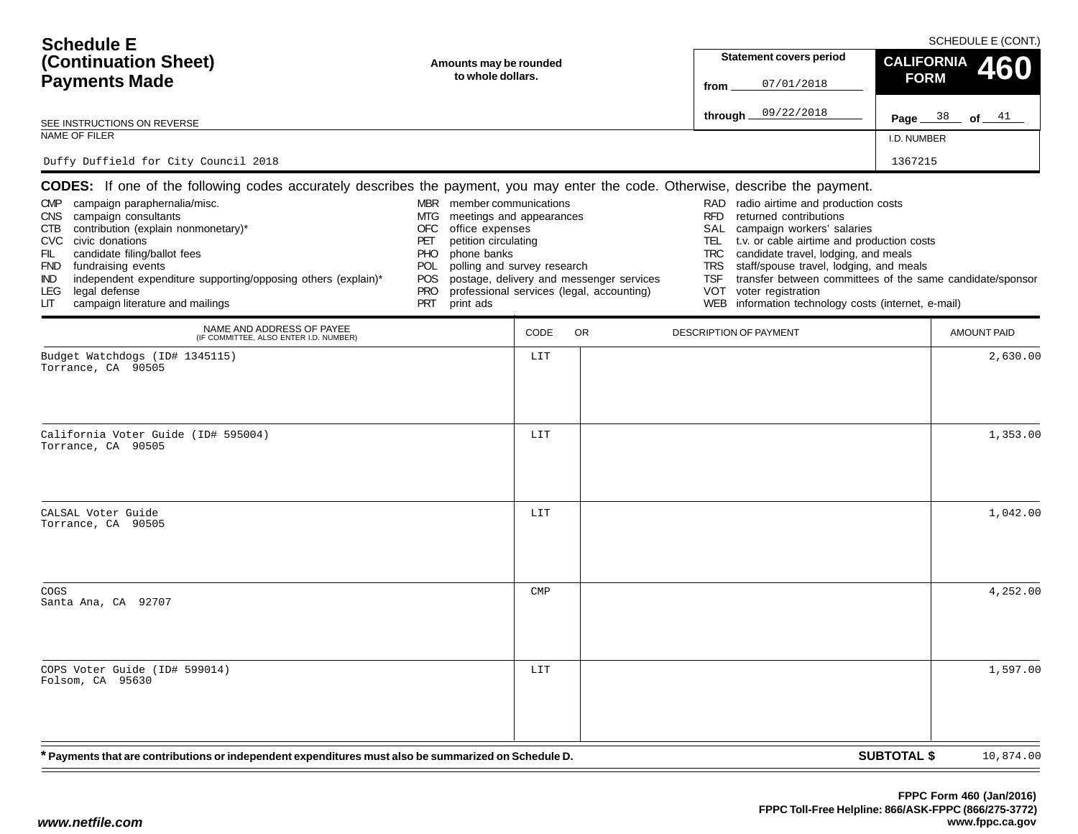| <b>Schedule E</b>                                                                                                                                                                                                                                                                                                                                                                                                                                                                          |                                                                                                                                                                                                                                              |                        |                                                                                       |                                                                                                  | SCHEDULE E (CONT.)                                                                                                                                                                                                                                                                                                                                                |                    |                          |  |  |
|--------------------------------------------------------------------------------------------------------------------------------------------------------------------------------------------------------------------------------------------------------------------------------------------------------------------------------------------------------------------------------------------------------------------------------------------------------------------------------------------|----------------------------------------------------------------------------------------------------------------------------------------------------------------------------------------------------------------------------------------------|------------------------|---------------------------------------------------------------------------------------|--------------------------------------------------------------------------------------------------|-------------------------------------------------------------------------------------------------------------------------------------------------------------------------------------------------------------------------------------------------------------------------------------------------------------------------------------------------------------------|--------------------|--------------------------|--|--|
| (Continuation Sheet)                                                                                                                                                                                                                                                                                                                                                                                                                                                                       |                                                                                                                                                                                                                                              | Amounts may be rounded |                                                                                       |                                                                                                  | <b>Statement covers period</b>                                                                                                                                                                                                                                                                                                                                    |                    | <b>CALIFORNIA</b><br>460 |  |  |
| to whole dollars.<br><b>Payments Made</b>                                                                                                                                                                                                                                                                                                                                                                                                                                                  |                                                                                                                                                                                                                                              |                        |                                                                                       | from                                                                                             | 07/01/2018                                                                                                                                                                                                                                                                                                                                                        | <b>FORM</b>        |                          |  |  |
| SEE INSTRUCTIONS ON REVERSE                                                                                                                                                                                                                                                                                                                                                                                                                                                                |                                                                                                                                                                                                                                              |                        |                                                                                       | through.                                                                                         | 09/22/2018                                                                                                                                                                                                                                                                                                                                                        |                    | Page $38$ of $41$        |  |  |
| NAME OF FILER                                                                                                                                                                                                                                                                                                                                                                                                                                                                              |                                                                                                                                                                                                                                              |                        |                                                                                       |                                                                                                  |                                                                                                                                                                                                                                                                                                                                                                   | I.D. NUMBER        |                          |  |  |
| Duffy Duffield for City Council 2018                                                                                                                                                                                                                                                                                                                                                                                                                                                       |                                                                                                                                                                                                                                              |                        |                                                                                       |                                                                                                  |                                                                                                                                                                                                                                                                                                                                                                   | 1367215            |                          |  |  |
| <b>CODES:</b> If one of the following codes accurately describes the payment, you may enter the code. Otherwise, describe the payment.<br>CMP campaign paraphernalia/misc.<br>campaign consultants<br>CNS<br>contribution (explain nonmonetary)*<br>CTB<br>CVC civic donations<br>candidate filing/ballot fees<br>FIL<br>FND fundraising events<br>independent expenditure supporting/opposing others (explain)*<br>IND<br>legal defense<br>LEG.<br>campaign literature and mailings<br>LГ | member communications<br>MBR<br>MTG<br>meetings and appearances<br>OFC<br>office expenses<br>petition circulating<br>PET<br>phone banks<br>PHO<br>polling and survey research<br><b>POL</b><br>POS.<br><b>PRO</b><br><b>PRT</b><br>print ads |                        | postage, delivery and messenger services<br>professional services (legal, accounting) | RAD.<br><b>RFD</b><br>SAL<br>TEL.<br><b>TRC</b><br><b>TRS</b><br>TSF<br><b>VOT</b><br><b>WEB</b> | radio airtime and production costs<br>returned contributions<br>campaign workers' salaries<br>t.v. or cable airtime and production costs<br>candidate travel, lodging, and meals<br>staff/spouse travel, lodging, and meals<br>transfer between committees of the same candidate/sponsor<br>voter registration<br>information technology costs (internet, e-mail) |                    |                          |  |  |
| NAME AND ADDRESS OF PAYEE<br>(IF COMMITTEE, ALSO ENTER I.D. NUMBER)                                                                                                                                                                                                                                                                                                                                                                                                                        |                                                                                                                                                                                                                                              | CODE                   | <b>OR</b>                                                                             | DESCRIPTION OF PAYMENT                                                                           |                                                                                                                                                                                                                                                                                                                                                                   |                    | <b>AMOUNT PAID</b>       |  |  |
| Budget Watchdogs (ID# 1345115)<br>Torrance, CA 90505                                                                                                                                                                                                                                                                                                                                                                                                                                       |                                                                                                                                                                                                                                              | LIT                    |                                                                                       |                                                                                                  |                                                                                                                                                                                                                                                                                                                                                                   |                    | 2,630.00                 |  |  |
| California Voter Guide (ID# 595004)<br>Torrance, CA 90505                                                                                                                                                                                                                                                                                                                                                                                                                                  |                                                                                                                                                                                                                                              | LIT                    |                                                                                       |                                                                                                  |                                                                                                                                                                                                                                                                                                                                                                   |                    | 1,353.00                 |  |  |
| CALSAL Voter Guide<br>Torrance, CA 90505                                                                                                                                                                                                                                                                                                                                                                                                                                                   |                                                                                                                                                                                                                                              | LIT                    |                                                                                       |                                                                                                  |                                                                                                                                                                                                                                                                                                                                                                   |                    | 1,042.00                 |  |  |
| COGS<br>Santa Ana, CA 92707                                                                                                                                                                                                                                                                                                                                                                                                                                                                |                                                                                                                                                                                                                                              | $\texttt{CMP}$         |                                                                                       |                                                                                                  |                                                                                                                                                                                                                                                                                                                                                                   |                    | 4,252.00                 |  |  |
| COPS Voter Guide (ID# 599014)<br>Folsom, CA 95630                                                                                                                                                                                                                                                                                                                                                                                                                                          |                                                                                                                                                                                                                                              | LIT                    |                                                                                       |                                                                                                  |                                                                                                                                                                                                                                                                                                                                                                   |                    | 1,597.00                 |  |  |
| * Payments that are contributions or independent expenditures must also be summarized on Schedule D.                                                                                                                                                                                                                                                                                                                                                                                       |                                                                                                                                                                                                                                              |                        |                                                                                       |                                                                                                  |                                                                                                                                                                                                                                                                                                                                                                   | <b>SUBTOTAL \$</b> | 10,874.00                |  |  |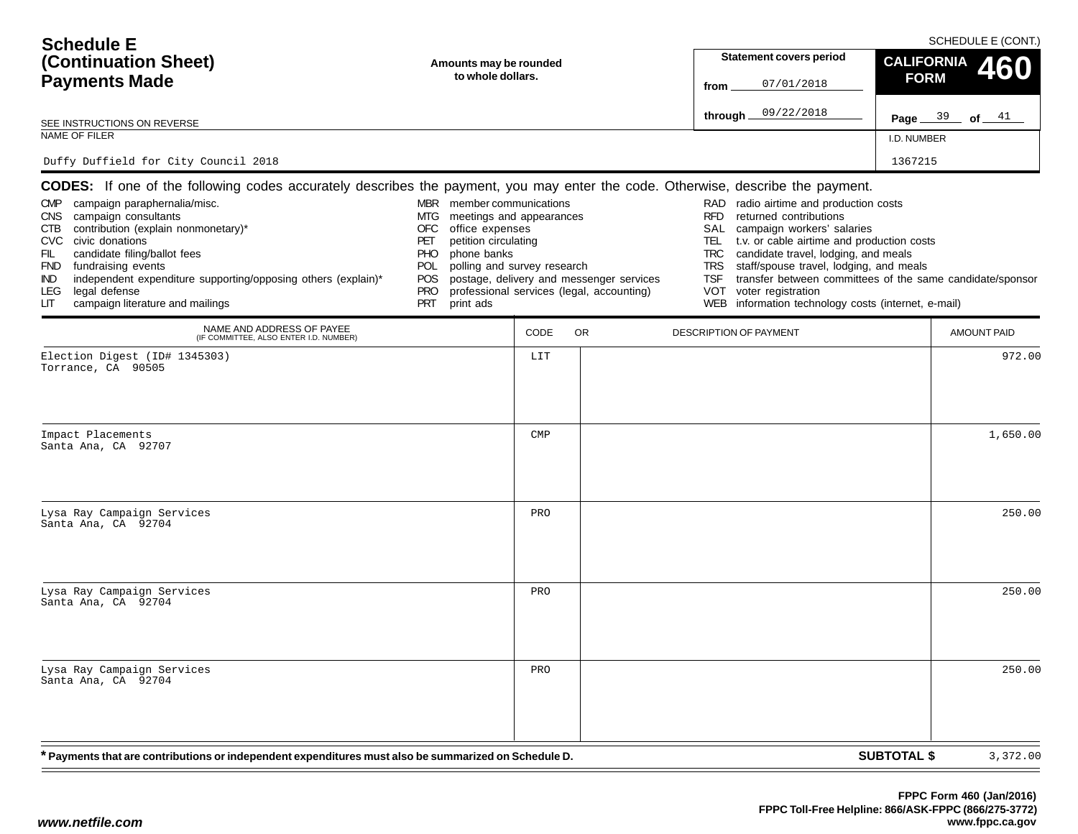| <b>Schedule E</b>                                                                                                                                                                                                                                                                                                                                                                                                                                                                                   |                                                                                                                                                                                                                             |                                             |                                                                                       |                                                                                  |                                                                                                                                                                                                                                                                                                                                                                           |                                  | SCHEDULE E (CONT.) |
|-----------------------------------------------------------------------------------------------------------------------------------------------------------------------------------------------------------------------------------------------------------------------------------------------------------------------------------------------------------------------------------------------------------------------------------------------------------------------------------------------------|-----------------------------------------------------------------------------------------------------------------------------------------------------------------------------------------------------------------------------|---------------------------------------------|---------------------------------------------------------------------------------------|----------------------------------------------------------------------------------|---------------------------------------------------------------------------------------------------------------------------------------------------------------------------------------------------------------------------------------------------------------------------------------------------------------------------------------------------------------------------|----------------------------------|--------------------|
| (Continuation Sheet)                                                                                                                                                                                                                                                                                                                                                                                                                                                                                |                                                                                                                                                                                                                             | Amounts may be rounded<br>to whole dollars. |                                                                                       |                                                                                  | <b>Statement covers period</b>                                                                                                                                                                                                                                                                                                                                            | <b>CALIFORNIA</b><br><b>FORM</b> |                    |
| <b>Payments Made</b>                                                                                                                                                                                                                                                                                                                                                                                                                                                                                |                                                                                                                                                                                                                             |                                             |                                                                                       | from                                                                             | 07/01/2018                                                                                                                                                                                                                                                                                                                                                                |                                  |                    |
| SEE INSTRUCTIONS ON REVERSE                                                                                                                                                                                                                                                                                                                                                                                                                                                                         |                                                                                                                                                                                                                             |                                             |                                                                                       | through                                                                          | 09/22/2018                                                                                                                                                                                                                                                                                                                                                                |                                  | Page $39$ of $41$  |
| NAME OF FILER                                                                                                                                                                                                                                                                                                                                                                                                                                                                                       |                                                                                                                                                                                                                             |                                             |                                                                                       |                                                                                  |                                                                                                                                                                                                                                                                                                                                                                           | I.D. NUMBER                      |                    |
| Duffy Duffield for City Council 2018                                                                                                                                                                                                                                                                                                                                                                                                                                                                |                                                                                                                                                                                                                             |                                             |                                                                                       |                                                                                  |                                                                                                                                                                                                                                                                                                                                                                           | 1367215                          |                    |
| <b>CODES:</b> If one of the following codes accurately describes the payment, you may enter the code. Otherwise, describe the payment.<br>CMP campaign paraphernalia/misc.<br>campaign consultants<br><b>CNS</b><br>contribution (explain nonmonetary)*<br>CTB<br>CVC civic donations<br>FIL<br>candidate filing/ballot fees<br>FND fundraising events<br>independent expenditure supporting/opposing others (explain)*<br>IND.<br>legal defense<br>LEG.<br>campaign literature and mailings<br>LІТ | MBR member communications<br>meetings and appearances<br>MTG<br>OFC<br>office expenses<br>PET<br>petition circulating<br>phone banks<br>PHO.<br>polling and survey research<br>POL<br>POS<br><b>PRO</b><br>PRT<br>print ads |                                             | postage, delivery and messenger services<br>professional services (legal, accounting) | <b>RFD</b><br>SAL<br>TEL<br><b>TRC</b><br><b>TRS</b><br><b>TSF</b><br><b>VOT</b> | RAD radio airtime and production costs<br>returned contributions<br>campaign workers' salaries<br>t.v. or cable airtime and production costs<br>candidate travel, lodging, and meals<br>staff/spouse travel, lodging, and meals<br>transfer between committees of the same candidate/sponsor<br>voter registration<br>WEB information technology costs (internet, e-mail) |                                  |                    |
| NAME AND ADDRESS OF PAYEE<br>(IF COMMITTEE, ALSO ENTER I.D. NUMBER)                                                                                                                                                                                                                                                                                                                                                                                                                                 |                                                                                                                                                                                                                             | CODE                                        | <b>OR</b>                                                                             | DESCRIPTION OF PAYMENT                                                           |                                                                                                                                                                                                                                                                                                                                                                           |                                  | <b>AMOUNT PAID</b> |
| Election Digest (ID# 1345303)<br>Torrance, CA 90505                                                                                                                                                                                                                                                                                                                                                                                                                                                 |                                                                                                                                                                                                                             | LIT                                         |                                                                                       |                                                                                  |                                                                                                                                                                                                                                                                                                                                                                           |                                  | 972.00             |
| Impact Placements<br>Santa Ana, CA 92707                                                                                                                                                                                                                                                                                                                                                                                                                                                            |                                                                                                                                                                                                                             | $\texttt{CMP}$                              |                                                                                       |                                                                                  |                                                                                                                                                                                                                                                                                                                                                                           |                                  | 1,650.00           |
| Lysa Ray Campaign Services<br>Santa Ana, CA 92704                                                                                                                                                                                                                                                                                                                                                                                                                                                   |                                                                                                                                                                                                                             | PRO                                         |                                                                                       |                                                                                  |                                                                                                                                                                                                                                                                                                                                                                           |                                  | 250.00             |
| Lysa Ray Campaign Services<br>Santa Ana, CA 92704                                                                                                                                                                                                                                                                                                                                                                                                                                                   |                                                                                                                                                                                                                             | PRO                                         |                                                                                       |                                                                                  |                                                                                                                                                                                                                                                                                                                                                                           |                                  | 250.00             |
| Lysa Ray Campaign Services<br>Santa Ana, CA 92704                                                                                                                                                                                                                                                                                                                                                                                                                                                   |                                                                                                                                                                                                                             | PRO                                         |                                                                                       |                                                                                  |                                                                                                                                                                                                                                                                                                                                                                           |                                  | 250.00             |
| * Payments that are contributions or independent expenditures must also be summarized on Schedule D.                                                                                                                                                                                                                                                                                                                                                                                                |                                                                                                                                                                                                                             |                                             |                                                                                       |                                                                                  |                                                                                                                                                                                                                                                                                                                                                                           | <b>SUBTOTAL \$</b>               | 3,372.00           |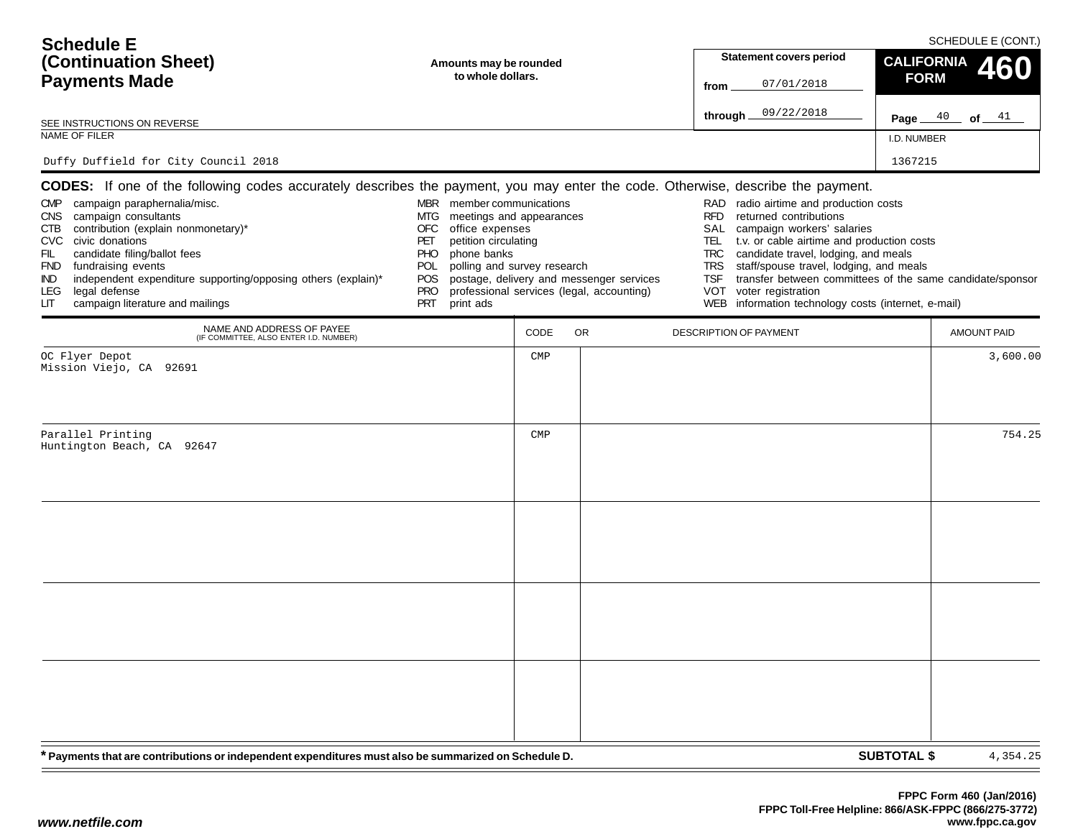| <b>Schedule E</b>                                                                                                                                                                                                                                                                                                                                                                                                                                                                                                                                                                                                                                                                      |                                                                                                                                                                                                                                                                                                                                                                                                                                                                |                                |  |
|----------------------------------------------------------------------------------------------------------------------------------------------------------------------------------------------------------------------------------------------------------------------------------------------------------------------------------------------------------------------------------------------------------------------------------------------------------------------------------------------------------------------------------------------------------------------------------------------------------------------------------------------------------------------------------------|----------------------------------------------------------------------------------------------------------------------------------------------------------------------------------------------------------------------------------------------------------------------------------------------------------------------------------------------------------------------------------------------------------------------------------------------------------------|--------------------------------|--|
| (Continuation Sheet)<br>Amounts may be rounded                                                                                                                                                                                                                                                                                                                                                                                                                                                                                                                                                                                                                                         | <b>Statement covers period</b>                                                                                                                                                                                                                                                                                                                                                                                                                                 | <b>CALIFORNIA</b><br>460       |  |
| to whole dollars.<br><b>Payments Made</b>                                                                                                                                                                                                                                                                                                                                                                                                                                                                                                                                                                                                                                              | 07/01/2018<br>from                                                                                                                                                                                                                                                                                                                                                                                                                                             | <b>FORM</b>                    |  |
| SEE INSTRUCTIONS ON REVERSE                                                                                                                                                                                                                                                                                                                                                                                                                                                                                                                                                                                                                                                            | 09/22/2018<br>through.                                                                                                                                                                                                                                                                                                                                                                                                                                         | Page $40$ of $41$              |  |
| NAME OF FILER                                                                                                                                                                                                                                                                                                                                                                                                                                                                                                                                                                                                                                                                          |                                                                                                                                                                                                                                                                                                                                                                                                                                                                | I.D. NUMBER                    |  |
| Duffy Duffield for City Council 2018                                                                                                                                                                                                                                                                                                                                                                                                                                                                                                                                                                                                                                                   |                                                                                                                                                                                                                                                                                                                                                                                                                                                                | 1367215                        |  |
| <b>CODES:</b> If one of the following codes accurately describes the payment, you may enter the code. Otherwise, describe the payment.                                                                                                                                                                                                                                                                                                                                                                                                                                                                                                                                                 |                                                                                                                                                                                                                                                                                                                                                                                                                                                                |                                |  |
| CMP campaign paraphernalia/misc.<br>MBR member communications<br>CNS campaign consultants<br>MTG<br>meetings and appearances<br>contribution (explain nonmonetary)*<br><b>OFC</b><br>office expenses<br>CTB<br>petition circulating<br>CVC civic donations<br>PET<br>candidate filing/ballot fees<br>phone banks<br>FIL<br>PHO.<br>polling and survey research<br>FND fundraising events<br>POL<br>independent expenditure supporting/opposing others (explain)*<br>postage, delivery and messenger services<br>POS.<br>IND.<br>professional services (legal, accounting)<br>legal defense<br><b>PRO</b><br>LEG.<br>campaign literature and mailings<br><b>PRT</b><br>print ads<br>LІТ | RAD radio airtime and production costs<br><b>RFD</b><br>returned contributions<br>SAL<br>campaign workers' salaries<br>t.v. or cable airtime and production costs<br>TEL.<br><b>TRC</b><br>candidate travel, lodging, and meals<br>staff/spouse travel, lodging, and meals<br><b>TRS</b><br>transfer between committees of the same candidate/sponsor<br><b>TSF</b><br><b>VOT</b><br>voter registration<br>WEB information technology costs (internet, e-mail) |                                |  |
| NAME AND ADDRESS OF PAYEE<br>CODE<br><b>OR</b><br>(IF COMMITTEE, ALSO ENTER I.D. NUMBER)                                                                                                                                                                                                                                                                                                                                                                                                                                                                                                                                                                                               | <b>DESCRIPTION OF PAYMENT</b>                                                                                                                                                                                                                                                                                                                                                                                                                                  | <b>AMOUNT PAID</b>             |  |
| OC Flyer Depot<br>$\texttt{CMP}$<br>Mission Viejo, CA 92691                                                                                                                                                                                                                                                                                                                                                                                                                                                                                                                                                                                                                            |                                                                                                                                                                                                                                                                                                                                                                                                                                                                | 3,600.00                       |  |
| Parallel Printing<br>$\text{CMP}$<br>Huntington Beach, CA 92647                                                                                                                                                                                                                                                                                                                                                                                                                                                                                                                                                                                                                        |                                                                                                                                                                                                                                                                                                                                                                                                                                                                | 754.25                         |  |
| * Payments that are contributions or independent expenditures must also be summarized on Schedule D.                                                                                                                                                                                                                                                                                                                                                                                                                                                                                                                                                                                   |                                                                                                                                                                                                                                                                                                                                                                                                                                                                | <b>SUBTOTAL \$</b><br>4,354.25 |  |